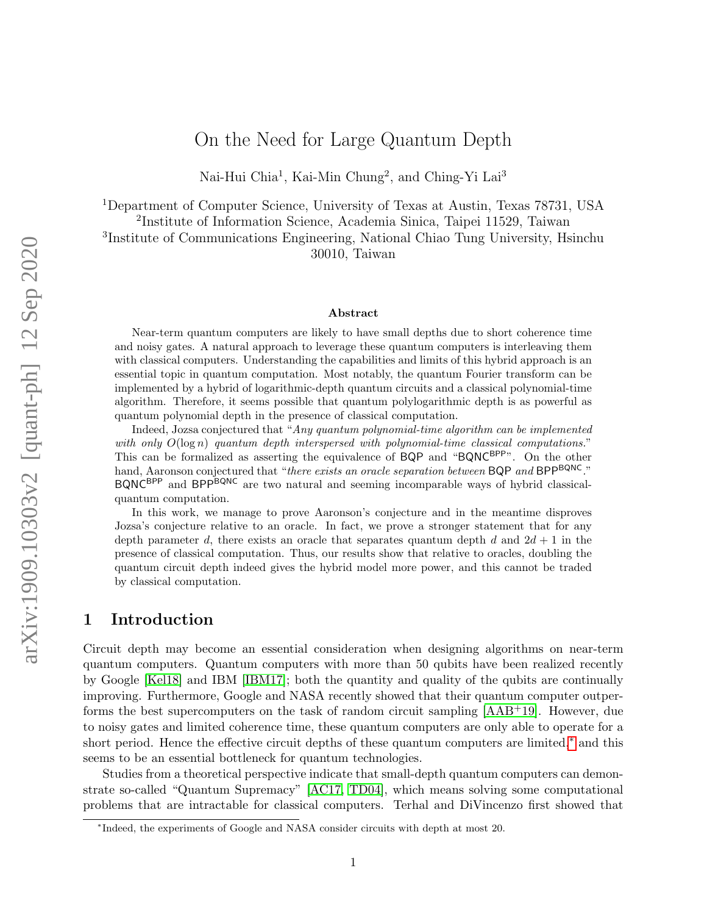# On the Need for Large Quantum Depth

Nai-Hui Chia<sup>1</sup>, Kai-Min Chung<sup>2</sup>, and Ching-Yi Lai<sup>3</sup>

<sup>1</sup>Department of Computer Science, University of Texas at Austin, Texas 78731, USA

2 Institute of Information Science, Academia Sinica, Taipei 11529, Taiwan

3 Institute of Communications Engineering, National Chiao Tung University, Hsinchu 30010, Taiwan

#### Abstract

Near-term quantum computers are likely to have small depths due to short coherence time and noisy gates. A natural approach to leverage these quantum computers is interleaving them with classical computers. Understanding the capabilities and limits of this hybrid approach is an essential topic in quantum computation. Most notably, the quantum Fourier transform can be implemented by a hybrid of logarithmic-depth quantum circuits and a classical polynomial-time algorithm. Therefore, it seems possible that quantum polylogarithmic depth is as powerful as quantum polynomial depth in the presence of classical computation.

Indeed, Jozsa conjectured that "Any quantum polynomial-time algorithm can be implemented with only  $O(\log n)$  quantum depth interspersed with polynomial-time classical computations." This can be formalized as asserting the equivalence of  $BQP$  and " $BQNC^{BPP}$ ". On the other hand, Aaronson conjectured that "*there exists an oracle separation between* BQP *and* BPP<sup>BQNC</sup>." BQNCBPP and BPPBQNC are two natural and seeming incomparable ways of hybrid classicalquantum computation.

In this work, we manage to prove Aaronson's conjecture and in the meantime disproves Jozsa's conjecture relative to an oracle. In fact, we prove a stronger statement that for any depth parameter d, there exists an oracle that separates quantum depth d and  $2d + 1$  in the presence of classical computation. Thus, our results show that relative to oracles, doubling the quantum circuit depth indeed gives the hybrid model more power, and this cannot be traded by classical computation.

## 1 Introduction

Circuit depth may become an essential consideration when designing algorithms on near-term quantum computers. Quantum computers with more than 50 qubits have been realized recently by Google [\[Kel18\]](#page-39-0) and IBM [\[IBM17\]](#page-39-1); both the quantity and quality of the qubits are continually improving. Furthermore, Google and NASA recently showed that their quantum computer outperforms the best supercomputers on the task of random circuit sampling [\[AAB](#page-38-0)+19]. However, due to noisy gates and limited coherence time, these quantum computers are only able to operate for a short period. Hence the effective circuit depths of these quantum computers are limited,[∗](#page-0-0) and this seems to be an essential bottleneck for quantum technologies.

Studies from a theoretical perspective indicate that small-depth quantum computers can demonstrate so-called "Quantum Supremacy" [\[AC17,](#page-38-1) [TD04\]](#page-39-2), which means solving some computational problems that are intractable for classical computers. Terhal and DiVincenzo first showed that

<span id="page-0-0"></span><sup>∗</sup> Indeed, the experiments of Google and NASA consider circuits with depth at most 20.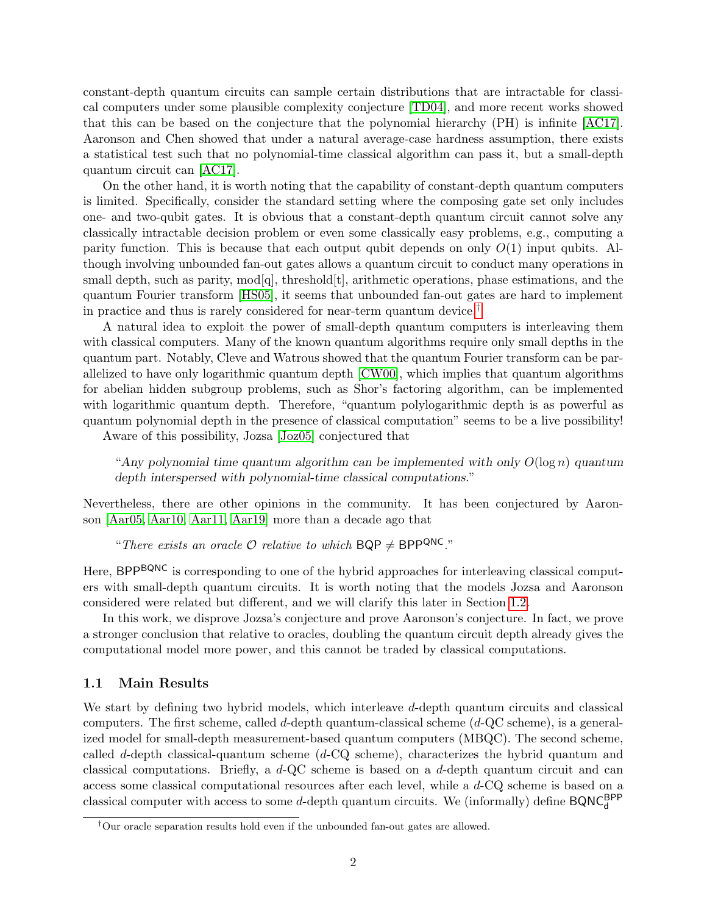constant-depth quantum circuits can sample certain distributions that are intractable for classical computers under some plausible complexity conjecture [\[TD04\]](#page-39-2), and more recent works showed that this can be based on the conjecture that the polynomial hierarchy (PH) is infinite [\[AC17\]](#page-38-1). Aaronson and Chen showed that under a natural average-case hardness assumption, there exists a statistical test such that no polynomial-time classical algorithm can pass it, but a small-depth quantum circuit can [\[AC17\]](#page-38-1).

On the other hand, it is worth noting that the capability of constant-depth quantum computers is limited. Specifically, consider the standard setting where the composing gate set only includes one- and two-qubit gates. It is obvious that a constant-depth quantum circuit cannot solve any classically intractable decision problem or even some classically easy problems, e.g., computing a parity function. This is because that each output qubit depends on only  $O(1)$  input qubits. Although involving unbounded fan-out gates allows a quantum circuit to conduct many operations in small depth, such as parity,  $\text{mod}[q]$ , threshold $[t]$ , arithmetic operations, phase estimations, and the quantum Fourier transform [\[HS05\]](#page-39-3), it seems that unbounded fan-out gates are hard to implement in practice and thus is rarely considered for near-term quantum device.[†](#page-1-0)

A natural idea to exploit the power of small-depth quantum computers is interleaving them with classical computers. Many of the known quantum algorithms require only small depths in the quantum part. Notably, Cleve and Watrous showed that the quantum Fourier transform can be parallelized to have only logarithmic quantum depth [\[CW00\]](#page-39-4), which implies that quantum algorithms for abelian hidden subgroup problems, such as Shor's factoring algorithm, can be implemented with logarithmic quantum depth. Therefore, "quantum polylogarithmic depth is as powerful as quantum polynomial depth in the presence of classical computation" seems to be a live possibility!

Aware of this possibility, Jozsa [\[Joz05\]](#page-39-5) conjectured that

"Any polynomial time quantum algorithm can be implemented with only  $O(\log n)$  quantum depth interspersed with polynomial-time classical computations."

Nevertheless, there are other opinions in the community. It has been conjectured by Aaronson [\[Aar05,](#page-38-2) [Aar10,](#page-38-3) [Aar11,](#page-38-4) [Aar19\]](#page-38-5) more than a decade ago that

"There exists an oracle  $\mathcal O$  relative to which BQP  $\neq$  BPP<sup>QNC</sup>."

Here, BPP<sup>BQNC</sup> is corresponding to one of the hybrid approaches for interleaving classical computers with small-depth quantum circuits. It is worth noting that the models Jozsa and Aaronson considered were related but different, and we will clarify this later in Section [1.2.](#page-3-0)

In this work, we disprove Jozsa's conjecture and prove Aaronson's conjecture. In fact, we prove a stronger conclusion that relative to oracles, doubling the quantum circuit depth already gives the computational model more power, and this cannot be traded by classical computations.

#### 1.1 Main Results

We start by defining two hybrid models, which interleave d-depth quantum circuits and classical computers. The first scheme, called d-depth quantum-classical scheme  $(d - QC \text{ scheme})$ , is a generalized model for small-depth measurement-based quantum computers (MBQC). The second scheme, called d-depth classical-quantum scheme  $(d$ -CQ scheme), characterizes the hybrid quantum and classical computations. Briefly, a  $d$ -QC scheme is based on a  $d$ -depth quantum circuit and can access some classical computational resources after each level, while a d-CQ scheme is based on a classical computer with access to some *d*-depth quantum circuits. We (informally) define  $\mathsf{BQNC}_\mathsf{d}^\mathsf{BPP}$ 

<span id="page-1-0"></span><sup>†</sup>Our oracle separation results hold even if the unbounded fan-out gates are allowed.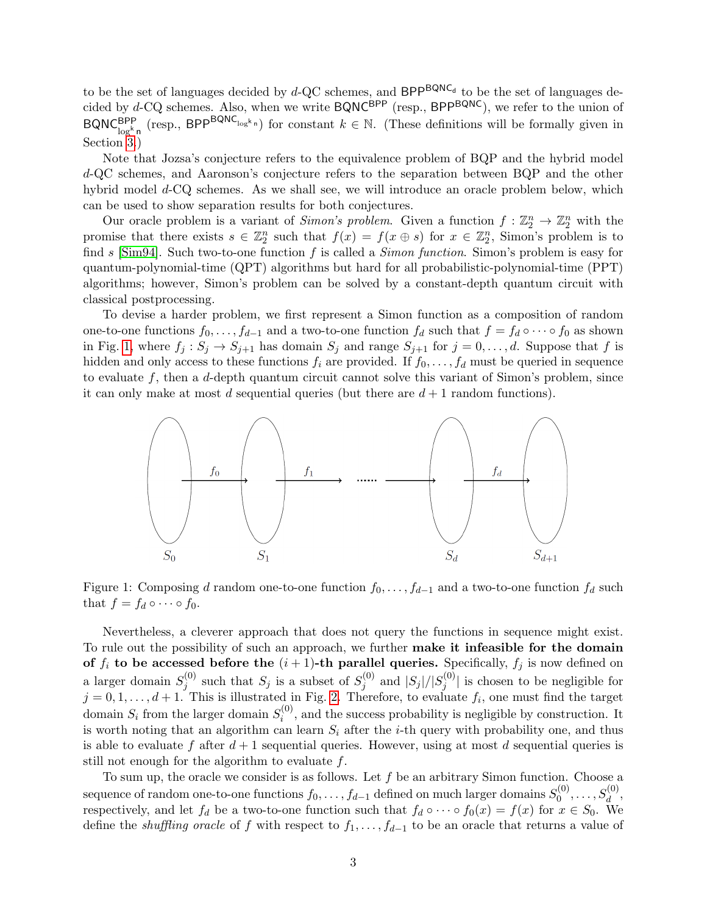to be the set of languages decided by  $d$ -QC schemes, and  $BPP^{BQNC_d}$  to be the set of languages decided by d-CQ schemes. Also, when we write BQNC<sup>BPP</sup> (resp., BPP<sup>BQNC</sup>), we refer to the union of  $BQNC_{\log^k n}^{BPP}$  (resp.,  $BPP^{BQNC_{\log^k n}}$ ) for constant  $k \in \mathbb{N}$ . (These definitions will be formally given in Section [3.](#page-7-0))

Note that Jozsa's conjecture refers to the equivalence problem of BQP and the hybrid model d-QC schemes, and Aaronson's conjecture refers to the separation between BQP and the other hybrid model d-CQ schemes. As we shall see, we will introduce an oracle problem below, which can be used to show separation results for both conjectures.

Our oracle problem is a variant of *Simon's problem*. Given a function  $f: \mathbb{Z}_2^n \to \mathbb{Z}_2^n$  with the promise that there exists  $s \in \mathbb{Z}_2^n$  such that  $f(x) = f(x \oplus s)$  for  $x \in \mathbb{Z}_2^n$ , Simon's problem is to find s [\[Sim94\]](#page-39-6). Such two-to-one function f is called a *Simon function*. Simon's problem is easy for quantum-polynomial-time (QPT) algorithms but hard for all probabilistic-polynomial-time (PPT) algorithms; however, Simon's problem can be solved by a constant-depth quantum circuit with classical postprocessing.

To devise a harder problem, we first represent a Simon function as a composition of random one-to-one functions  $f_0, \ldots, f_{d-1}$  and a two-to-one function  $f_d$  such that  $f = f_d \circ \cdots \circ f_0$  as shown in Fig. [1,](#page-2-0) where  $f_j : S_j \to S_{j+1}$  has domain  $S_j$  and range  $S_{j+1}$  for  $j = 0, \ldots, d$ . Suppose that f is hidden and only access to these functions  $f_i$  are provided. If  $f_0, \ldots, f_d$  must be queried in sequence to evaluate  $f$ , then a d-depth quantum circuit cannot solve this variant of Simon's problem, since it can only make at most d sequential queries (but there are  $d+1$  random functions).

<span id="page-2-0"></span>

Figure 1: Composing d random one-to-one function  $f_0, \ldots, f_{d-1}$  and a two-to-one function  $f_d$  such that  $f = f_d \circ \cdots \circ f_0$ .

Nevertheless, a cleverer approach that does not query the functions in sequence might exist. To rule out the possibility of such an approach, we further make it infeasible for the domain of  $f_i$  to be accessed before the  $(i + 1)$ -th parallel queries. Specifically,  $f_j$  is now defined on a larger domain  $S_i^{(0)}$  $j^{(0)}$  such that  $S_j$  is a subset of  $S_j^{(0)}$  $j^{(0)}$  and  $|S_j|/|S_j^{(0)}$  $j^{(0)}$  is chosen to be negligible for  $j = 0, 1, \ldots, d + 1$ . This is illustrated in Fig. [2.](#page-3-1) Therefore, to evaluate  $f_i$ , one must find the target domain  $S_i$  from the larger domain  $S_i^{(0)}$  $i^{(0)}$ , and the success probability is negligible by construction. It is worth noting that an algorithm can learn  $S_i$  after the *i*-th query with probability one, and thus is able to evaluate f after  $d+1$  sequential queries. However, using at most d sequential queries is still not enough for the algorithm to evaluate  $f$ .

To sum up, the oracle we consider is as follows. Let  $f$  be an arbitrary Simon function. Choose a sequence of random one-to-one functions  $f_0, \ldots, f_{d-1}$  defined on much larger domains  $S_0^{(0)}$  $S_d^{(0)}, \ldots, S_d^{(0)},$ respectively, and let  $f_d$  be a two-to-one function such that  $f_d \circ \cdots \circ f_0(x) = f(x)$  for  $x \in S_0$ . We define the *shuffling oracle* of f with respect to  $f_1, \ldots, f_{d-1}$  to be an oracle that returns a value of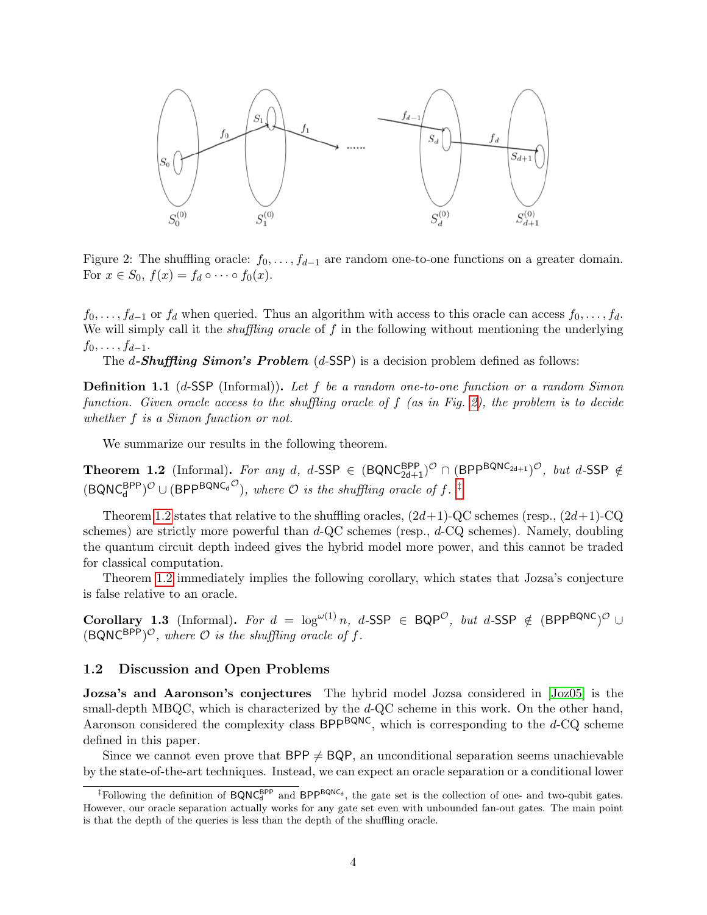<span id="page-3-1"></span>

Figure 2: The shuffling oracle:  $f_0, \ldots, f_{d-1}$  are random one-to-one functions on a greater domain. For  $x \in S_0$ ,  $f(x) = f_d \circ \cdots \circ f_0(x)$ .

 $f_0, \ldots, f_{d-1}$  or  $f_d$  when queried. Thus an algorithm with access to this oracle can access  $f_0, \ldots, f_d$ . We will simply call it the *shuffling oracle* of  $f$  in the following without mentioning the underlying  $f_0, \ldots, f_{d-1}.$ 

The d-Shuffling Simon's Problem  $(d$ -SSP) is a decision problem defined as follows:

**Definition 1.1** (d-SSP (Informal)). Let f be a random one-to-one function or a random Simon function. Given oracle access to the shuffling oracle of f (as in Fig. [2\)](#page-3-1), the problem is to decide whether f is a Simon function or not.

We summarize our results in the following theorem.

<span id="page-3-3"></span>**Theorem 1.2** (Informal). For any d, d-SSP  $\in$   $(\textsf{BQNC}_{2d+1}^{\textsf{BPP}})^{\mathcal{O}} \cap (\textsf{BPP}^{\textsf{BQNC}}_{2d+1})^{\mathcal{O}}$ , but d-SSP  $\notin$  $(\text{BQNC}_d^{\text{BPP}})^{\mathcal{O}} \cup (\text{BPP}^{\text{BQNC}_d \mathcal{O}}),$  where  $\mathcal O$  is the shuffling oracle of f.  $\overline{f}$ 

Theorem [1.2](#page-3-3) states that relative to the shuffling oracles,  $(2d+1)$ -QC schemes (resp.,  $(2d+1)$ -CQ schemes) are strictly more powerful than  $d$ -QC schemes (resp.,  $d$ -CQ schemes). Namely, doubling the quantum circuit depth indeed gives the hybrid model more power, and this cannot be traded for classical computation.

Theorem [1.2](#page-3-3) immediately implies the following corollary, which states that Jozsa's conjecture is false relative to an oracle.

Corollary 1.3 (Informal). For  $d = \log^{\omega(1)} n$ , d-SSP  $\in$  BQP<sup>O</sup>, but d-SSP  $\notin$  (BPP<sup>BQNC</sup>)<sup>O</sup> ∪  $(BQNC^{BPP})^{\mathcal{O}}$ , where  $\mathcal O$  is the shuffling oracle of f.

## <span id="page-3-0"></span>1.2 Discussion and Open Problems

Jozsa's and Aaronson's conjectures The hybrid model Jozsa considered in [\[Joz05\]](#page-39-5) is the small-depth MBQC, which is characterized by the d-QC scheme in this work. On the other hand, Aaronson considered the complexity class  $BPP^{BQNC}$ , which is corresponding to the d-CQ scheme defined in this paper.

Since we cannot even prove that  $BPP \neq BQP$ , an unconditional separation seems unachievable by the state-of-the-art techniques. Instead, we can expect an oracle separation or a conditional lower

<span id="page-3-2"></span><sup>&</sup>lt;sup>‡</sup>Following the definition of  $BQNC_d^{BPP}$  and  $BPP^{BQNC_d}$ , the gate set is the collection of one- and two-qubit gates. However, our oracle separation actually works for any gate set even with unbounded fan-out gates. The main point is that the depth of the queries is less than the depth of the shuffling oracle.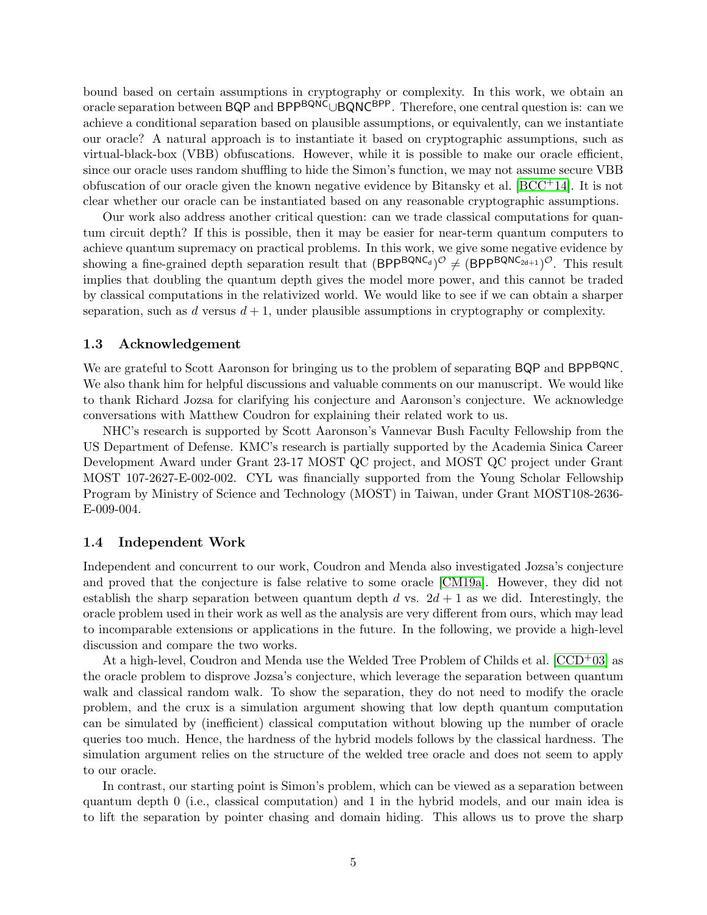bound based on certain assumptions in cryptography or complexity. In this work, we obtain an oracle separation between BQP and BPP<sup>BQNC</sup>∪BQNC<sup>BPP</sup>. Therefore, one central question is: can we achieve a conditional separation based on plausible assumptions, or equivalently, can we instantiate our oracle? A natural approach is to instantiate it based on cryptographic assumptions, such as virtual-black-box (VBB) obfuscations. However, while it is possible to make our oracle efficient, since our oracle uses random shuffling to hide the Simon's function, we may not assume secure VBB obfuscation of our oracle given the known negative evidence by Bitansky et al.  $[BCC^+14]$  $[BCC^+14]$ . It is not clear whether our oracle can be instantiated based on any reasonable cryptographic assumptions.

Our work also address another critical question: can we trade classical computations for quantum circuit depth? If this is possible, then it may be easier for near-term quantum computers to achieve quantum supremacy on practical problems. In this work, we give some negative evidence by showing a fine-grained depth separation result that  $(BPP^{BQNC_d})^{\mathcal{O}} \neq (BPP^{BQNC_{2d+1}})^{\mathcal{O}}$ . This result implies that doubling the quantum depth gives the model more power, and this cannot be traded by classical computations in the relativized world. We would like to see if we can obtain a sharper separation, such as d versus  $d+1$ , under plausible assumptions in cryptography or complexity.

#### 1.3 Acknowledgement

We are grateful to Scott Aaronson for bringing us to the problem of separating BQP and BPP<sup>BQNC</sup>. We also thank him for helpful discussions and valuable comments on our manuscript. We would like to thank Richard Jozsa for clarifying his conjecture and Aaronson's conjecture. We acknowledge conversations with Matthew Coudron for explaining their related work to us.

NHC's research is supported by Scott Aaronson's Vannevar Bush Faculty Fellowship from the US Department of Defense. KMC's research is partially supported by the Academia Sinica Career Development Award under Grant 23-17 MOST QC project, and MOST QC project under Grant MOST 107-2627-E-002-002. CYL was financially supported from the Young Scholar Fellowship Program by Ministry of Science and Technology (MOST) in Taiwan, under Grant MOST108-2636- E-009-004.

#### 1.4 Independent Work

Independent and concurrent to our work, Coudron and Menda also investigated Jozsa's conjecture and proved that the conjecture is false relative to some oracle [\[CM19a\]](#page-39-7). However, they did not establish the sharp separation between quantum depth d vs.  $2d + 1$  as we did. Interestingly, the oracle problem used in their work as well as the analysis are very different from ours, which may lead to incomparable extensions or applications in the future. In the following, we provide a high-level discussion and compare the two works.

At a high-level, Coudron and Menda use the Welded Tree Problem of Childs et al.  $[CCD<sup>+</sup>03]$  $[CCD<sup>+</sup>03]$  as the oracle problem to disprove Jozsa's conjecture, which leverage the separation between quantum walk and classical random walk. To show the separation, they do not need to modify the oracle problem, and the crux is a simulation argument showing that low depth quantum computation can be simulated by (inefficient) classical computation without blowing up the number of oracle queries too much. Hence, the hardness of the hybrid models follows by the classical hardness. The simulation argument relies on the structure of the welded tree oracle and does not seem to apply to our oracle.

In contrast, our starting point is Simon's problem, which can be viewed as a separation between quantum depth 0 (i.e., classical computation) and 1 in the hybrid models, and our main idea is to lift the separation by pointer chasing and domain hiding. This allows us to prove the sharp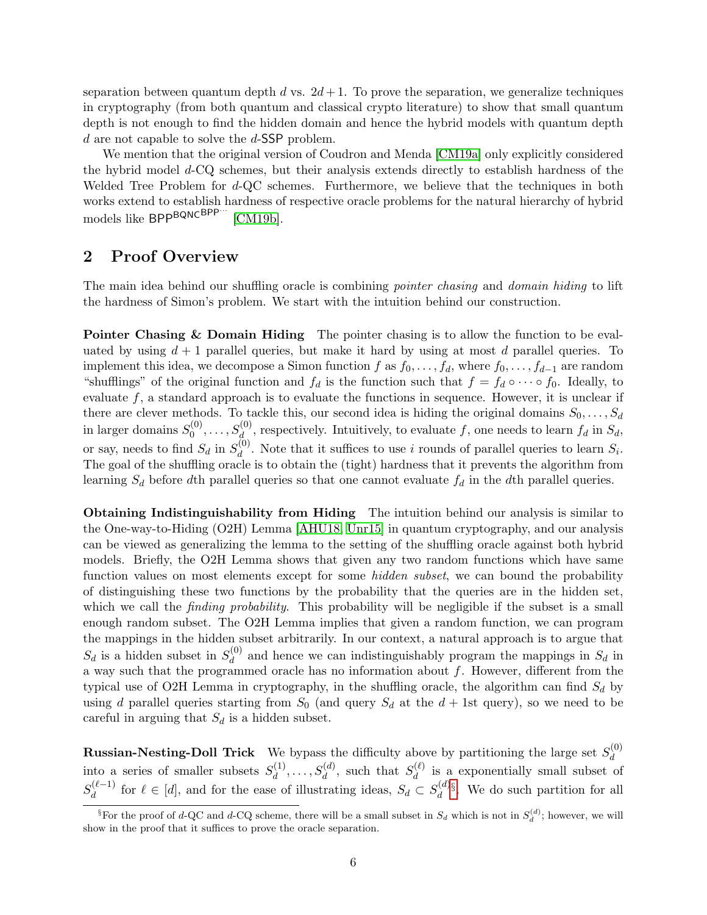separation between quantum depth d vs.  $2d+1$ . To prove the separation, we generalize techniques in cryptography (from both quantum and classical crypto literature) to show that small quantum depth is not enough to find the hidden domain and hence the hybrid models with quantum depth d are not capable to solve the d-SSP problem.

We mention that the original version of Coudron and Menda [\[CM19a\]](#page-39-7) only explicitly considered the hybrid model d-CQ schemes, but their analysis extends directly to establish hardness of the Welded Tree Problem for d-QC schemes. Furthermore, we believe that the techniques in both works extend to establish hardness of respective oracle problems for the natural hierarchy of hybrid models like BPP<sup>BQNCBPP…</sup> [\[CM19b\]](#page-39-8).

### 2 Proof Overview

The main idea behind our shuffling oracle is combining *pointer chasing* and *domain hiding* to lift the hardness of Simon's problem. We start with the intuition behind our construction.

Pointer Chasing & Domain Hiding The pointer chasing is to allow the function to be evaluated by using  $d+1$  parallel queries, but make it hard by using at most d parallel queries. To implement this idea, we decompose a Simon function f as  $f_0, \ldots, f_d$ , where  $f_0, \ldots, f_{d-1}$  are random "shufflings" of the original function and  $f_d$  is the function such that  $f = f_d \circ \cdots \circ f_0$ . Ideally, to evaluate  $f$ , a standard approach is to evaluate the functions in sequence. However, it is unclear if there are clever methods. To tackle this, our second idea is hiding the original domains  $S_0, \ldots, S_d$ in larger domains  $S_0^{(0)}$  $S_0^{(0)}, \ldots, S_d^{(0)}$ , respectively. Intuitively, to evaluate f, one needs to learn  $f_d$  in  $S_d$ , or say, needs to find  $S_d$  in  $S_d^{(0)}$  $d_d^{(0)}$ . Note that it suffices to use i rounds of parallel queries to learn  $S_i$ . The goal of the shuffling oracle is to obtain the (tight) hardness that it prevents the algorithm from learning  $S_d$  before dth parallel queries so that one cannot evaluate  $f_d$  in the dth parallel queries.

Obtaining Indistinguishability from Hiding The intuition behind our analysis is similar to the One-way-to-Hiding (O2H) Lemma [\[AHU18,](#page-38-8) [Unr15\]](#page-39-9) in quantum cryptography, and our analysis can be viewed as generalizing the lemma to the setting of the shuffling oracle against both hybrid models. Briefly, the O2H Lemma shows that given any two random functions which have same function values on most elements except for some *hidden subset*, we can bound the probability of distinguishing these two functions by the probability that the queries are in the hidden set, which we call the *finding probability*. This probability will be negligible if the subset is a small enough random subset. The O2H Lemma implies that given a random function, we can program the mappings in the hidden subset arbitrarily. In our context, a natural approach is to argue that  $S_d$  is a hidden subset in  $S_d^{(0)}$  $d_d^{(0)}$  and hence we can indistinguishably program the mappings in  $S_d$  in a way such that the programmed oracle has no information about  $f$ . However, different from the typical use of O2H Lemma in cryptography, in the shuffling oracle, the algorithm can find  $S_d$  by using d parallel queries starting from  $S_0$  (and query  $S_d$  at the  $d + 1$ st query), so we need to be careful in arguing that  $S_d$  is a hidden subset.

**Russian-Nesting-Doll Trick** We bypass the difficulty above by partitioning the large set  $S_d^{(0)}$ d into a series of smaller subsets  $S_d^{(1)}$  $d_d^{(1)}, \ldots, S_d^{(d)}$ , such that  $S_d^{(\ell)}$  $\frac{d}{d}$  is a exponentially small subset of  $S_d^{(\ell-1)}$  $\mathcal{A}_{d}^{(\ell-1)}$  for  $\ell \in [d]$ , and for the ease of illustrating ideas,  $S_d \subset S_d^{(d)}$  $\mathcal{L}_d^{(d)}$ . We do such partition for all

<span id="page-5-0"></span><sup>&</sup>lt;sup>§</sup>For the proof of d-QC and d-CQ scheme, there will be a small subset in  $S_d$  which is not in  $S_d^{(d)}$ ; however, we will show in the proof that it suffices to prove the oracle separation.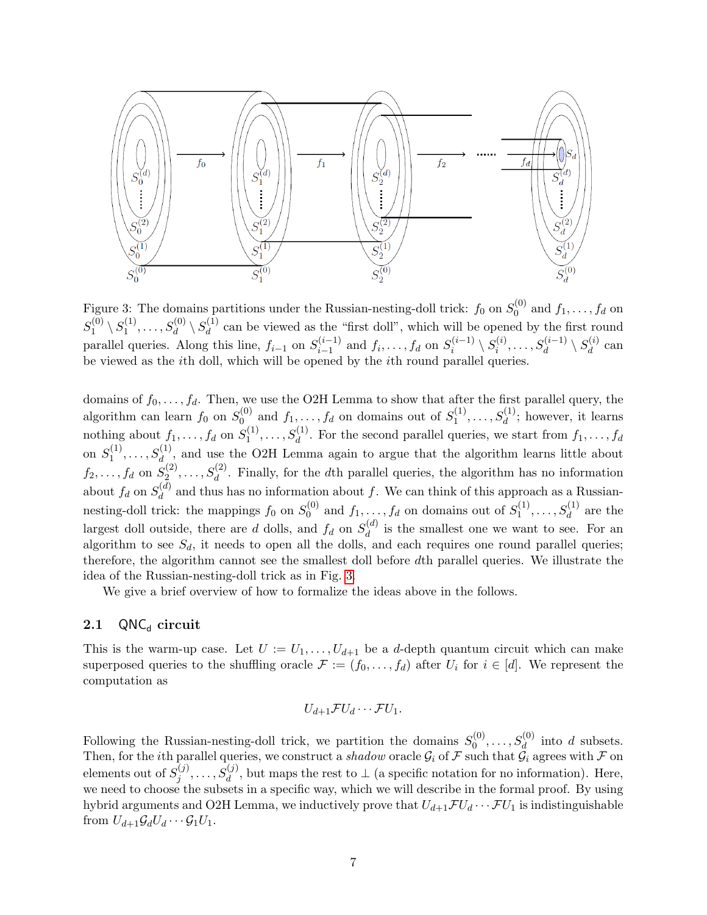

<span id="page-6-0"></span>Figure 3: The domains partitions under the Russian-nesting-doll trick:  $f_0$  on  $S_0^{(0)}$  $j_0^{(0)}$  and  $f_1, \ldots, f_d$  on  $S_1^{(0)}$  $\langle 0 \rangle \setminus S_1^{(1)}$  $S_d^{(1)}, \ldots, S_d^{(0)} \setminus S_d^{(1)}$  $\frac{d^{(1)}}{d}$  can be viewed as the "first doll", which will be opened by the first round parallel queries. Along this line,  $f_{i-1}$  on  $S_{i-1}^{(i-1)}$  $j_{i-1}^{(i-1)}$  and  $f_i, \ldots, f_d$  on  $S_i^{(i-1)}$  $\overline{s_i^{(i-1)}}\setminus S_i^{(i)}$  $s^{(i)}_i, \ldots, S^{(i-1)}_d \setminus S^{(i)}_d$  $d^{(i)}$  can be viewed as the ith doll, which will be opened by the ith round parallel queries.

domains of  $f_0, \ldots, f_d$ . Then, we use the O2H Lemma to show that after the first parallel query, the algorithm can learn  $f_0$  on  $S_0^{(0)}$  $\mathcal{L}_0^{(0)}$  and  $f_1, \ldots, f_d$  on domains out of  $S_1^{(1)}$  $S_1^{(1)}, \ldots, S_d^{(1)}$ ; however, it learns nothing about  $f_1, \ldots, f_d$  on  $S_1^{(1)}$  $S_1^{(1)}, \ldots, S_d^{(1)}$ . For the second parallel queries, we start from  $f_1, \ldots, f_d$ on  $S_1^{(1)}$  $S_1^{(1)}, \ldots, S_d^{(1)}$ , and use the O2H Lemma again to argue that the algorithm learns little about  $f_2, \ldots, f_d$  on  $S_2^{(2)}$  $S_2^{(2)}, \ldots, S_d^{(2)}$ . Finally, for the dth parallel queries, the algorithm has no information about  $f_d$  on  $S_d^{(d)}$  $d_d^{(a)}$  and thus has no information about f. We can think of this approach as a Russiannesting-doll trick: the mappings  $f_0$  on  $S_0^{(0)}$  $y_0^{(0)}$  and  $f_1, \ldots, f_d$  on domains out of  $S_1^{(1)}$  $s_1^{(1)}, \ldots, s_d^{(1)}$  are the largest doll outside, there are d dolls, and  $f_d$  on  $S_d^{(d)}$  $\frac{d^{(a)}}{d}$  is the smallest one we want to see. For an algorithm to see  $S_d$ , it needs to open all the dolls, and each requires one round parallel queries; therefore, the algorithm cannot see the smallest doll before dth parallel queries. We illustrate the idea of the Russian-nesting-doll trick as in Fig. [3.](#page-6-0)

We give a brief overview of how to formalize the ideas above in the follows.

### 2.1  $QNC_d$  circuit

This is the warm-up case. Let  $U := U_1, \ldots, U_{d+1}$  be a d-depth quantum circuit which can make superposed queries to the shuffling oracle  $\mathcal{F} := (f_0, \ldots, f_d)$  after  $U_i$  for  $i \in [d]$ . We represent the computation as

$$
U_{d+1}\mathcal{F}U_d\cdots\mathcal{F}U_1.
$$

Following the Russian-nesting-doll trick, we partition the domains  $S_0^{(0)}$  $S_0^{(0)}, \ldots, S_d^{(0)}$  into d subsets. Then, for the *i*th parallel queries, we construct a *shadow* oracle  $\mathcal{G}_i$  of  $\mathcal F$  such that  $\mathcal{G}_i$  agrees with  $\mathcal F$  on elements out of  $S_i^{(j)}$  $j_j^{(j)}, \ldots, S_d^{(j)}$ , but maps the rest to  $\perp$  (a specific notation for no information). Here, we need to choose the subsets in a specific way, which we will describe in the formal proof. By using hybrid arguments and O2H Lemma, we inductively prove that  $U_{d+1} \mathcal{F} U_d \cdots \mathcal{F} U_1$  is indistinguishable from  $U_{d+1}\mathcal{G}_dU_d\cdots\mathcal{G}_1U_1$ .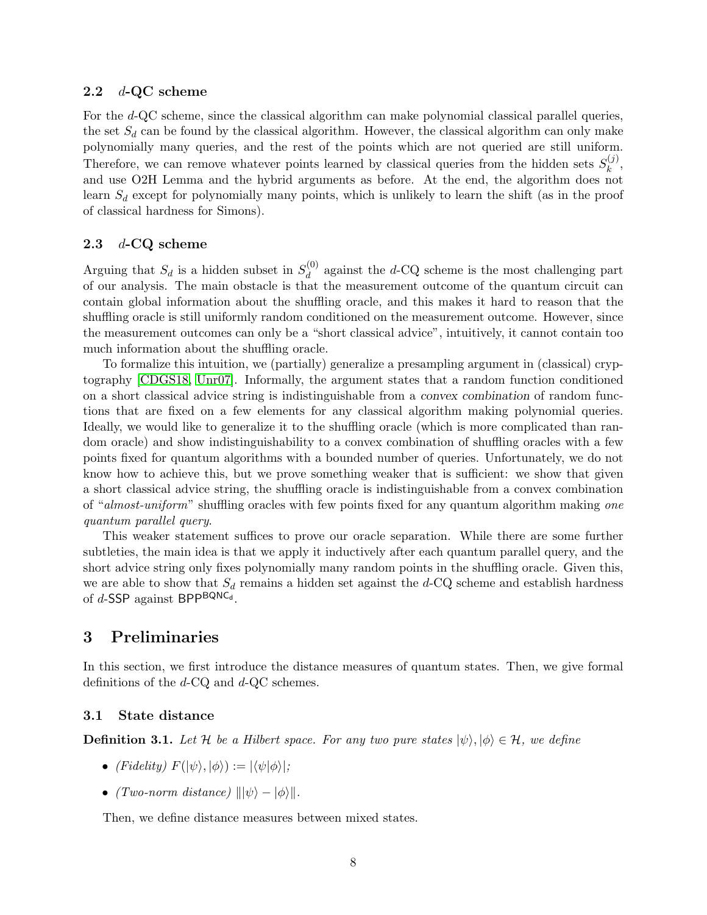#### 2.2  $d$ -QC scheme

For the d-QC scheme, since the classical algorithm can make polynomial classical parallel queries, the set  $S_d$  can be found by the classical algorithm. However, the classical algorithm can only make polynomially many queries, and the rest of the points which are not queried are still uniform. Therefore, we can remove whatever points learned by classical queries from the hidden sets  $S_k^{(j)}$  $\binom{J}{k}$ and use O2H Lemma and the hybrid arguments as before. At the end, the algorithm does not learn  $S_d$  except for polynomially many points, which is unlikely to learn the shift (as in the proof of classical hardness for Simons).

#### 2.3  $d$ -CQ scheme

Arguing that  $S_d$  is a hidden subset in  $S_d^{(0)}$  $d_d^{(0)}$  against the d-CQ scheme is the most challenging part of our analysis. The main obstacle is that the measurement outcome of the quantum circuit can contain global information about the shuffling oracle, and this makes it hard to reason that the shuffling oracle is still uniformly random conditioned on the measurement outcome. However, since the measurement outcomes can only be a "short classical advice", intuitively, it cannot contain too much information about the shuffling oracle.

To formalize this intuition, we (partially) generalize a presampling argument in (classical) cryptography [\[CDGS18,](#page-38-9) [Unr07\]](#page-39-10). Informally, the argument states that a random function conditioned on a short classical advice string is indistinguishable from a convex combination of random functions that are fixed on a few elements for any classical algorithm making polynomial queries. Ideally, we would like to generalize it to the shuffling oracle (which is more complicated than random oracle) and show indistinguishability to a convex combination of shuffling oracles with a few points fixed for quantum algorithms with a bounded number of queries. Unfortunately, we do not know how to achieve this, but we prove something weaker that is sufficient: we show that given a short classical advice string, the shuffling oracle is indistinguishable from a convex combination of "almost-uniform" shuffling oracles with few points fixed for any quantum algorithm making one quantum parallel query.

This weaker statement suffices to prove our oracle separation. While there are some further subtleties, the main idea is that we apply it inductively after each quantum parallel query, and the short advice string only fixes polynomially many random points in the shuffling oracle. Given this, we are able to show that  $S_d$  remains a hidden set against the  $d$ -CQ scheme and establish hardness of d-SSP against BPP<sup>BQNC</sup>d.

## <span id="page-7-0"></span>3 Preliminaries

In this section, we first introduce the distance measures of quantum states. Then, we give formal definitions of the d-CQ and d-QC schemes.

#### 3.1 State distance

**Definition 3.1.** Let H be a Hilbert space. For any two pure states  $|\psi\rangle, |\phi\rangle \in \mathcal{H}$ , we define

- (Fidelity)  $F(|\psi\rangle, |\phi\rangle) := |\langle \psi|\phi\rangle|;$
- (Two-norm distance)  $\|\psi\rangle \phi\rangle\|$ .

Then, we define distance measures between mixed states.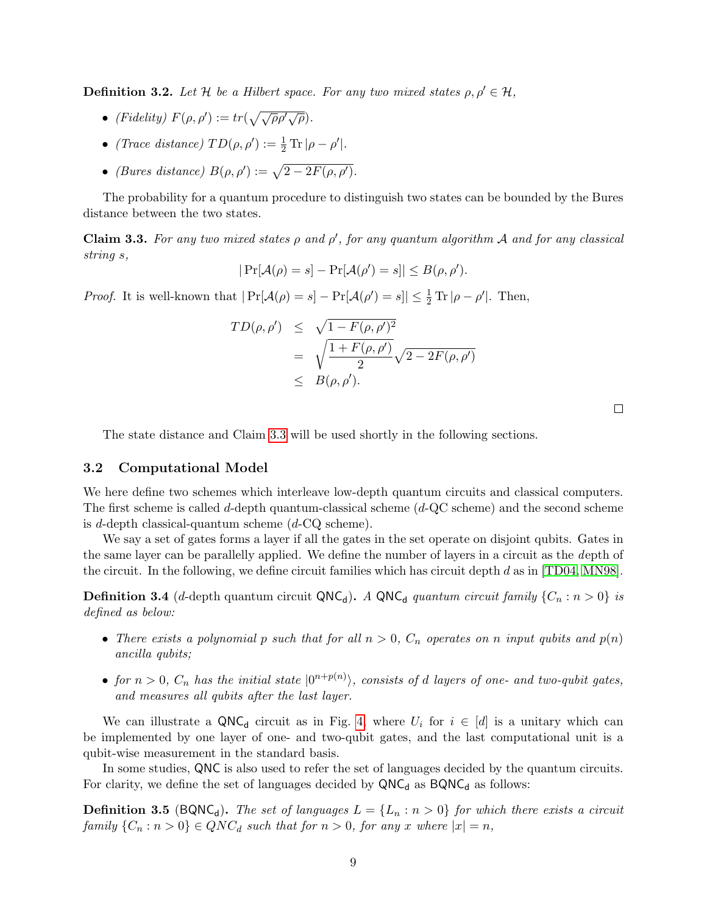**Definition 3.2.** Let H be a Hilbert space. For any two mixed states  $\rho, \rho' \in \mathcal{H}$ ,

- (Fidelity)  $F(\rho, \rho') := tr(\sqrt{\sqrt{\rho} \rho' \sqrt{\rho}})$ .
- (Trace distance)  $TD(\rho, \rho') := \frac{1}{2} \operatorname{Tr} |\rho \rho'|.$
- (Bures distance)  $B(\rho, \rho') := \sqrt{2 2F(\rho, \rho')}$ .

The probability for a quantum procedure to distinguish two states can be bounded by the Bures distance between the two states.

<span id="page-8-0"></span>**Claim 3.3.** For any two mixed states  $\rho$  and  $\rho'$ , for any quantum algorithm A and for any classical string s,

$$
|\Pr[\mathcal{A}(\rho) = s] - \Pr[\mathcal{A}(\rho') = s]| \leq B(\rho, \rho').
$$

*Proof.* It is well-known that  $|\Pr[\mathcal{A}(\rho) = s] - \Pr[\mathcal{A}(\rho') = s]| \leq \frac{1}{2} \text{Tr} |\rho - \rho'|$ . Then,

$$
TD(\rho, \rho') \leq \sqrt{1 - F(\rho, \rho')^2}
$$
  
= 
$$
\sqrt{\frac{1 + F(\rho, \rho')}{2}} \sqrt{2 - 2F(\rho, \rho')}
$$
  

$$
\leq B(\rho, \rho').
$$

 $\Box$ 

The state distance and Claim [3.3](#page-8-0) will be used shortly in the following sections.

#### 3.2 Computational Model

We here define two schemes which interleave low-depth quantum circuits and classical computers. The first scheme is called d-depth quantum-classical scheme  $(d$ -QC scheme) and the second scheme is d-depth classical-quantum scheme  $(d$ -CQ scheme).

We say a set of gates forms a layer if all the gates in the set operate on disjoint qubits. Gates in the same layer can be parallelly applied. We define the number of layers in a circuit as the depth of the circuit. In the following, we define circuit families which has circuit depth  $d$  as in [\[TD04,](#page-39-2) [MN98\]](#page-39-11).

<span id="page-8-1"></span>**Definition 3.4** (d-depth quantum circuit QNC<sub>d</sub>). A QNC<sub>d</sub> quantum circuit family  $\{C_n : n > 0\}$  is defined as below:

- There exists a polynomial p such that for all  $n > 0$ ,  $C_n$  operates on n input qubits and  $p(n)$ ancilla qubits;
- for  $n > 0$ ,  $C_n$  has the initial state  $|0^{n+p(n)}\rangle$ , consists of d layers of one- and two-qubit gates, and measures all qubits after the last layer.

We can illustrate a QNC<sub>d</sub> circuit as in Fig. [4,](#page-9-0) where  $U_i$  for  $i \in [d]$  is a unitary which can be implemented by one layer of one- and two-qubit gates, and the last computational unit is a qubit-wise measurement in the standard basis.

In some studies, QNC is also used to refer the set of languages decided by the quantum circuits. For clarity, we define the set of languages decided by  $QNC_d$  as  $BQNC_d$  as follows:

**Definition 3.5** (BQNC<sub>d</sub>). The set of languages  $L = \{L_n : n > 0\}$  for which there exists a circuit family  $\{C_n : n > 0\} \in QNC_d$  such that for  $n > 0$ , for any x where  $|x| = n$ ,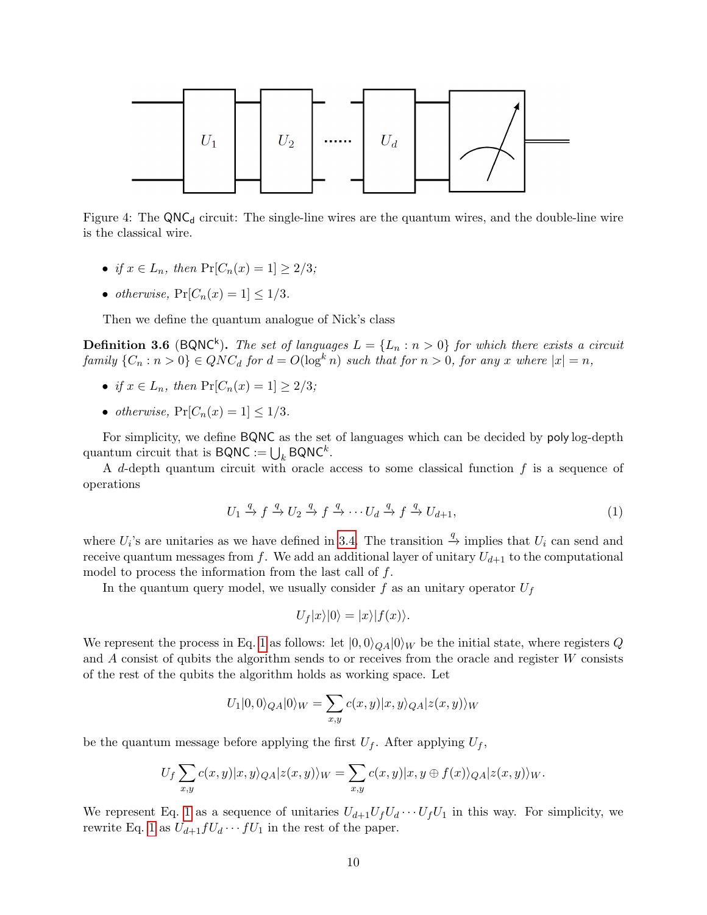

Figure 4: The  $QNC<sub>d</sub>$  circuit: The single-line wires are the quantum wires, and the double-line wire is the classical wire.

- if  $x \in L_n$ , then  $Pr[C_n(x) = 1] > 2/3$ ;
- otherwise,  $Pr[C_n(x) = 1] \leq 1/3$ .

Then we define the quantum analogue of Nick's class

**Definition 3.6** (BQNC<sup>k</sup>). The set of languages  $L = \{L_n : n > 0\}$  for which there exists a circuit family  $\{C_n : n > 0\} \in QNC_d$  for  $d = O(\log^k n)$  such that for  $n > 0$ , for any x where  $|x| = n$ ,

- if  $x \in L_n$ , then  $Pr[C_n(x) = 1] \geq 2/3$ ;
- otherwise,  $Pr[C_n(x) = 1] \leq 1/3$ .

For simplicity, we define BQNC as the set of languages which can be decided by poly log-depth quantum circuit that is  $\mathsf{BQNC}:=\bigcup_k \mathsf{BQNC}^k.$ 

A d-depth quantum circuit with oracle access to some classical function  $f$  is a sequence of operations

<span id="page-9-1"></span><span id="page-9-0"></span>
$$
U_1 \xrightarrow{q} f \xrightarrow{q} U_2 \xrightarrow{q} f \xrightarrow{q} \cdots U_d \xrightarrow{q} f \xrightarrow{q} U_{d+1}, \tag{1}
$$

where  $U_i$ 's are unitaries as we have defined in [3.4.](#page-8-1) The transition  $\stackrel{q}{\rightarrow}$  implies that  $U_i$  can send and receive quantum messages from f. We add an additional layer of unitary  $U_{d+1}$  to the computational model to process the information from the last call of  $f$ .

In the quantum query model, we usually consider f as an unitary operator  $U_f$ 

$$
U_f|x\rangle|0\rangle=|x\rangle|f(x)\rangle.
$$

We represent the process in Eq. [1](#page-9-1) as follows: let  $|0, 0\rangle_{QA}|0\rangle_W$  be the initial state, where registers Q and A consist of qubits the algorithm sends to or receives from the oracle and register W consists of the rest of the qubits the algorithm holds as working space. Let

$$
U_1|0,0\rangle_{QA}|0\rangle_W = \sum_{x,y} c(x,y)|x,y\rangle_{QA}|z(x,y)\rangle_W
$$

be the quantum message before applying the first  $U_f$ . After applying  $U_f$ ,

$$
U_f \sum_{x,y} c(x,y) |x,y\rangle_{QA} |z(x,y)\rangle_W = \sum_{x,y} c(x,y) |x,y \oplus f(x)\rangle_{QA} |z(x,y)\rangle_W.
$$

We represent Eq. [1](#page-9-1) as a sequence of unitaries  $U_{d+1}U_fU_d\cdots U_fU_1$  in this way. For simplicity, we rewrite Eq. [1](#page-9-1) as  $U_{d+1}fU_d \cdots fU_1$  in the rest of the paper.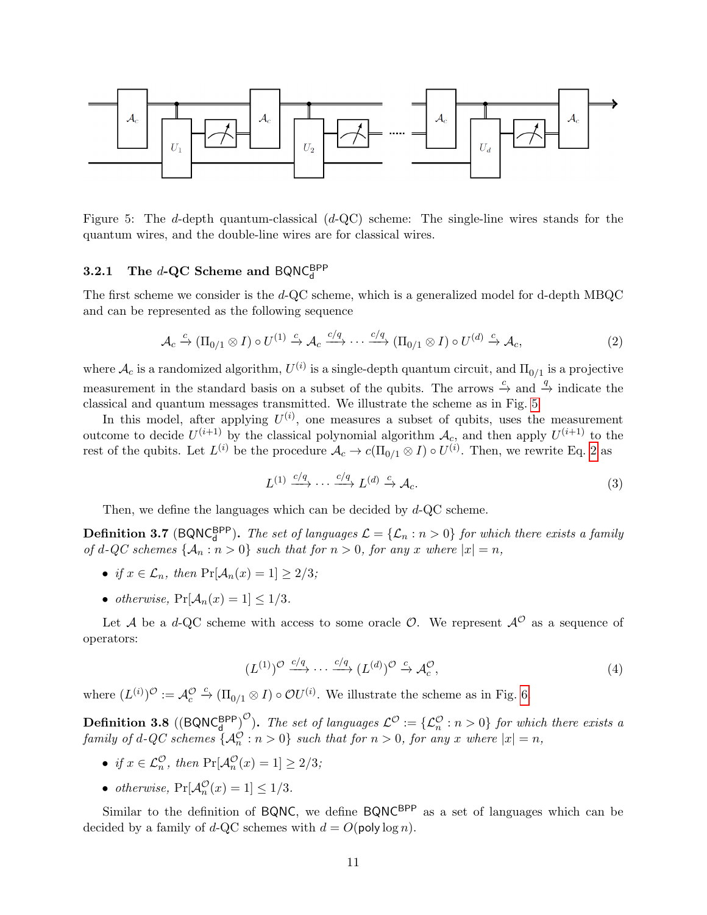

Figure 5: The d-depth quantum-classical (d-QC) scheme: The single-line wires stands for the quantum wires, and the double-line wires are for classical wires.

# **3.2.1** The d-QC Scheme and  $BQNC_d^{BPP}$

The first scheme we consider is the d-QC scheme, which is a generalized model for d-depth MBQC and can be represented as the following sequence

<span id="page-10-1"></span><span id="page-10-0"></span>
$$
\mathcal{A}_c \xrightarrow{c} (\Pi_{0/1} \otimes I) \circ U^{(1)} \xrightarrow{c} \mathcal{A}_c \xrightarrow{c/q} \cdots \xrightarrow{c/q} (\Pi_{0/1} \otimes I) \circ U^{(d)} \xrightarrow{c} \mathcal{A}_c,\tag{2}
$$

where  $\mathcal{A}_c$  is a randomized algorithm,  $U^{(i)}$  is a single-depth quantum circuit, and  $\Pi_{0/1}$  is a projective measurement in the standard basis on a subset of the qubits. The arrows  $\stackrel{c}{\rightarrow}$  and  $\stackrel{q}{\rightarrow}$  indicate the classical and quantum messages transmitted. We illustrate the scheme as in Fig. [5](#page-10-0)

In this model, after applying  $U^{(i)}$ , one measures a subset of qubits, uses the measurement outcome to decide  $U^{(i+1)}$  by the classical polynomial algorithm  $A_c$ , and then apply  $U^{(i+1)}$  to the rest of the qubits. Let  $L^{(i)}$  be the procedure  $\mathcal{A}_c \to c(\Pi_{0/1} \otimes I) \circ U^{(i)}$ . Then, we rewrite Eq. [2](#page-10-1) as

$$
L^{(1)} \xrightarrow{c/q} \cdots \xrightarrow{c/q} L^{(d)} \xrightarrow{c} \mathcal{A}_c. \tag{3}
$$

Then, we define the languages which can be decided by  $d$ -QC scheme.

**Definition 3.7** (BQNC $_G^{\text{BPP}}$ ). The set of languages  $\mathcal{L} = {\mathcal{L}_n : n > 0}$  for which there exists a family of d-QC schemes  $\{A_n : n > 0\}$  such that for  $n > 0$ , for any x where  $|x| = n$ ,

- if  $x \in \mathcal{L}_n$ , then  $\Pr[\mathcal{A}_n(x) = 1] \geq 2/3$ ;
- otherwise,  $Pr[\mathcal{A}_n(x) = 1] \leq 1/3$ .

Let A be a d-QC scheme with access to some oracle  $\mathcal{O}$ . We represent  $\mathcal{A}^{\mathcal{O}}$  as a sequence of operators:

$$
(L^{(1)})^{\mathcal{O}} \xrightarrow{c/q} \cdots \xrightarrow{c/q} (L^{(d)})^{\mathcal{O}} \xrightarrow{c} \mathcal{A}_c^{\mathcal{O}}, \tag{4}
$$

where  $(L^{(i)})^{\mathcal{O}} := \mathcal{A}_{c}^{\mathcal{O}} \xrightarrow{c} (\Pi_{0/1} \otimes I) \circ \mathcal{O}U^{(i)}$ . We illustrate the scheme as in Fig. [6.](#page-11-0)

**Definition 3.8** ((BQNC $_A^{BPP}$ ). The set of languages  $\mathcal{L}^{\mathcal{O}} := {\{\mathcal{L}_{n}^{\mathcal{O}} : n > 0\}}$  for which there exists a family of d-QC schemes  $\{\mathcal{A}_n^{\mathcal{O}} : n > 0\}$  such that for  $n > 0$ , for any x where  $|x| = n$ ,

- if  $x \in \mathcal{L}_n^{\mathcal{O}}$ , then  $\Pr[\mathcal{A}_n^{\mathcal{O}}(x) = 1] \geq 2/3$ ;
- otherwise,  $Pr[\mathcal{A}_n^{\mathcal{O}}(x) = 1] \le 1/3$ .

Similar to the definition of  $BQNC$ , we define  $BQNC^{BPP}$  as a set of languages which can be decided by a family of d-QC schemes with  $d = O(\text{poly}\log n)$ .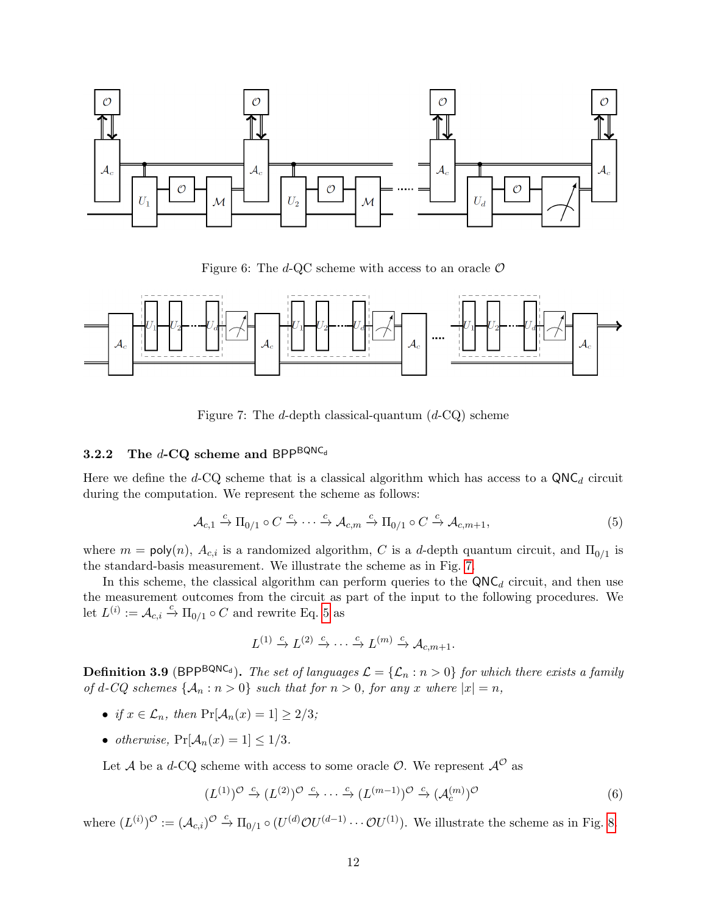

<span id="page-11-0"></span>Figure 6: The d-QC scheme with access to an oracle  $\mathcal O$ 



<span id="page-11-1"></span>Figure 7: The d-depth classical-quantum  $(d-CQ)$  scheme

### 3.2.2 The  $d$ -CQ scheme and BPP<sup>BQNC<sub>d</sub></sup>

Here we define the d-CQ scheme that is a classical algorithm which has access to a  $QNC_d$  circuit during the computation. We represent the scheme as follows:

<span id="page-11-2"></span>
$$
\mathcal{A}_{c,1} \xrightarrow{c} \Pi_{0/1} \circ C \xrightarrow{c} \cdots \xrightarrow{c} \mathcal{A}_{c,m} \xrightarrow{c} \Pi_{0/1} \circ C \xrightarrow{c} \mathcal{A}_{c,m+1},
$$
\n
$$
(5)
$$

where  $m = \text{poly}(n)$ ,  $A_{c,i}$  is a randomized algorithm, C is a d-depth quantum circuit, and  $\Pi_{0/1}$  is the standard-basis measurement. We illustrate the scheme as in Fig. [7.](#page-11-1)

In this scheme, the classical algorithm can perform queries to the  $QNC_d$  circuit, and then use the measurement outcomes from the circuit as part of the input to the following procedures. We let  $L^{(i)} := \mathcal{A}_{c,i} \xrightarrow{c} \Pi_{0/1} \circ C$  and rewrite Eq. [5](#page-11-2) as

$$
L^{(1)} \xrightarrow{c} L^{(2)} \xrightarrow{c} \cdots \xrightarrow{c} L^{(m)} \xrightarrow{c} \mathcal{A}_{c,m+1}.
$$

**Definition 3.9** (BPP<sup>BQNC<sub>d</sub>). The set of languages  $\mathcal{L} = {\mathcal{L}_n : n > 0}$  for which there exists a family</sup> of d-CQ schemes  $\{A_n : n > 0\}$  such that for  $n > 0$ , for any x where  $|x| = n$ ,

- if  $x \in \mathcal{L}_n$ , then  $\Pr[\mathcal{A}_n(x) = 1] \geq 2/3$ ;
- otherwise,  $Pr[\mathcal{A}_n(x) = 1] \leq 1/3$ .

Let  $\mathcal A$  be a d-CQ scheme with access to some oracle  $\mathcal O$ . We represent  $\mathcal A^{\mathcal O}$  as

$$
(L^{(1)})^{\mathcal{O}} \xrightarrow{c} (L^{(2)})^{\mathcal{O}} \xrightarrow{c} \cdots \xrightarrow{c} (L^{(m-1)})^{\mathcal{O}} \xrightarrow{c} (\mathcal{A}_c^{(m)})^{\mathcal{O}}
$$
(6)

where  $(L^{(i)})^{\mathcal{O}} := (\mathcal{A}_{c,i})^{\mathcal{O}} \stackrel{c}{\rightarrow} \Pi_{0/1} \circ (U^{(d)}\mathcal{O}U^{(d-1)} \cdots \mathcal{O}U^{(1)})$ . We illustrate the scheme as in Fig. [8.](#page-12-0)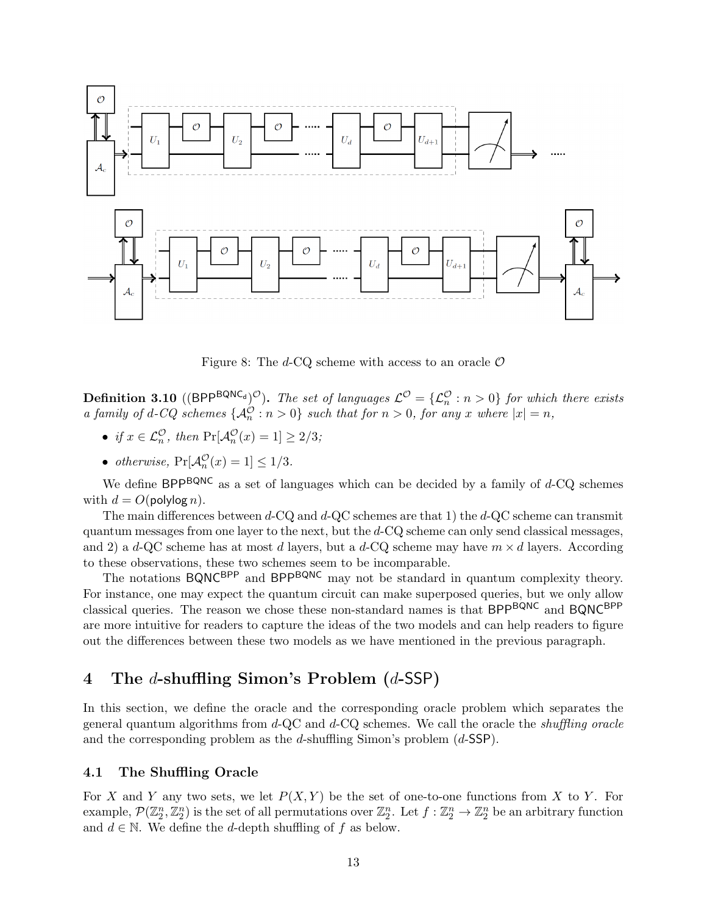

<span id="page-12-0"></span>Figure 8: The d-CQ scheme with access to an oracle  $\mathcal O$ 

**Definition 3.10** ((BPP<sup>BQNC<sub>d</sub>)<sup> $\mathcal{O}$ </sup>). The set of languages  $\mathcal{L}^{\mathcal{O}} = {\{\mathcal{L}_{n}^{\mathcal{O}} : n > 0\}}$  for which there exists</sup> a family of d-CQ schemes  $\{\mathcal{A}_n^{\mathcal{O}} : n > 0\}$  such that for  $n > 0$ , for any x where  $|x| = n$ ,

- if  $x \in \mathcal{L}_n^{\mathcal{O}}$ , then  $\Pr[\mathcal{A}_n^{\mathcal{O}}(x) = 1] \geq 2/3$ ;
- otherwise,  $Pr[\mathcal{A}_n^{\mathcal{O}}(x) = 1] \le 1/3$ .

We define  $BPP^{BQNC}$  as a set of languages which can be decided by a family of  $d$ -CQ schemes with  $d = O(\text{polylog } n)$ .

The main differences between  $d$ -CQ and  $d$ -QC schemes are that 1) the  $d$ -QC scheme can transmit quantum messages from one layer to the next, but the  $d$ -CQ scheme can only send classical messages. and 2) a d-QC scheme has at most d layers, but a d-CQ scheme may have  $m \times d$  layers. According to these observations, these two schemes seem to be incomparable.

The notations BQNC<sup>BPP</sup> and BPP<sup>BQNC</sup> may not be standard in quantum complexity theory. For instance, one may expect the quantum circuit can make superposed queries, but we only allow classical queries. The reason we chose these non-standard names is that BPPBQNC and BQNCBPP are more intuitive for readers to capture the ideas of the two models and can help readers to figure out the differences between these two models as we have mentioned in the previous paragraph.

## 4 The d-shuffling Simon's Problem (d-SSP)

In this section, we define the oracle and the corresponding oracle problem which separates the general quantum algorithms from  $d$ -QC and  $d$ -CQ schemes. We call the oracle the *shuffling oracle* and the corresponding problem as the d-shuffling Simon's problem  $(d$ -SSP).

#### 4.1 The Shuffling Oracle

For X and Y any two sets, we let  $P(X, Y)$  be the set of one-to-one functions from X to Y. For example,  $\mathcal{P}(\mathbb{Z}_2^n, \mathbb{Z}_2^n)$  is the set of all permutations over  $\mathbb{Z}_2^n$ . Let  $f: \mathbb{Z}_2^n \to \mathbb{Z}_2^n$  be an arbitrary function and  $d \in \mathbb{N}$ . We define the d-depth shuffling of f as below.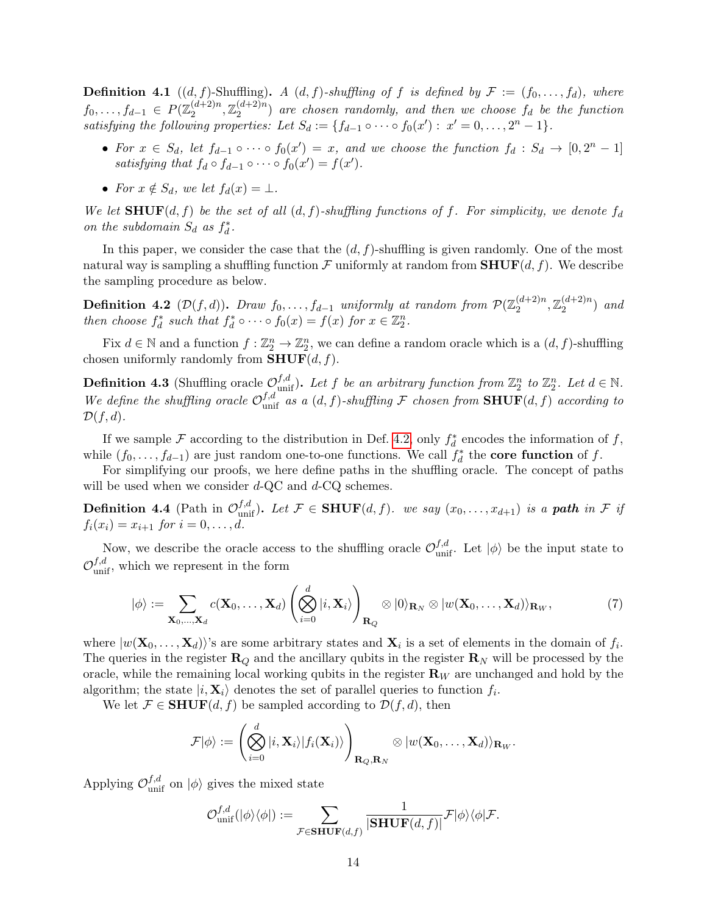**Definition 4.1** ((d, f)-Shuffling). A (d, f)-shuffling of f is defined by  $\mathcal{F} := (f_0, \ldots, f_d)$ , where  $f_0, \ldots, f_{d-1} \in P(\mathbb{Z}_2^{(d+2)n})$  $\mathbb{Z}_2^{(d+2)n}, \mathbb{Z}_2^{(d+2)n}$  $\binom{(d+2)n}{2}$  are chosen randomly, and then we choose  $f_d$  be the function satisfying the following properties: Let  $S_d := \{f_{d-1} \circ \cdots \circ f_0(x') : x' = 0, \ldots, 2^n - 1\}.$ 

- For  $x \in S_d$ , let  $f_{d-1} \circ \cdots \circ f_0(x') = x$ , and we choose the function  $f_d : S_d \to [0, 2^n 1]$ satisfying that  $f_d \circ f_{d-1} \circ \cdots \circ f_0(x') = f(x')$ .
- For  $x \notin S_d$ , we let  $f_d(x) = \perp$ .

We let  ${\bf SHUF}(d, f)$  be the set of all  $(d, f)$ -shuffling functions of f. For simplicity, we denote  $f_d$ on the subdomain  $S_d$  as  $f_d^*$ .

In this paper, we consider the case that the  $(d, f)$ -shuffling is given randomly. One of the most natural way is sampling a shuffling function  $\mathcal F$  uniformly at random from  $\text{SHUF}(d, f)$ . We describe the sampling procedure as below.

<span id="page-13-0"></span>**Definition 4.2** (D(f,d)). Draw  $f_0, \ldots, f_{d-1}$  uniformly at random from  $\mathcal{P}(\mathbb{Z}_2^{(d+2)n})$  $\mathbb{Z}_2^{(d+2)n}, \mathbb{Z}_2^{(d+2)n}$  $\binom{(a+2)n}{2}$  and then choose  $f_d^*$  such that  $f_d^* \circ \cdots \circ f_0(x) = f(x)$  for  $x \in \mathbb{Z}_2^n$ .

Fix  $d \in \mathbb{N}$  and a function  $f: \mathbb{Z}_2^n \to \mathbb{Z}_2^n$ , we can define a random oracle which is a  $(d, f)$ -shuffling chosen uniformly randomly from  $\text{SHUF}(d, f)$ .

**Definition 4.3** (Shuffling oracle  $\mathcal{O}_{\text{unif}}^{f,d}$ ). Let f be an arbitrary function from  $\mathbb{Z}_2^n$  to  $\mathbb{Z}_2^n$ . Let  $d \in \mathbb{N}$ . We define the shuffling oracle  $\mathcal{O}_{\text{unif}}^{f,d}$  as a  $(d, f)$ -shuffling F chosen from  $\text{SHUF}(d, f)$  according to  $\mathcal{D}(f,d).$ 

If we sample F according to the distribution in Def. [4.2,](#page-13-0) only  $f_d^*$  encodes the information of f, while  $(f_0, \ldots, f_{d-1})$  are just random one-to-one functions. We call  $f_d^*$  the **core function** of f.

For simplifying our proofs, we here define paths in the shuffling oracle. The concept of paths will be used when we consider  $d$ -QC and  $d$ -CQ schemes.

**Definition 4.4** (Path in  $\mathcal{O}_{\text{unif}}^{f,d}$ ). Let  $\mathcal{F} \in \text{SHUF}(d, f)$ . we say  $(x_0, \ldots, x_{d+1})$  is a path in  $\mathcal{F}$  if  $f_i(x_i) = x_{i+1}$  for  $i = 0, ..., d$ .

Now, we describe the oracle access to the shuffling oracle  $\mathcal{O}_{\text{unif}}^{f,d}$ . Let  $|\phi\rangle$  be the input state to  $\mathcal{O}_{\text{unif}}^{f,d}$ , which we represent in the form

$$
|\phi\rangle := \sum_{\mathbf{X}_0,\ldots,\mathbf{X}_d} c(\mathbf{X}_0,\ldots,\mathbf{X}_d) \left( \bigotimes_{i=0}^d |i,\mathbf{X}_i \rangle \right)_{\mathbf{R}_Q} \otimes |0\rangle_{\mathbf{R}_N} \otimes |w(\mathbf{X}_0,\ldots,\mathbf{X}_d)\rangle_{\mathbf{R}_W},\tag{7}
$$

where  $|w(\mathbf{X}_0,\ldots,\mathbf{X}_d)\rangle$ 's are some arbitrary states and  $\mathbf{X}_i$  is a set of elements in the domain of  $f_i$ . The queries in the register  $\mathbf{R}_Q$  and the ancillary qubits in the register  $\mathbf{R}_N$  will be processed by the oracle, while the remaining local working qubits in the register  $\mathbf{R}_W$  are unchanged and hold by the algorithm; the state  $|i, \mathbf{X}_i\rangle$  denotes the set of parallel queries to function  $f_i$ .

We let  $\mathcal{F} \in \textbf{SHUF}(d, f)$  be sampled according to  $\mathcal{D}(f, d)$ , then

$$
\mathcal{F}|\phi\rangle:=\left(\bigotimes_{i=0}^d|i,\mathbf{X}_i\rangle|f_i(\mathbf{X}_i)\rangle\right)_{\mathbf{R}_Q,\mathbf{R}_N}\otimes|w(\mathbf{X}_0,\ldots,\mathbf{X}_d)\rangle_{\mathbf{R}_W}.
$$

Applying  $\mathcal{O}_{\text{unif}}^{f,d}$  on  $|\phi\rangle$  gives the mixed state

$$
\mathcal{O}_{\rm unif}^{f,d}(|\phi\rangle\langle\phi|):=\sum_{\mathcal{F}\in {\bf SHUF}(d,f)}\frac{1}{|{\bf SHUF}(d,f)|}\mathcal{F}|\phi\rangle\langle\phi|\mathcal{F}.
$$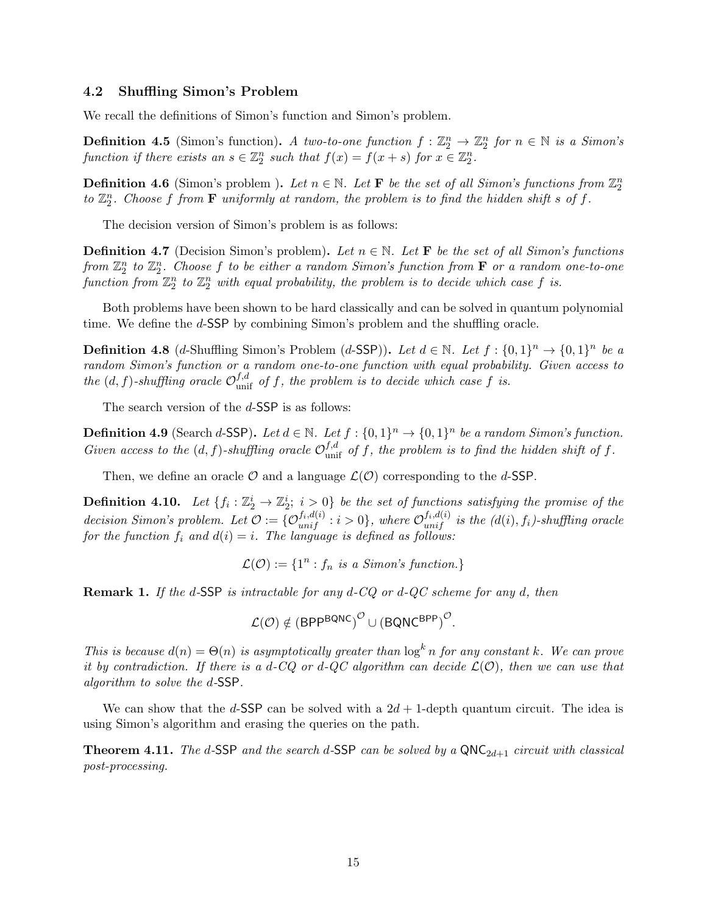#### 4.2 Shuffling Simon's Problem

We recall the definitions of Simon's function and Simon's problem.

**Definition 4.5** (Simon's function). A two-to-one function  $f : \mathbb{Z}_2^n \to \mathbb{Z}_2^n$  for  $n \in \mathbb{N}$  is a Simon's function if there exists an  $s \in \mathbb{Z}_2^n$  such that  $f(x) = f(x+s)$  for  $x \in \mathbb{Z}_2^n$ .

**Definition 4.6** (Simon's problem). Let  $n \in \mathbb{N}$ . Let **F** be the set of all Simon's functions from  $\mathbb{Z}_2^n$ to  $\mathbb{Z}_2^n$ . Choose f from **F** uniformly at random, the problem is to find the hidden shift s of f.

The decision version of Simon's problem is as follows:

**Definition 4.7** (Decision Simon's problem). Let  $n \in \mathbb{N}$ . Let **F** be the set of all Simon's functions from  $\mathbb{Z}_2^n$  to  $\mathbb{Z}_2^n$ . Choose f to be either a random Simon's function from **F** or a random one-to-one function from  $\mathbb{Z}_2^n$  to  $\mathbb{Z}_2^n$  with equal probability, the problem is to decide which case f is.

Both problems have been shown to be hard classically and can be solved in quantum polynomial time. We define the d-SSP by combining Simon's problem and the shuffling oracle.

**Definition 4.8** (*d*-Shuffling Simon's Problem (*d*-SSP)). Let  $d \in \mathbb{N}$ . Let  $f : \{0,1\}^n \to \{0,1\}^n$  be a random Simon's function or a random one-to-one function with equal probability. Given access to the  $(d, f)$ -shuffling oracle  $\mathcal{O}_{\text{unif}}^{f,d}$  of f, the problem is to decide which case f is.

The search version of the d-SSP is as follows:

**Definition 4.9** (Search d-SSP). Let  $d \in \mathbb{N}$ . Let  $f : \{0,1\}^n \to \{0,1\}^n$  be a random Simon's function. Given access to the  $(d, f)$ -shuffling oracle  $\mathcal{O}_{\text{unif}}^{f,d}$  of f, the problem is to find the hidden shift of f.

Then, we define an oracle  $\mathcal O$  and a language  $\mathcal L(\mathcal O)$  corresponding to the d-SSP.

<span id="page-14-1"></span>**Definition 4.10.** Let  $\{f_i : \mathbb{Z}_2^i \to \mathbb{Z}_2^i$ ;  $i > 0\}$  be the set of functions satisfying the promise of the decision Simon's problem. Let  $\mathcal{O} := \{ \mathcal{O}_{unif}^{f_i, d(i)} : i > 0 \}$ , where  $\mathcal{O}_{unif}^{f_i, d(i)}$  is the  $(d(i), f_i)$ -shuffling oracle for the function  $f_i$  and  $d(i) = i$ . The language is defined as follows:

 $\mathcal{L}(\mathcal{O}) := \{1^n : f_n \text{ is a Simon's function.}\}$ 

**Remark 1.** If the d-SSP is intractable for any  $d$ -CQ or  $d$ -QC scheme for any d, then

 $\mathcal{L}(\mathcal{O}) \notin \left(\mathsf{BPP}^{\mathsf{BQNC}}\right)^\mathcal{O} \cup \left(\mathsf{BQNC}^{\mathsf{BPP}}\right)^\mathcal{O}.$ 

This is because  $d(n) = \Theta(n)$  is asymptotically greater than  $\log^k n$  for any constant k. We can prove it by contradiction. If there is a d-CQ or d-QC algorithm can decide  $\mathcal{L}(\mathcal{O})$ , then we can use that algorithm to solve the d-SSP.

We can show that the d-SSP can be solved with a  $2d + 1$ -depth quantum circuit. The idea is using Simon's algorithm and erasing the queries on the path.

<span id="page-14-0"></span>**Theorem 4.11.** The d-SSP and the search d-SSP can be solved by a  $QNC_{2d+1}$  circuit with classical post-processing.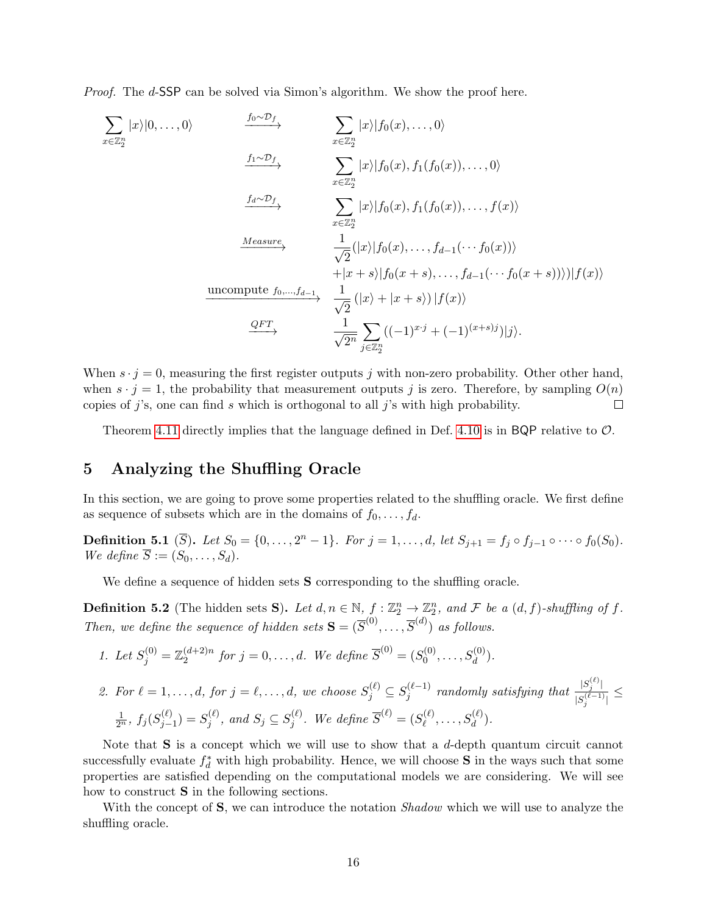Proof. The d-SSP can be solved via Simon's algorithm. We show the proof here.

$$
\sum_{x \in \mathbb{Z}_2^n} |x\rangle |0, \ldots, 0\rangle \qquad \xrightarrow{f_0 \sim \mathcal{D}_f} \sum_{x \in \mathbb{Z}_2^n} |x\rangle |f_0(x), \ldots, 0\rangle
$$
\n
$$
\xrightarrow{f_1 \sim \mathcal{D}_f} \sum_{x \in \mathbb{Z}_2^n} |x\rangle |f_0(x), f_1(f_0(x)), \ldots, 0\rangle
$$
\n
$$
\xrightarrow{f_d \sim \mathcal{D}_f} \sum_{x \in \mathbb{Z}_2^n} |x\rangle |f_0(x), f_1(f_0(x)), \ldots, f(x)\rangle
$$
\n
$$
\xrightarrow{Measure} \frac{1}{\sqrt{2}} (|x\rangle |f_0(x), \ldots, f_{d-1}(\cdots f_0(x))\rangle + |x + s\rangle |f_0(x + s), \ldots, f_{d-1}(\cdots f_0(x + s))\rangle |f(x)\rangle
$$
\nuncompute  $f_0, \ldots, f_{d-1}$  
$$
\frac{1}{\sqrt{2}} (|x\rangle + |x + s\rangle) |f(x)\rangle
$$
\n
$$
\xrightarrow{QFT} \frac{1}{\sqrt{2^n}} \sum_{j \in \mathbb{Z}_2^n} ((-1)^{x \cdot j} + (-1)^{(x+s)j}) |j\rangle.
$$

When  $s \cdot j = 0$ , measuring the first register outputs j with non-zero probability. Other other hand, when  $s \cdot j = 1$ , the probability that measurement outputs j is zero. Therefore, by sampling  $O(n)$ copies of  $j$ 's, one can find s which is orthogonal to all  $j$ 's with high probability. П

Theorem [4.11](#page-14-0) directly implies that the language defined in Def. [4.10](#page-14-1) is in BQP relative to  $\mathcal{O}$ .

## 5 Analyzing the Shuffling Oracle

In this section, we are going to prove some properties related to the shuffling oracle. We first define as sequence of subsets which are in the domains of  $f_0, \ldots, f_d$ .

**Definition 5.1** ( $\overline{S}$ ). Let  $S_0 = \{0, ..., 2^n - 1\}$ . For  $j = 1, ..., d$ , let  $S_{j+1} = f_j \circ f_{j-1} \circ \cdots \circ f_0(S_0)$ . We define  $\overline{S} := (S_0, \ldots, S_d)$ .

We define a sequence of hidden sets **S** corresponding to the shuffling oracle.

<span id="page-15-0"></span>**Definition 5.2** (The hidden sets S). Let  $d, n \in \mathbb{N}$ ,  $f : \mathbb{Z}_2^n \to \mathbb{Z}_2^n$ , and F be a  $(d, f)$ -shuffling of f. Then, we define the sequence of hidden sets  $\mathbf{S} = (\overline{S}^{(0)}, \dots, \overline{S}^{(d)})$  as follows.

- 1. Let  $S_j^{(0)} = \mathbb{Z}_2^{(d+2)n}$  $a_2^{(d+2)n}$  for  $j = 0, ..., d$ . We define  $\overline{S}^{(0)} = (S_0^{(0)})$  $S_d^{(0)}, \ldots, S_d^{(0)}$ ).
- 2. For  $\ell = 1, \ldots, d$ , for  $j = \ell, \ldots, d$ , we choose  $S_j^{(\ell)} \subseteq S_j^{(\ell-1)}$  $j^{(\ell-1)}$  randomly satisfying that  $\frac{|S_j^{(\ell)}|}{|S_j^{(\ell-1)}|}$  $\frac{|S_j - 1|}{|S_j^{(\ell-1)}|} \le$  $\frac{1}{2^n}$ ,  $f_j (S_{j-}^{(\ell)}$  $j_{j-1}^{(\ell)} ) = S_j^{(\ell)}$  $j^{(\ell)}, \text{ and } S_j \subseteq S_j^{(\ell)}$  $j^{(\ell)}.$  We define  $\overline{S}^{(\ell)}=(S^{(\ell)}_\ell)$  $S_d^{(\ell)},\ldots,S_d^{(\ell)}).$

Note that  $S$  is a concept which we will use to show that a d-depth quantum circuit cannot successfully evaluate  $f_d^*$  with high probability. Hence, we will choose **S** in the ways such that some properties are satisfied depending on the computational models we are considering. We will see how to construct S in the following sections.

With the concept of **S**, we can introduce the notation *Shadow* which we will use to analyze the shuffling oracle.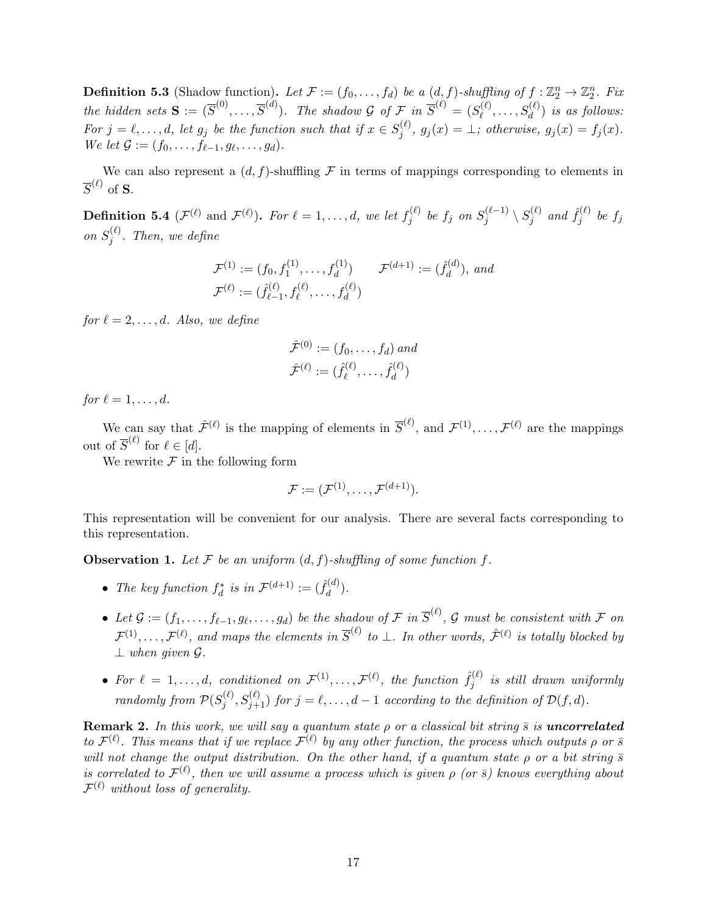**Definition 5.3** (Shadow function). Let  $\mathcal{F} := (f_0, \ldots, f_d)$  be a  $(d, f)$ -shuffling of  $f : \mathbb{Z}_2^n \to \mathbb{Z}_2^n$ . Fix the hidden sets  $S := (\overline{S}^{(0)}, \ldots, \overline{S}^{(d)})$ . The shadow G of F in  $\overline{S}^{(\ell)} = (S^{(\ell)}_{\ell})$  $S_{\ell}^{(\ell)},\ldots,S_{d}^{(\ell)})$  is as follows: For  $j = \ell, \ldots, d$ , let  $g_j$  be the function such that if  $x \in S_i^{(\ell)}$  $g_j^{(\ell)}, g_j(x) = \bot$ ; otherwise,  $g_j(x) = f_j(x)$ . We let  $\mathcal{G} := (f_0, \ldots, f_{\ell-1}, g_{\ell}, \ldots, g_d).$ 

We can also represent a  $(d, f)$ -shuffling F in terms of mappings corresponding to elements in  $\overline{S}^{(\ell)}$  of  $\bf S$ .

**Definition 5.4** ( $\mathcal{F}^{(\ell)}$  and  $\mathcal{F}^{(\ell)}$ ). For  $\ell = 1, \ldots, d$ , we let  $f_i^{(\ell)}$  $s_j^{(\ell)}$  be  $f_j$  on  $S_j^{(\ell-1)}$  $\hat{S}^{(\ell-1)}_j \setminus S^{(\ell)}_j$  $\hat{f}_j^{(\ell)}$  and  $\hat{f}_j^{(\ell)}$  $f_j^{(\ell)}$  be  $f_j$ on  $S_i^{(\ell)}$  $j^{(\ell)}$ . Then, we define

$$
\mathcal{F}^{(1)} := (f_0, f_1^{(1)}, \dots, f_d^{(1)}) \qquad \mathcal{F}^{(d+1)} := (\hat{f}_d^{(d)}), \text{ and}
$$

$$
\mathcal{F}^{(\ell)} := (\hat{f}_{\ell-1}^{(\ell)}, f_{\ell}^{(\ell)}, \dots, f_d^{(\ell)})
$$

for  $\ell = 2, \ldots, d$ . Also, we define

$$
\hat{\mathcal{F}}^{(0)} := (f_0, \dots, f_d) \text{ and}
$$

$$
\hat{\mathcal{F}}^{(\ell)} := (\hat{f}_{\ell}^{(\ell)}, \dots, \hat{f}_{d}^{(\ell)})
$$

for  $\ell = 1, \ldots, d$ .

We can say that  $\hat{\mathcal{F}}^{(\ell)}$  is the mapping of elements in  $\overline{S}^{(\ell)}$ , and  $\mathcal{F}^{(1)}, \ldots, \mathcal{F}^{(\ell)}$  are the mappings out of  $\overline{S}^{(\ell)}$  for  $\ell \in [d]$ .

We rewrite  $\mathcal F$  in the following form

$$
\mathcal{F} := (\mathcal{F}^{(1)}, \dots, \mathcal{F}^{(d+1)}).
$$

This representation will be convenient for our analysis. There are several facts corresponding to this representation.

**Observation 1.** Let F be an uniform  $(d, f)$ -shuffling of some function f.

- The key function  $f_d^*$  is in  $\mathcal{F}^{(d+1)} := (\hat{f}_d^{(d)})$  $\binom{a}{d}$ .
- Let  $\mathcal{G} := (f_1, \ldots, f_{\ell-1}, g_{\ell}, \ldots, g_d)$  be the shadow of F in  $\overline{S}^{(\ell)}$ , G must be consistent with F on  $\mathcal{F}^{(1)}, \ldots, \mathcal{F}^{(\ell)}$ , and maps the elements in  $\overline{S}^{(\ell)}$  to  $\bot$ . In other words,  $\hat{\mathcal{F}}^{(\ell)}$  is totally blocked by  $\perp$  when given  $\mathcal G$ .
- For  $\ell = 1, \ldots, d$ , conditioned on  $\mathcal{F}^{(1)}, \ldots, \mathcal{F}^{(\ell)}$ , the function  $\hat{f}_i^{(\ell)}$  $j_j^{(\ell)}$  is still drawn uniformly randomly from  $P(S_i^{(\ell)})$  $j^{(\ell)}, S_{j+1}^{(\ell)}$ ) for  $j = \ell, \ldots, d-1$  according to the definition of  $\mathcal{D}(f,d)$ .

<span id="page-16-0"></span>**Remark 2.** In this work, we will say a quantum state  $\rho$  or a classical bit string  $\bar{s}$  is **uncorrelated** to  $\mathcal{F}^{(\ell)}$ . This means that if we replace  $\mathcal{F}^{(\ell)}$  by any other function, the process which outputs  $\rho$  or  $\bar{s}$ will not change the output distribution. On the other hand, if a quantum state  $\rho$  or a bit string  $\bar{s}$ is correlated to  $\mathcal{F}^{(\ell)}$ , then we will assume a process which is given  $\rho$  (or  $\bar{s}$ ) knows everything about  $\mathcal{F}^{(\ell)}$  without loss of generality.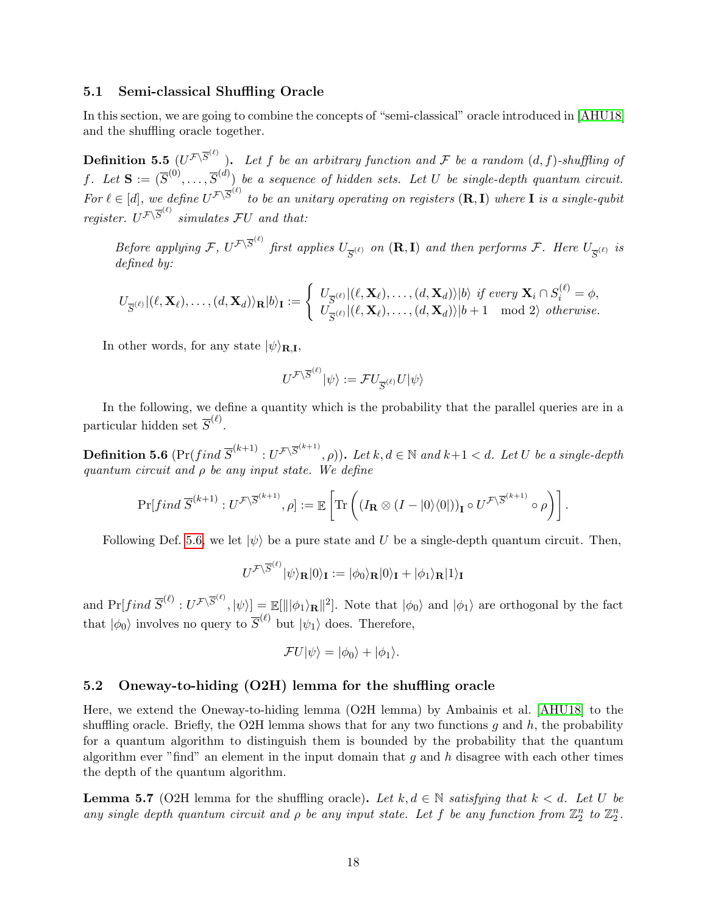#### 5.1 Semi-classical Shuffling Oracle

In this section, we are going to combine the concepts of "semi-classical" oracle introduced in [\[AHU18\]](#page-38-8) and the shuffling oracle together.

**Definition 5.5**  $(U^{\mathcal{F}\setminus\overline{S}^{(\ell)}})$ . Let f be an arbitrary function and F be a random  $(d, f)$ -shuffling of f. Let  $\mathbf{S} := (\overline{S}^{(0)}, \ldots, \overline{S}^{(d)})$  be a sequence of hidden sets. Let U be single-depth quantum circuit. For  $\ell \in [d]$ , we define  $U^{\mathcal{F} \backslash \overline{S}^{(\ell)}}$  to be an unitary operating on registers  $(\mathbf{R}, \mathbf{I})$  where **I** is a single-qubit register.  $U^{\mathcal{F}\backslash \overline{S}^{(\ell)}}$  simulates  $\mathcal{F}U$  and that:

Before applying F,  $U^{\mathcal{F}\setminus\overline{S}^{(\ell)}}$  first applies  $U_{\overline{S}^{(\ell)}}$  on  $(\mathbf{R}, \mathbf{I})$  and then performs F. Here  $U_{\overline{S}^{(\ell)}}$  is defined by:

$$
U_{\overline{S}^{(\ell)}}|(\ell,\mathbf{X}_{\ell}),\ldots,(d,\mathbf{X}_{d})\rangle_{\mathbf{R}}|b\rangle_{\mathbf{I}}:=\left\{\begin{array}{l} U_{\overline{S}^{(\ell)}}|(\ell,\mathbf{X}_{\ell}),\ldots,(d,\mathbf{X}_{d})\rangle|b\rangle\textit{ if every }\mathbf{X}_{i}\cap S^{(\ell)}_{i}=\phi,\\ U_{\overline{S}^{(\ell)}}|(\ell,\mathbf{X}_{\ell}),\ldots,(d,\mathbf{X}_{d})\rangle|b+1\mod2\rangle\textit{ otherwise.}\end{array}\right.
$$

In other words, for any state  $|\psi\rangle_{\text{R.I}},$ 

$$
U^{\mathcal{F}\backslash \overline{S}^{(\ell)}}|\psi\rangle:=\mathcal{F}U_{\overline{S}^{(\ell)}}U|\psi\rangle
$$

In the following, we define a quantity which is the probability that the parallel queries are in a particular hidden set  $\overline{S}^{(\ell)}$ .

<span id="page-17-0"></span>**Definition 5.6**  $(\Pr( find \ \overline{S}^{(k+1)} : U^{\mathcal{F} \setminus \overline{S}^{(k+1)}}, \rho)).$  Let  $k, d \in \mathbb{N}$  and  $k+1 < d.$  Let  $U$  be a single-depth quantum circuit and  $\rho$  be any input state. We define

$$
\Pr[ \operatorname{find} \overline{S}^{(k+1)}: U^{\mathcal{F}\backslash \overline{S}^{(k+1)}}, \rho] := \mathbb{E}\left[\mathrm{Tr}\left( (I_{\mathbf{R}} \otimes (I - |0\rangle\langle 0|))_{\mathbf{I}} \circ U^{\mathcal{F}\backslash \overline{S}^{(k+1)}} \circ \rho \right)\right].
$$

Following Def. [5.6,](#page-17-0) we let  $|\psi\rangle$  be a pure state and U be a single-depth quantum circuit. Then,

$$
U^{\mathcal{F}\backslash\overline{S}^{(\ell)}}|\psi\rangle_{\mathbf{R}}|0\rangle_{\mathbf{I}}:=|\phi_{0}\rangle_{\mathbf{R}}|0\rangle_{\mathbf{I}}+|\phi_{1}\rangle_{\mathbf{R}}|1\rangle_{\mathbf{I}}
$$

and  $Pr[find\ \overline{S}^{(\ell)}:U^{\mathcal{F}\backslash\overline{S}^{(\ell)}},|\psi\rangle] = \mathbb{E}[\|\ket{\phi_1}_{\mathbf{R}}\|^2]$ . Note that  $|\phi_0\rangle$  and  $|\phi_1\rangle$  are orthogonal by the fact that  $|\phi_0\rangle$  involves no query to  $\overline{S}^{(\ell)}$  but  $|\psi_1\rangle$  does. Therefore,

$$
\mathcal{F}U|\psi\rangle = |\phi_0\rangle + |\phi_1\rangle.
$$

#### 5.2 Oneway-to-hiding (O2H) lemma for the shuffling oracle

Here, we extend the Oneway-to-hiding lemma (O2H lemma) by Ambainis et al. [\[AHU18\]](#page-38-8) to the shuffling oracle. Briefly, the O2H lemma shows that for any two functions q and h, the probability for a quantum algorithm to distinguish them is bounded by the probability that the quantum algorithm ever "find" an element in the input domain that  $g$  and  $h$  disagree with each other times the depth of the quantum algorithm.

<span id="page-17-1"></span>**Lemma 5.7** (O2H lemma for the shuffling oracle). Let k,  $d \in \mathbb{N}$  satisfying that  $k < d$ . Let U be any single depth quantum circuit and  $\rho$  be any input state. Let f be any function from  $\mathbb{Z}_2^n$  to  $\mathbb{Z}_2^n$ .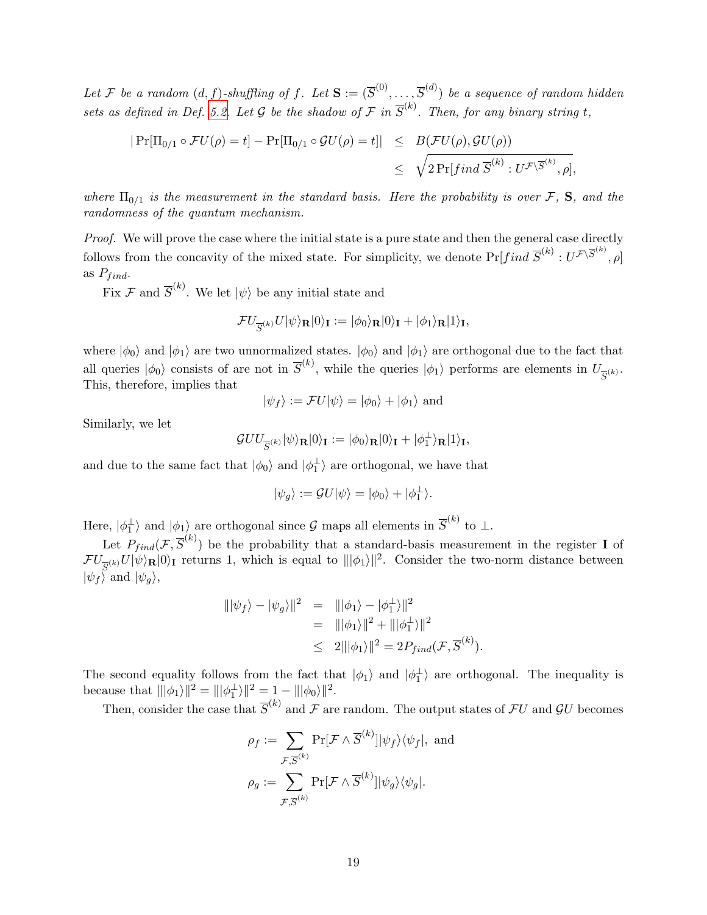Let F be a random  $(d, f)$ -shuffling of f. Let  $\mathbf{S} := (\overline{S}^{(0)}, \ldots, \overline{S}^{(d)})$  be a sequence of random hidden sets as defined in Def. [5.2.](#page-15-0) Let G be the shadow of  $\mathcal F$  in  $\overline{S}^{(k)}$ . Then, for any binary string t,

$$
|\Pr[\Pi_{0/1} \circ \mathcal{F}U(\rho) = t] - \Pr[\Pi_{0/1} \circ \mathcal{G}U(\rho) = t]| \leq B(\mathcal{F}U(\rho), \mathcal{G}U(\rho))
$$
  
 $\leq \sqrt{2 \Pr[ find \overline{S}^{(k)} : U^{\mathcal{F} \setminus \overline{S}^{(k)}}, \rho]},$ 

where  $\Pi_{0/1}$  is the measurement in the standard basis. Here the probability is over  $\mathcal{F}$ , S, and the randomness of the quantum mechanism.

Proof. We will prove the case where the initial state is a pure state and then the general case directly follows from the concavity of the mixed state. For simplicity, we denote  $Pr[find \ \overline{S}^{(k)}: U^{\mathcal{F}\backslash \overline{S}^{(k)}}, \rho]$ as  $P_{find}$ .

Fix  $\mathcal F$  and  $\overline{S}^{(k)}$ . We let  $|\psi\rangle$  be any initial state and

$$
\mathcal{F}U_{\overline{S}^{(k)}}U|\psi\rangle_{\mathbf{R}}|0\rangle_{\mathbf{I}}:=|\phi_{0}\rangle_{\mathbf{R}}|0\rangle_{\mathbf{I}}+|\phi_{1}\rangle_{\mathbf{R}}|1\rangle_{\mathbf{I}},
$$

where  $|\phi_0\rangle$  and  $|\phi_1\rangle$  are two unnormalized states.  $|\phi_0\rangle$  and  $|\phi_1\rangle$  are orthogonal due to the fact that all queries  $|\phi_0\rangle$  consists of are not in  $\overline{S}^{(k)}$ , while the queries  $|\phi_1\rangle$  performs are elements in  $U_{\overline{S}^{(k)}}$ . This, therefore, implies that

$$
|\psi_f\rangle := \mathcal{F}U|\psi\rangle = |\phi_0\rangle + |\phi_1\rangle
$$
 and

Similarly, we let

$$
\mathcal{G}UU_{\overline{S}^{(k)}}|\psi\rangle_{\mathbf{R}}|0\rangle_{\mathbf{I}}:=|\phi_{0}\rangle_{\mathbf{R}}|0\rangle_{\mathbf{I}}+|\phi_{1}^{\perp}\rangle_{\mathbf{R}}|1\rangle_{\mathbf{I}},
$$

and due to the same fact that  $|\phi_0\rangle$  and  $|\phi_1^{\perp}\rangle$  are orthogonal, we have that

$$
|\psi_g\rangle := \mathcal{G}U|\psi\rangle = |\phi_0\rangle + |\phi_1^\perp\rangle.
$$

Here,  $|\phi_1^{\perp}\rangle$  and  $|\phi_1\rangle$  are orthogonal since  $\mathcal G$  maps all elements in  $\overline{S}^{(k)}$  to  $\perp$ .

Let  $P_{find}(\mathcal{F}, \overline{S}^{(k)})$  be the probability that a standard-basis measurement in the register **I** of  $\mathcal{F}U_{\overline{S}^{(k)}}U|\psi\rangle_{\mathbf{R}}|0\rangle_{\mathbf{I}}$  returns 1, which is equal to  $\|\phi_1\rangle\|^2$ . Consider the two-norm distance between  $|\psi_f\rangle$  and  $|\psi_g\rangle$ ,

$$
\begin{aligned}\n|||\psi_f\rangle - |\psi_g\rangle||^2 &= |||\phi_1\rangle - |\phi_1^\perp\rangle||^2 \\
&= |||\phi_1\rangle||^2 + |||\phi_1^\perp\rangle||^2 \\
&\leq 2|||\phi_1\rangle||^2 = 2P_{final}(\mathcal{F}, \overline{S}^{(k)}).\n\end{aligned}
$$

The second equality follows from the fact that  $|\phi_1\rangle$  and  $|\phi_1^{\perp}\rangle$  are orthogonal. The inequality is because that  $\|\|\phi_1\rangle\|^2 = \|\|\phi_1^{\perp}\rangle\|^2 = 1 - \|\|\phi_0\rangle\|^2$ .

Then, consider the case that  $\overline{S}^{(k)}$  and  $\mathcal F$  are random. The output states of  $\mathcal F U$  and  $\mathcal G U$  becomes

$$
\rho_f := \sum_{\mathcal{F}, \overline{S}^{(k)}} \Pr[\mathcal{F} \wedge \overline{S}^{(k)}] |\psi_f\rangle \langle \psi_f|, \text{ and}
$$

$$
\rho_g := \sum_{\mathcal{F}, \overline{S}^{(k)}} \Pr[\mathcal{F} \wedge \overline{S}^{(k)}] |\psi_g\rangle \langle \psi_g|.
$$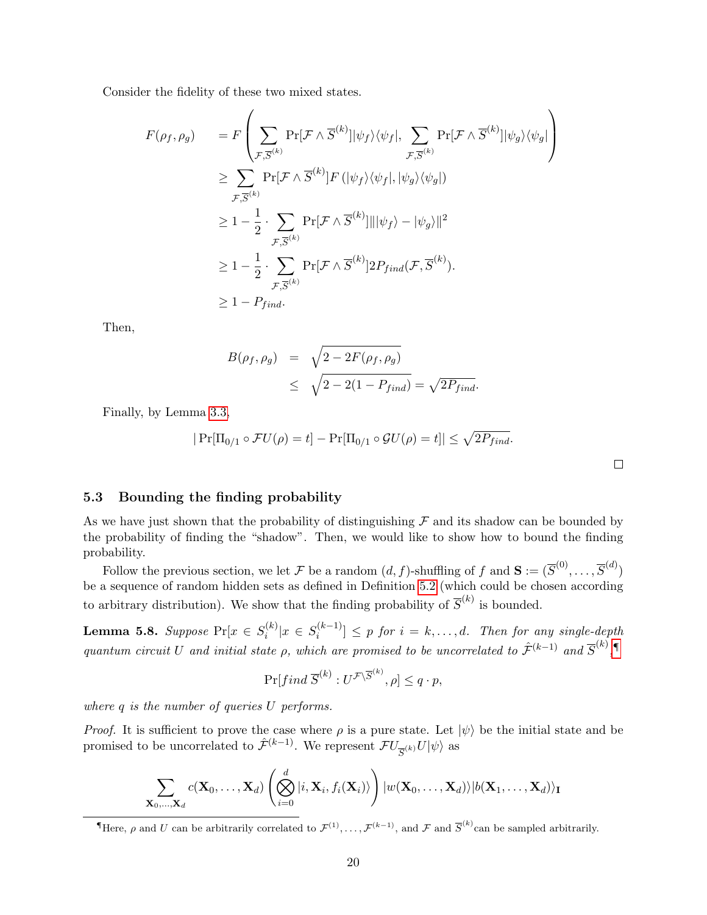Consider the fidelity of these two mixed states.

$$
F(\rho_f, \rho_g) = F\left(\sum_{\mathcal{F}, \overline{S}^{(k)}} \Pr[\mathcal{F} \wedge \overline{S}^{(k)}] |\psi_f\rangle \langle \psi_f |, \sum_{\mathcal{F}, \overline{S}^{(k)}} \Pr[\mathcal{F} \wedge \overline{S}^{(k)}] |\psi_g\rangle \langle \psi_g| \right) \n\ge \sum_{\mathcal{F}, \overline{S}^{(k)}} \Pr[\mathcal{F} \wedge \overline{S}^{(k)}] F (|\psi_f\rangle \langle \psi_f |, |\psi_g\rangle \langle \psi_g|) \n\ge 1 - \frac{1}{2} \cdot \sum_{\mathcal{F}, \overline{S}^{(k)}} \Pr[\mathcal{F} \wedge \overline{S}^{(k)}] || |\psi_f\rangle - |\psi_g\rangle ||^2 \n\ge 1 - \frac{1}{2} \cdot \sum_{\mathcal{F}, \overline{S}^{(k)}} \Pr[\mathcal{F} \wedge \overline{S}^{(k)}] 2P_{find}(\mathcal{F}, \overline{S}^{(k)}).
$$
\n
$$
\ge 1 - P_{find}.
$$

Then,

$$
B(\rho_f, \rho_g) = \sqrt{2 - 2F(\rho_f, \rho_g)}
$$
  
 
$$
\leq \sqrt{2 - 2(1 - P_{find})} = \sqrt{2P_{find}}.
$$

Finally, by Lemma [3.3,](#page-8-0)

$$
|\Pr[\Pi_{0/1} \circ \mathcal{F}U(\rho) = t] - \Pr[\Pi_{0/1} \circ \mathcal{G}U(\rho) = t]| \leq \sqrt{2P_{find}}.
$$

 $\Box$ 

#### 5.3 Bounding the finding probability

As we have just shown that the probability of distinguishing  $\mathcal F$  and its shadow can be bounded by the probability of finding the "shadow". Then, we would like to show how to bound the finding probability.

Follow the previous section, we let F be a random  $(d, f)$ -shuffling of f and  $\mathbf{S} := (\overline{S}^{(0)}, \ldots, \overline{S}^{(d)})$ be a sequence of random hidden sets as defined in Definition [5.2](#page-15-0) (which could be chosen according to arbitrary distribution). We show that the finding probability of  $\overline{S}^{(k)}$  is bounded.

<span id="page-19-1"></span>**Lemma 5.8.** Suppose  $Pr[x \in S_i^{(k)}]$  $s_i^{(k)}|x \in S_i^{(k-1)}$  $\left[\begin{array}{c} (k-1) \\ i \end{array}\right] \leq p$  for  $i = k, \ldots, d$ . Then for any single-depth quantum circuit U and initial state  $\rho$ , which are promised to be uncorrelated to  $\hat{\mathcal{F}}^{(k-1)}$  and  $\overline{S}^{(k)}$ ,

$$
\Pr[find\ \overline{S}^{(k)}:U^{\mathcal{F}\backslash\overline{S}^{(k)}},\rho]\leq q\cdot p,
$$

where q is the number of queries U performs.

*Proof.* It is sufficient to prove the case where  $\rho$  is a pure state. Let  $|\psi\rangle$  be the initial state and be promised to be uncorrelated to  $\hat{\mathcal{F}}^{(k-1)}$ . We represent  $\mathcal{F}U_{\overline{S}^{(k)}}U|\psi\rangle$  as

$$
\sum_{\mathbf{X}_0,\ldots,\mathbf{X}_d} c(\mathbf{X}_0,\ldots,\mathbf{X}_d) \left( \bigotimes_{i=0}^d |i,\mathbf{X}_i,f_i(\mathbf{X}_i)\rangle \right) |w(\mathbf{X}_0,\ldots,\mathbf{X}_d)\rangle |b(\mathbf{X}_1,\ldots,\mathbf{X}_d)\rangle_{\mathbf{I}}
$$

<span id="page-19-0"></span>There,  $\rho$  and U can be arbitrarily correlated to  $\mathcal{F}^{(1)}, \ldots, \mathcal{F}^{(k-1)}$ , and  $\mathcal{F}$  and  $\overline{S}^{(k)}$  can be sampled arbitrarily.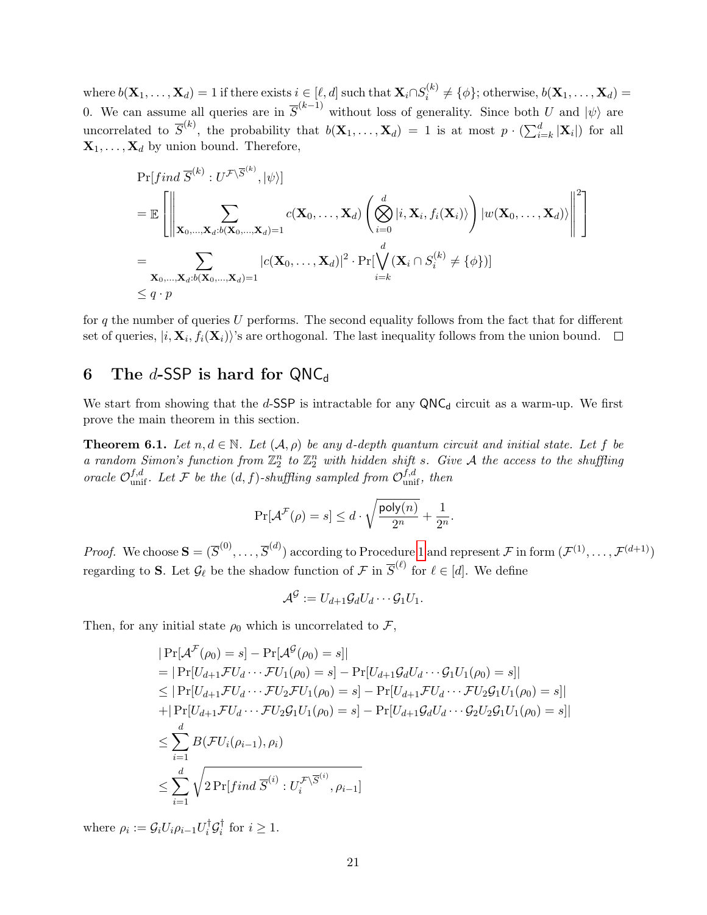where  $b(\mathbf{X}_1, \dots, \mathbf{X}_d) = 1$  if there exists  $i \in [\ell, d]$  such that  $\mathbf{X}_i \cap S_i^{(k)}$  $i_i^{(k)} \neq {\phi}$ ; otherwise,  $b(\mathbf{X}_1, \dots, \mathbf{X}_d) =$ 0. We can assume all queries are in  $\overline{S}^{(k-1)}$  without loss of generality. Since both U and  $|\psi\rangle$  are uncorrelated to  $\overline{S}^{(k)}$ , the probability that  $b(\mathbf{X}_1,\ldots,\mathbf{X}_d) = 1$  is at most  $p \cdot (\sum_{i=k}^d |\mathbf{X}_i|)$  for all  $X_1, \ldots, X_d$  by union bound. Therefore,

$$
\Pr[ find \overline{S}^{(k)} : U^{\mathcal{F} \setminus \overline{S}^{(k)}}, |\psi\rangle]
$$
\n
$$
= \mathbb{E} \left[ \left\| \sum_{\mathbf{X}_0, ..., \mathbf{X}_d : b(\mathbf{X}_0, ..., \mathbf{X}_d) = 1} c(\mathbf{X}_0, ..., \mathbf{X}_d) \left( \bigotimes_{i=0}^d |i, \mathbf{X}_i, f_i(\mathbf{X}_i) \rangle \right) |w(\mathbf{X}_0, ..., \mathbf{X}_d) \rangle \right\|^2 \right]
$$
\n
$$
= \sum_{\mathbf{X}_0, ..., \mathbf{X}_d : b(\mathbf{X}_0, ..., \mathbf{X}_d) = 1} |c(\mathbf{X}_0, ..., \mathbf{X}_d)|^2 \cdot \Pr[\bigvee_{i=k}^d (\mathbf{X}_i \cap S_i^{(k)} \neq \{\phi\})]
$$
\n
$$
\leq q \cdot p
$$

for q the number of queries U performs. The second equality follows from the fact that for different set of queries,  $|i, \mathbf{X}_i, f_i(\mathbf{X}_i)\rangle$ 's are orthogonal. The last inequality follows from the union bound.

# 6 The d-SSP is hard for  $QNC_d$

We start from showing that the d-SSP is intractable for any  $QNC_d$  circuit as a warm-up. We first prove the main theorem in this section.

<span id="page-20-0"></span>**Theorem 6.1.** Let  $n, d \in \mathbb{N}$ . Let  $(\mathcal{A}, \rho)$  be any d-depth quantum circuit and initial state. Let f be a random Simon's function from  $\mathbb{Z}_2^n$  to  $\mathbb{Z}_2^n$  with hidden shift s. Give A the access to the shuffling oracle  $\mathcal{O}_{\text{unif}}^{f,d}$ . Let F be the  $(d, f)$ -shuffling sampled from  $\mathcal{O}_{\text{unif}}^{f,d}$ , then

$$
\Pr[\mathcal{A}^{\mathcal{F}}(\rho) = s] \leq d \cdot \sqrt{\frac{\text{poly}(n)}{2^n}} + \frac{1}{2^n}.
$$

*Proof.* We choose  $\mathbf{S} = (\overline{S}^{(0)}, \ldots, \overline{S}^{(d)})$  according to Procedure [1](#page-21-0) and represent  $\mathcal{F}$  in form  $(\mathcal{F}^{(1)}, \ldots, \mathcal{F}^{(d+1)})$ regarding to S. Let  $\mathcal{G}_{\ell}$  be the shadow function of  $\mathcal{F}$  in  $\overline{S}^{(\ell)}$  for  $\ell \in [d]$ . We define

$$
\mathcal{A}^{\mathcal{G}}:=U_{d+1}\mathcal{G}_{d}U_{d}\cdots\mathcal{G}_{1}U_{1}.
$$

Then, for any initial state  $\rho_0$  which is uncorrelated to  $\mathcal{F}$ ,

$$
|\Pr[\mathcal{A}^{\mathcal{F}}(\rho_{0}) = s] - \Pr[\mathcal{A}^{\mathcal{G}}(\rho_{0}) = s]|
$$
  
\n
$$
= |\Pr[U_{d+1}\mathcal{F}U_{d} \cdots \mathcal{F}U_{1}(\rho_{0}) = s] - \Pr[U_{d+1}\mathcal{G}_{d}U_{d} \cdots \mathcal{G}_{1}U_{1}(\rho_{0}) = s]|
$$
  
\n
$$
\leq |\Pr[U_{d+1}\mathcal{F}U_{d} \cdots \mathcal{F}U_{2}\mathcal{F}U_{1}(\rho_{0}) = s] - \Pr[U_{d+1}\mathcal{F}U_{d} \cdots \mathcal{F}U_{2}\mathcal{G}_{1}U_{1}(\rho_{0}) = s]|
$$
  
\n
$$
+ |\Pr[U_{d+1}\mathcal{F}U_{d} \cdots \mathcal{F}U_{2}\mathcal{G}_{1}U_{1}(\rho_{0}) = s] - \Pr[U_{d+1}\mathcal{G}_{d}U_{d} \cdots \mathcal{G}_{2}U_{2}\mathcal{G}_{1}U_{1}(\rho_{0}) = s]|
$$
  
\n
$$
\leq \sum_{i=1}^{d} B(\mathcal{F}U_{i}(\rho_{i-1}), \rho_{i})
$$
  
\n
$$
\leq \sum_{i=1}^{d} \sqrt{2 \Pr[find \ \overline{S}^{(i)} : U_{i}^{\mathcal{F}\backslash \overline{S}^{(i)}}, \rho_{i-1}]}
$$

where  $\rho_i := \mathcal{G}_i U_i \rho_{i-1} U_i^{\dagger}$  $_{i}^{\dagger }\mathcal{G}_{i}^{\dagger }$  $i \in \{1, i\}$  for  $i \geq 1$ .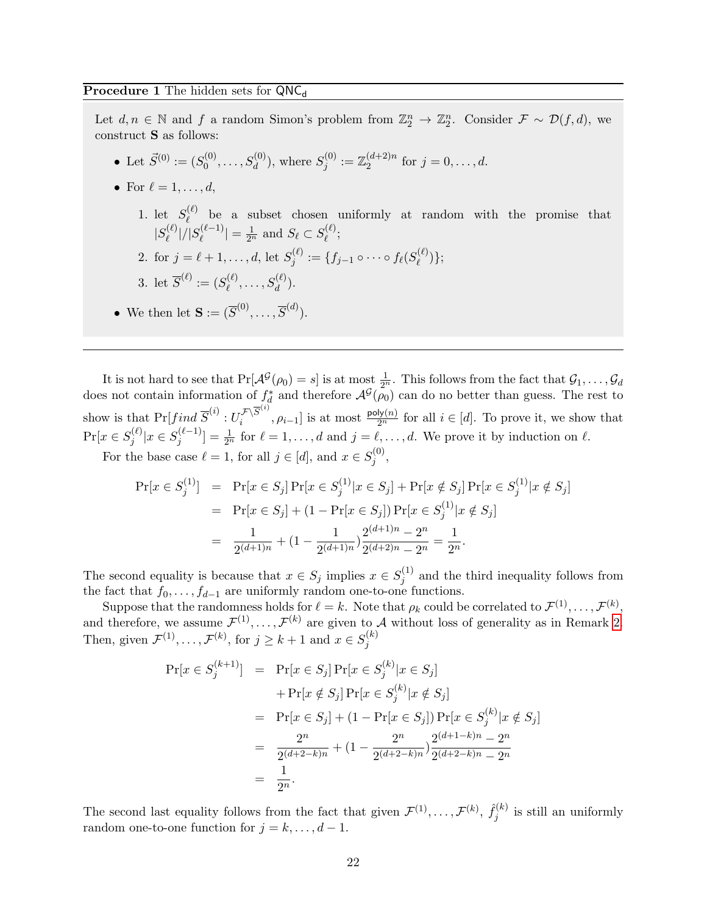Let  $d, n \in \mathbb{N}$  and f a random Simon's problem from  $\mathbb{Z}_2^n \to \mathbb{Z}_2^n$ . Consider  $\mathcal{F} \sim \mathcal{D}(f,d)$ , we construct S as follows:

- Let  $\vec{S}^{(0)} := (S_0^{(0)}$  $S_0^{(0)}, \ldots, S_d^{(0)}$ ), where  $S_j^{(0)}$  $\mathbb{Z}_j^{(0)}:=\mathbb{Z}_2^{(d+2)n}$  $j = 0, ..., d.$
- For  $\ell = 1, \ldots, d$ ,
	- 1. let  $S_{\ell}^{(\ell)}$  $\ell$  be a subset chosen uniformly at random with the promise that  $|S^{(\ell)}_\ell\>$  $|\ell^{(\ell)}|/|S^{(\ell-1)}_\ell|$  $|\ell(\ell-1)| = \frac{1}{2^n}$  and  $S_{\ell} \subset S_{\ell}^{(\ell)}$  $\stackrel{\scriptscriptstyle(\ell)}{\scriptscriptstyle\ell};$
	- 2. for  $j = \ell + 1, ..., d$ , let  $S_i^{(\ell)}$  $j^{(\ell)}:=\{f_{j-1}\circ\dots\circ f_\ell(S^{(\ell)}_\ell)$  $\binom{(\ell)}{\ell}$ ;

3. let 
$$
\overline{S}^{(\ell)} := (S^{(\ell)}_{\ell}, \dots, S^{(\ell)}_{d}).
$$

<span id="page-21-0"></span>• We then let  $\mathbf{S} := (\overline{S}^{(0)}, \dots, \overline{S}^{(d)})$ .

It is not hard to see that  $Pr[\mathcal{A}^{\mathcal{G}}(\rho_0) = s]$  is at most  $\frac{1}{2^n}$ . This follows from the fact that  $\mathcal{G}_1, \ldots, \mathcal{G}_d$ does not contain information of  $f_d^*$  and therefore  $\mathcal{A}^{\mathcal{G}}(\rho_0)$  can do no better than guess. The rest to show is that  $\Pr[\text{find } \overline{S}^{(i)} : U_i^{\mathcal{F} \setminus \overline{S}^{(i)}}]$  $\sum_i^{\mathcal{F}\setminus S^{(v)}}, \rho_{i-1}]$  is at most  $\frac{\text{poly}(n)}{2^n}$  for all  $i \in [d]$ . To prove it, we show that  $Pr[x \in S_i^{(\ell)}]$  $\int_{j}^{(\ell)} |x \in S_j^{(\ell-1)}|$  $\mathcal{L}^{(\ell-1)}_j = \frac{1}{2^n}$  for  $\ell = 1, \ldots, d$  and  $j = \ell, \ldots, d$ . We prove it by induction on  $\ell$ . For the base case  $\ell = 1$ , for all  $j \in [d]$ , and  $x \in S_i^{(0)}$  $j^{(0)},$ 

$$
\Pr[x \in S_j^{(1)}] = \Pr[x \in S_j] \Pr[x \in S_j^{(1)} | x \in S_j] + \Pr[x \notin S_j] \Pr[x \in S_j^{(1)} | x \notin S_j]
$$
  
= 
$$
\Pr[x \in S_j] + (1 - \Pr[x \in S_j]) \Pr[x \in S_j^{(1)} | x \notin S_j]
$$
  
= 
$$
\frac{1}{2^{(d+1)n}} + (1 - \frac{1}{2^{(d+1)n}}) \frac{2^{(d+1)n} - 2^n}{2^{(d+2)n} - 2^n} = \frac{1}{2^n}.
$$

The second equality is because that  $x \in S_j$  implies  $x \in S_j^{(1)}$  $j_j^{(1)}$  and the third inequality follows from the fact that  $f_0, \ldots, f_{d-1}$  are uniformly random one-to-one functions.

Suppose that the randomness holds for  $\ell = k$ . Note that  $\rho_k$  could be correlated to  $\mathcal{F}^{(1)}, \ldots, \mathcal{F}^{(k)}$ , and therefore, we assume  $\mathcal{F}^{(1)}, \ldots, \mathcal{F}^{(k)}$  are given to A without loss of generality as in Remark [2.](#page-16-0) Then, given  $\mathcal{F}^{(1)}, \ldots, \mathcal{F}^{(k)}$ , for  $j \geq k+1$  and  $x \in S_i^{(k)}$ j

$$
\Pr[x \in S_j^{(k+1)}] = \Pr[x \in S_j] \Pr[x \in S_j^{(k)} | x \in S_j] \n+ \Pr[x \notin S_j] \Pr[x \in S_j^{(k)} | x \notin S_j] \n= \Pr[x \in S_j] + (1 - \Pr[x \in S_j]) \Pr[x \in S_j^{(k)} | x \notin S_j] \n= \frac{2^n}{2^{(d+2-k)n}} + (1 - \frac{2^n}{2^{(d+2-k)n}}) \frac{2^{(d+1-k)n} - 2^n}{2^{(d+2-k)n} - 2^n} \n= \frac{1}{2^n}.
$$

The second last equality follows from the fact that given  $\mathcal{F}^{(1)}, \ldots, \mathcal{F}^{(k)}, \hat{f}_i^{(k)}$  $j^{(k)}$  is still an uniformly random one-to-one function for  $j = k, \ldots, d - 1$ .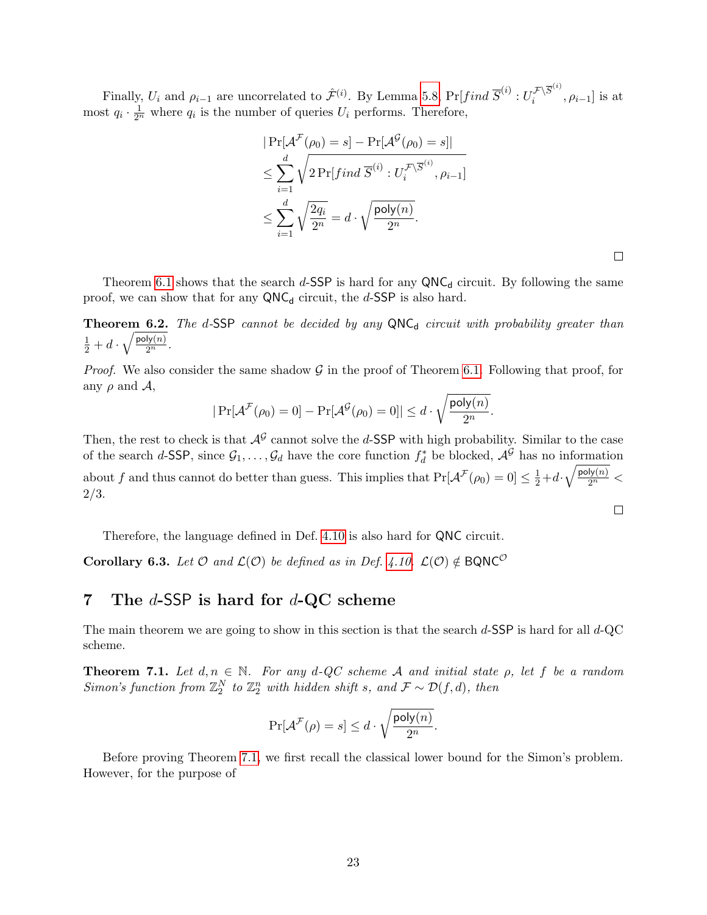Finally,  $U_i$  and  $\rho_{i-1}$  are uncorrelated to  $\hat{\mathcal{F}}^{(i)}$ . By Lemma [5.8,](#page-19-1)  $Pr[find \ \overline{S}^{(i)} : U_i^{\mathcal{F} \setminus \overline{S}^{(i)}}]$  $\begin{bmatrix} \mathcal{F} \setminus \mathcal{S} \\ i \end{bmatrix}$  is at most  $q_i \cdot \frac{1}{2^n}$  where  $q_i$  is the number of queries  $U_i$  performs. Therefore,

$$
|\Pr[\mathcal{A}^{\mathcal{F}}(\rho_0) = s] - \Pr[\mathcal{A}^{\mathcal{G}}(\rho_0) = s]|
$$
  
\n
$$
\leq \sum_{i=1}^{d} \sqrt{2 \Pr[ find \overline{S}^{(i)} : U_i^{\mathcal{F} \setminus \overline{S}^{(i)}}, \rho_{i-1}]} \leq \sum_{i=1}^{d} \sqrt{\frac{2q_i}{2^n}} = d \cdot \sqrt{\frac{\text{poly}(n)}{2^n}}.
$$

 $\Box$ 

 $\Box$ 

Theorem [6.1](#page-20-0) shows that the search d-SSP is hard for any  $QNC_d$  circuit. By following the same proof, we can show that for any  $QNC_d$  circuit, the d-SSP is also hard.

**Theorem 6.2.** The d-SSP cannot be decided by any  $QNC_d$  circuit with probability greater than  $\frac{1}{2} + d \cdot \sqrt{\frac{\text{poly}(n)}{2^n}}$ .

*Proof.* We also consider the same shadow  $\mathcal G$  in the proof of Theorem [6.1.](#page-20-0) Following that proof, for any  $\rho$  and  $\mathcal{A}$ ,

$$
|\Pr[\mathcal{A}^{\mathcal{F}}(\rho_0) = 0] - \Pr[\mathcal{A}^{\mathcal{G}}(\rho_0) = 0]| \leq d \cdot \sqrt{\frac{\text{poly}(n)}{2^n}}.
$$

Then, the rest to check is that  $\mathcal{A}^{\mathcal{G}}$  cannot solve the d-SSP with high probability. Similar to the case of the search d-SSP, since  $\mathcal{G}_1,\ldots,\mathcal{G}_d$  have the core function  $f_d^*$  be blocked,  $\mathcal{A}^{\mathcal{G}}$  has no information about f and thus cannot do better than guess. This implies that  $Pr[\mathcal{A}^{\mathcal{F}}(\rho_0) = 0] \leq \frac{1}{2} + d \cdot \sqrt{\frac{poly(n)}{2^n}}$ 2/3.

Therefore, the language defined in Def. [4.10](#page-14-1) is also hard for QNC circuit.

**Corollary 6.3.** Let  $\mathcal{O}$  and  $\mathcal{L}(\mathcal{O})$  be defined as in Def. [4.10.](#page-14-1)  $\mathcal{L}(\mathcal{O}) \notin BQNC^{\mathcal{O}}$ 

## 7 The  $d$ -SSP is hard for  $d$ -QC scheme

The main theorem we are going to show in this section is that the search  $d$ -SSP is hard for all  $d$ -QC scheme.

<span id="page-22-0"></span>**Theorem 7.1.** Let  $d, n \in \mathbb{N}$ . For any  $d$ -QC scheme A and initial state  $\rho$ , let f be a random Simon's function from  $\mathbb{Z}_2^N$  to  $\mathbb{Z}_2^n$  with hidden shift s, and  $\mathcal{F} \sim \mathcal{D}(f,d)$ , then

$$
\Pr[\mathcal{A}^{\mathcal{F}}(\rho) = s] \leq d \cdot \sqrt{\frac{\mathsf{poly}(n)}{2^n}}.
$$

Before proving Theorem [7.1,](#page-22-0) we first recall the classical lower bound for the Simon's problem. However, for the purpose of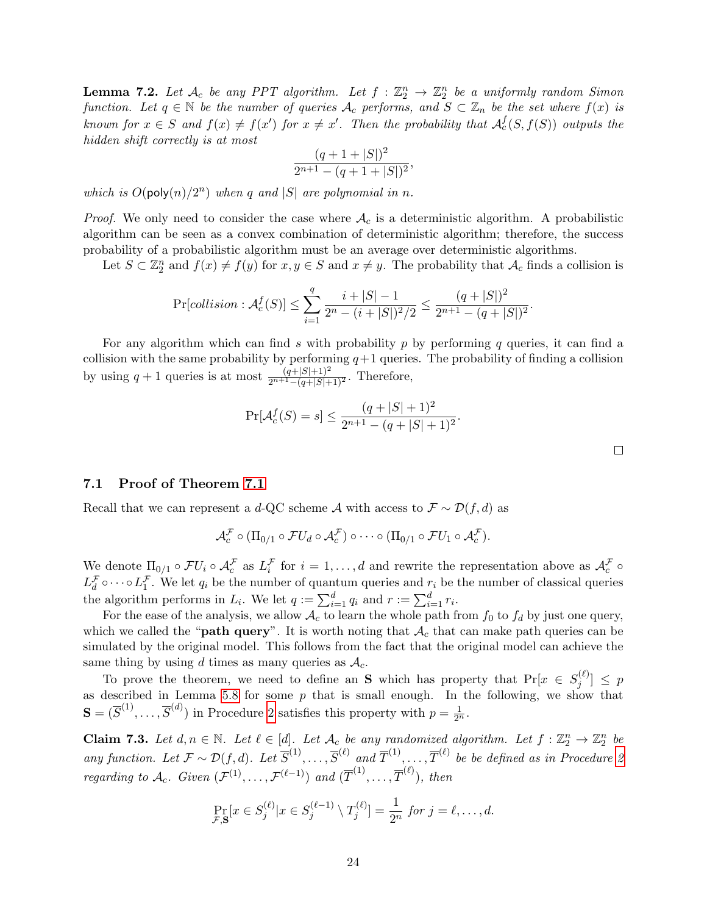**Lemma 7.2.** Let  $\mathcal{A}_c$  be any PPT algorithm. Let  $f : \mathbb{Z}_2^n \to \mathbb{Z}_2^n$  be a uniformly random Simon function. Let  $q \in \mathbb{N}$  be the number of queries  $A_c$  performs, and  $S \subset \mathbb{Z}_n$  be the set where  $f(x)$  is known for  $x \in S$  and  $f(x) \neq f(x')$  for  $x \neq x'$ . Then the probability that  $\mathcal{A}_{c}^{f}(S, f(S))$  outputs the hidden shift correctly is at most

$$
\frac{(q+1+|S|)^2}{2^{n+1}-(q+1+|S|)^2},
$$

which is  $O(\text{poly}(n)/2^n)$  when q and  $|S|$  are polynomial in n.

*Proof.* We only need to consider the case where  $A_c$  is a deterministic algorithm. A probabilistic algorithm can be seen as a convex combination of deterministic algorithm; therefore, the success probability of a probabilistic algorithm must be an average over deterministic algorithms.

Let  $S \subset \mathbb{Z}_2^n$  and  $f(x) \neq f(y)$  for  $x, y \in S$  and  $x \neq y$ . The probability that  $\mathcal{A}_c$  finds a collision is

$$
\Pr[collision: \mathcal{A}_c^f(S)] \le \sum_{i=1}^q \frac{i+|S|-1}{2^n - (i+|S|)^2/2} \le \frac{(q+|S|)^2}{2^{n+1} - (q+|S|)^2}.
$$

For any algorithm which can find s with probability  $p$  by performing  $q$  queries, it can find a collision with the same probability by performing  $q+1$  queries. The probability of finding a collision by using  $q + 1$  queries is at most  $\frac{(q+|S|+1)^2}{2^{n+1}-(q+|S|+1)^2}$ . Therefore,

$$
\Pr[\mathcal{A}_c^f(S) = s] \le \frac{(q + |S| + 1)^2}{2^{n+1} - (q + |S| + 1)^2}.
$$

 $\Box$ 

#### 7.1 Proof of Theorem [7.1](#page-22-0)

Recall that we can represent a d-QC scheme A with access to  $\mathcal{F} \sim \mathcal{D}(f, d)$  as

$$
\mathcal{A}_c^{\mathcal{F}} \circ (\Pi_{0/1} \circ \mathcal{F}U_d \circ \mathcal{A}_c^{\mathcal{F}}) \circ \cdots \circ (\Pi_{0/1} \circ \mathcal{F}U_1 \circ \mathcal{A}_c^{\mathcal{F}}).
$$

We denote  $\Pi_{0/1} \circ \mathcal{F}U_i \circ \mathcal{A}_{c}^{\mathcal{F}}$  as  $L_i^{\mathcal{F}}$  for  $i = 1, \ldots, d$  and rewrite the representation above as  $\mathcal{A}_{c}^{\mathcal{F}}$  o  $L_d^{\mathcal{F}} \circ \cdots \circ L_1^{\mathcal{F}}$ . We let  $q_i$  be the number of quantum queries and  $r_i$  be the number of classical queries the algorithm performs in  $L_i$ . We let  $q := \sum_{i=1}^d q_i$  and  $r := \sum_{i=1}^d r_i$ .

For the ease of the analysis, we allow  $\mathcal{A}_c$  to learn the whole path from  $f_0$  to  $f_d$  by just one query, which we called the "**path query**". It is worth noting that  $A_c$  that can make path queries can be simulated by the original model. This follows from the fact that the original model can achieve the same thing by using d times as many queries as  $\mathcal{A}_c$ .

To prove the theorem, we need to define an S which has property that  $Pr[x \in S_i^{(\ell)}]$  $\binom{p(\ell)}{j} \leq p$ as described in Lemma [5.8](#page-19-1) for some  $p$  that is small enough. In the following, we show that  $\mathbf{S} = (\overline{S}^{(1)}, \dots, \overline{S}^{(d)})$  in Procedure [2](#page-24-0) satisfies this property with  $p = \frac{1}{2^n}$ .

<span id="page-23-0"></span>**Claim 7.3.** Let  $d, n \in \mathbb{N}$ . Let  $\ell \in [d]$ . Let  $\mathcal{A}_c$  be any randomized algorithm. Let  $f : \mathbb{Z}_2^n \to \mathbb{Z}_2^n$  be 2 any function. Let  $\mathcal{F} \sim \mathcal{D}(f,d)$ . Let  $\overline{S}^{(1)}, \ldots, \overline{S}^{(\ell)}$  and  $\overline{T}^{(1)}, \ldots, \overline{T}^{(\ell)}$  be be defined as in Procedure [2](#page-24-0) regarding to  $\mathcal{A}_c$ . Given  $(\mathcal{F}^{(1)}, \ldots, \mathcal{F}^{(\ell-1)})$  and  $(\overline{T}^{(1)}, \ldots, \overline{T}^{(\ell)}),$  then

$$
\Pr_{\mathcal{F},\mathbf{S}}[x \in S_j^{(\ell)} | x \in S_j^{(\ell-1)} \setminus T_j^{(\ell)}] = \frac{1}{2^n} \text{ for } j = \ell, \ldots, d.
$$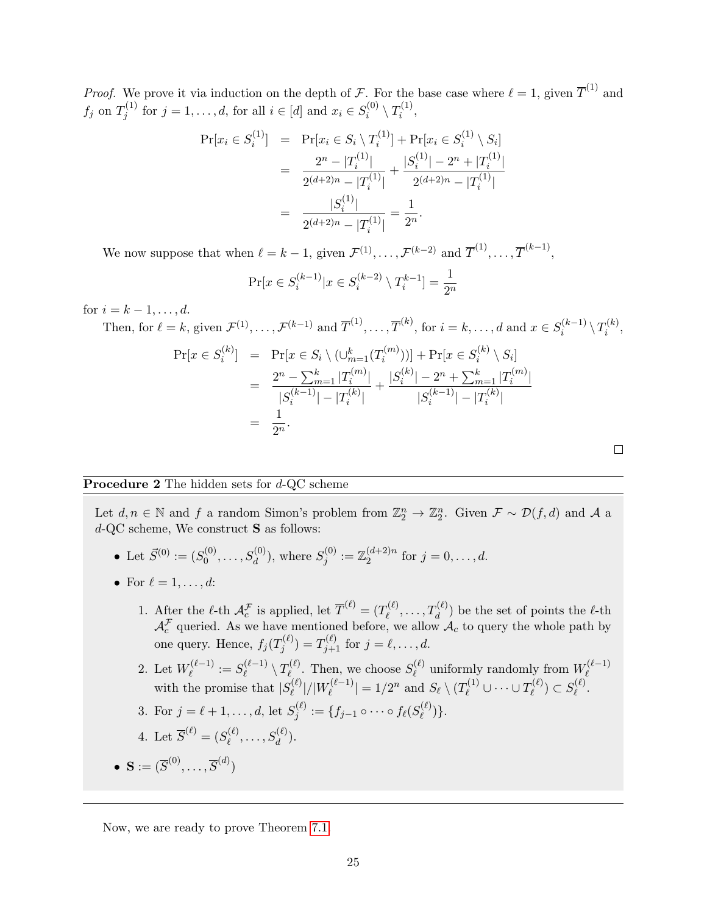*Proof.* We prove it via induction on the depth of F. For the base case where  $\ell = 1$ , given  $\overline{T}^{(1)}$  and  $f_j$  on  $T_i^{(1)}$  $j_j^{(1)}$  for  $j = 1, ..., d$ , for all  $i \in [d]$  and  $x_i \in S_i^{(0)}$  $\overline{\gamma}_i^{(0)} \setminus T_i^{(1)}$  $i^{(1)},$ 

$$
\begin{aligned}\n\Pr[x_i \in S_i^{(1)}] &= \Pr[x_i \in S_i \setminus T_i^{(1)}] + \Pr[x_i \in S_i^{(1)} \setminus S_i] \\
&= \frac{2^n - |T_i^{(1)}|}{2^{(d+2)n} - |T_i^{(1)}|} + \frac{|S_i^{(1)}| - 2^n + |T_i^{(1)}|}{2^{(d+2)n} - |T_i^{(1)}|} \\
&= \frac{|S_i^{(1)}|}{2^{(d+2)n} - |T_i^{(1)}|} = \frac{1}{2^n}.\n\end{aligned}
$$

We now suppose that when  $\ell = k - 1$ , given  $\mathcal{F}^{(1)}, \ldots, \mathcal{F}^{(k-2)}$  and  $\overline{T}^{(1)}, \ldots, \overline{T}^{(k-1)}$ ,

$$
\Pr[x \in S_i^{(k-1)} | x \in S_i^{(k-2)} \setminus T_i^{k-1}] = \frac{1}{2^n}
$$

 $(1)$ 

for  $i = k - 1, ..., d$ .

Then, for 
$$
\ell = k
$$
, given  $\mathcal{F}^{(1)}, \dots, \mathcal{F}^{(k-1)}$  and  $\overline{T}^{(1)}, \dots, \overline{T}^{(k)}$ , for  $i = k, \dots, d$  and  $x \in S_i^{(k-1)} \setminus T_i^{(k)}$ ,  
\n
$$
\Pr[x \in S_i^{(k)}] = \Pr[x \in S_i \setminus (\cup_{m=1}^k (T_i^{(m)}))] + \Pr[x \in S_i^{(k)} \setminus S_i]
$$
\n
$$
= \frac{2^n - \sum_{m=1}^k |T_i^{(m)}|}{|S_i^{(k-1)}| - |T_i^{(k)}|} + \frac{|S_i^{(k)}| - 2^n + \sum_{m=1}^k |T_i^{(m)}|}{|S_i^{(k-1)}| - |T_i^{(k)}|}
$$
\n
$$
= \frac{1}{2^n}.
$$

### **Procedure 2** The hidden sets for d-QC scheme

Let  $d, n \in \mathbb{N}$  and f a random Simon's problem from  $\mathbb{Z}_2^n \to \mathbb{Z}_2^n$ . Given  $\mathcal{F} \sim \mathcal{D}(f,d)$  and A a d-QC scheme, We construct S as follows:

• Let 
$$
\vec{S}^{(0)} := (S_0^{(0)}, \ldots, S_d^{(0)})
$$
, where  $S_j^{(0)} := \mathbb{Z}_2^{(d+2)n}$  for  $j = 0, \ldots, d$ .

- For  $\ell = 1, \ldots, d$ :
	- 1. After the  $\ell$ -th  $\mathcal{A}_{c}^{\mathcal{F}}$  is applied, let  $\overline{T}^{(\ell)} = (T_{\ell}^{(\ell)})$  $\mathcal{I}^{(\ell)}_\ell, \ldots, T^{(\ell)}_d)$  be the set of points the  $\ell\text{-th}$  $\mathcal{A}_{c}^{\mathcal{F}}$  queried. As we have mentioned before, we allow  $\mathcal{A}_{c}$  to query the whole path by one query. Hence,  $f_j(T_i^{(\ell)})$  $f_j^{(\ell)}) = T_{j+1}^{(\ell)}$  for  $j = \ell, ..., d$ .
	- 2. Let  $W_{\ell}^{(\ell-1)}$  $S_{\ell}^{(\ell-1)} := S_{\ell}^{(\ell-1)}$  $\mathcal{T}^{(\ell-1)}_\ell \setminus T^{(\ell)}_{\ell}$  $S_{\ell}^{(\ell)}$ . Then, we choose  $S_{\ell}^{(\ell)}$  $\mathcal{U}^{(\ell)}_\ell$  uniformly randomly from  $W^{(\ell-1)}_\ell$  $\ell$ with the promise that  $|S_{\ell}^{(\ell)}|$  $\ell^{(\ell)}_{{\ell}}|/|W^{(\ell-1)}_{\ell}|$  $|\mathcal{E}^{(\ell-1)}_{\ell}| = 1/2^n$  and  $S_{\ell} \setminus (T_{\ell}^{(1)} \cup \cdots \cup T_{\ell}^{(\ell)})$  $S_{\ell}^{(\ell)})\subset S_{\ell}^{(\ell)}$  $_{\ell}^{\scriptscriptstyle (\ell)}.$
	- 3. For  $j = \ell + 1, ..., d$ , let  $S_i^{(\ell)}$  $j^{(\ell)}:=\{f_{j-1}\circ\dots\circ f_\ell(S^{(\ell)}_\ell)$  $_{\ell}^{(\ell)})\}.$

4. Let 
$$
\overline{S}^{(\ell)} = (S_{\ell}^{(\ell)}, \ldots, S_d^{(\ell)})
$$
.

<span id="page-24-0"></span> $\bullet \ \mathbf{S} := (\overline{S}^{(0)}, \ldots, \overline{S}^{(d)})$ 

Now, we are ready to prove Theorem [7.1.](#page-22-0)

 $\Box$ 

 $(k)$ 

 $(1)$   $-1$ )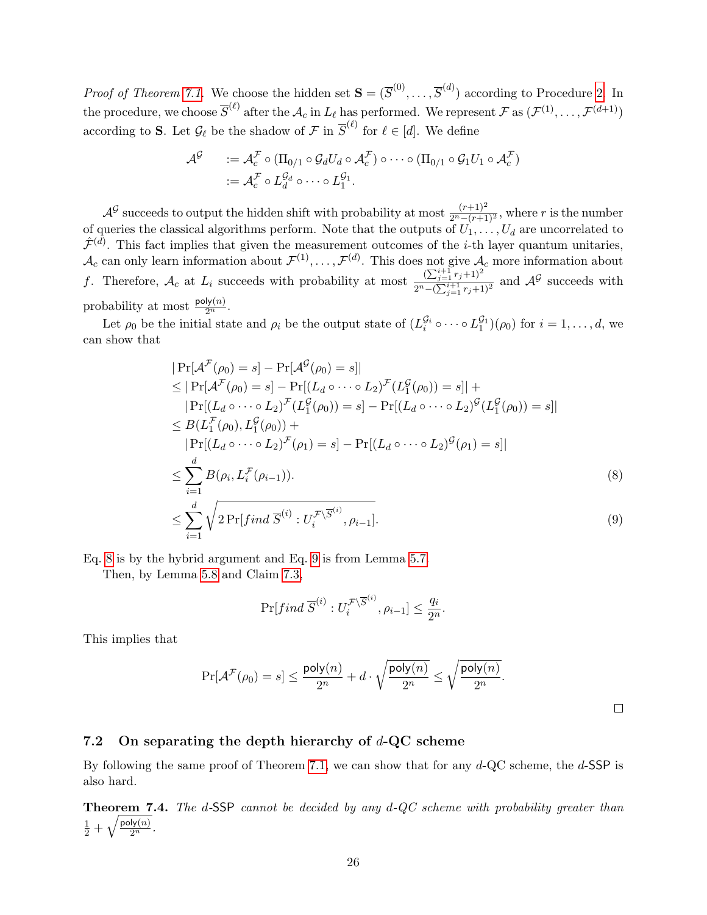*Proof of Theorem [7.1.](#page-22-0)* We choose the hidden set  $\mathbf{S} = (\overline{S}^{(0)}, \ldots, \overline{S}^{(d)})$  according to Procedure [2.](#page-24-0) In the procedure, we choose  $\overline{S}^{(\ell)}$  after the  $\mathcal{A}_c$  in  $L_\ell$  has performed. We represent  $\mathcal{F}$  as  $(\mathcal{F}^{(1)}, \ldots, \mathcal{F}^{(d+1)})$ according to S. Let  $\mathcal{G}_{\ell}$  be the shadow of  $\mathcal{F}$  in  $\overline{S}^{(\ell)}$  for  $\ell \in [d]$ . We define

$$
\mathcal{A}^{\mathcal{G}} \qquad := \mathcal{A}_{c}^{\mathcal{F}} \circ (\Pi_{0/1} \circ \mathcal{G}_{d} U_{d} \circ \mathcal{A}_{c}^{\mathcal{F}}) \circ \cdots \circ (\Pi_{0/1} \circ \mathcal{G}_{1} U_{1} \circ \mathcal{A}_{c}^{\mathcal{F}})
$$

$$
:= \mathcal{A}_{c}^{\mathcal{F}} \circ L_{d}^{\mathcal{G}_{d}} \circ \cdots \circ L_{1}^{\mathcal{G}_{1}}.
$$

 $\mathcal{A}^{\mathcal{G}}$  succeeds to output the hidden shift with probability at most  $\frac{(r+1)^2}{2^n-(r+1)^2}$ , where r is the number of queries the classical algorithms perform. Note that the outputs of  $U_1, \ldots, U_d$  are uncorrelated to  $\hat{\mathcal{F}}^{(\bar{d})}$ . This fact implies that given the measurement outcomes of the *i*-th layer quantum unitaries,  $\mathcal{A}_c$  can only learn information about  $\mathcal{F}^{(1)}, \ldots, \mathcal{F}^{(d)}$ . This does not give  $\mathcal{A}_c$  more information about f. Therefore,  $\mathcal{A}_c$  at  $L_i$  succeeds with probability at most  $\frac{(\sum_{j=1}^{i+1} r_j + 1)^2}{2n}$  $\frac{(\sum_{j=1}^{\infty} r_j+1)^2}{2^n-(\sum_{j=1}^{\infty} r_j+1)^2}$  and  $\mathcal{A}^{\mathcal{G}}$  succeeds with probability at most  $\frac{\text{poly}(n)}{2^n}$ .

Let  $\rho_0$  be the initial state and  $\rho_i$  be the output state of  $(L_i^{\mathcal{G}_i} \circ \cdots \circ L_1^{\mathcal{G}_1})(\rho_0)$  for  $i = 1, \ldots, d$ , we can show that

<span id="page-25-0"></span>
$$
|\Pr[\mathcal{A}^{\mathcal{F}}(\rho_{0}) = s] - \Pr[\mathcal{A}^{\mathcal{G}}(\rho_{0}) = s]|
$$
  
\n
$$
\leq |\Pr[\mathcal{A}^{\mathcal{F}}(\rho_{0}) = s] - \Pr[(L_{d} \circ \cdots \circ L_{2})^{\mathcal{F}}(L_{1}^{\mathcal{G}}(\rho_{0})) = s]| +
$$
  
\n
$$
|\Pr[(L_{d} \circ \cdots \circ L_{2})^{\mathcal{F}}(L_{1}^{\mathcal{G}}(\rho_{0})) = s] - \Pr[(L_{d} \circ \cdots \circ L_{2})^{\mathcal{G}}(L_{1}^{\mathcal{G}}(\rho_{0})) = s]|
$$
  
\n
$$
\leq B(L_{1}^{\mathcal{F}}(\rho_{0}), L_{1}^{\mathcal{G}}(\rho_{0})) +
$$
  
\n
$$
|\Pr[(L_{d} \circ \cdots \circ L_{2})^{\mathcal{F}}(\rho_{1}) = s] - \Pr[(L_{d} \circ \cdots \circ L_{2})^{\mathcal{G}}(\rho_{1}) = s]|
$$
  
\n
$$
\leq \sum_{i=1}^{d} B(\rho_{i}, L_{i}^{\mathcal{F}}(\rho_{i-1})).
$$
  
\n
$$
\leq \sum_{i=1}^{d} \sqrt{2 \Pr[find \overline{S}^{(i)} : U_{i}^{\mathcal{F}}(S^{(i)}, \rho_{i-1}]}. \tag{9}
$$

Eq. [8](#page-25-0) is by the hybrid argument and Eq. [9](#page-25-0) is from Lemma [5.7.](#page-17-1)

Then, by Lemma [5.8](#page-19-1) and Claim [7.3,](#page-23-0)

$$
\Pr[find\ \overline{S}^{(i)}:U_i^{\mathcal{F}\backslash\overline{S}^{(i)}},\rho_{i-1}]\leq \frac{q_i}{2^n}.
$$

This implies that

$$
\Pr[\mathcal{A}^{\mathcal{F}}(\rho_0) = s] \leq \frac{\mathsf{poly}(n)}{2^n} + d \cdot \sqrt{\frac{\mathsf{poly}(n)}{2^n}} \leq \sqrt{\frac{\mathsf{poly}(n)}{2^n}}.
$$

 $\Box$ 

#### 7.2 On separating the depth hierarchy of  $d$ -QC scheme

By following the same proof of Theorem [7.1,](#page-22-0) we can show that for any  $d$ -QC scheme, the  $d$ -SSP is also hard.

<span id="page-25-1"></span>**Theorem 7.4.** The d-SSP cannot be decided by any  $d$ -QC scheme with probability greater than  $\frac{1}{2}+\sqrt{\frac{\mathsf{poly}(n)}{2^n}}.$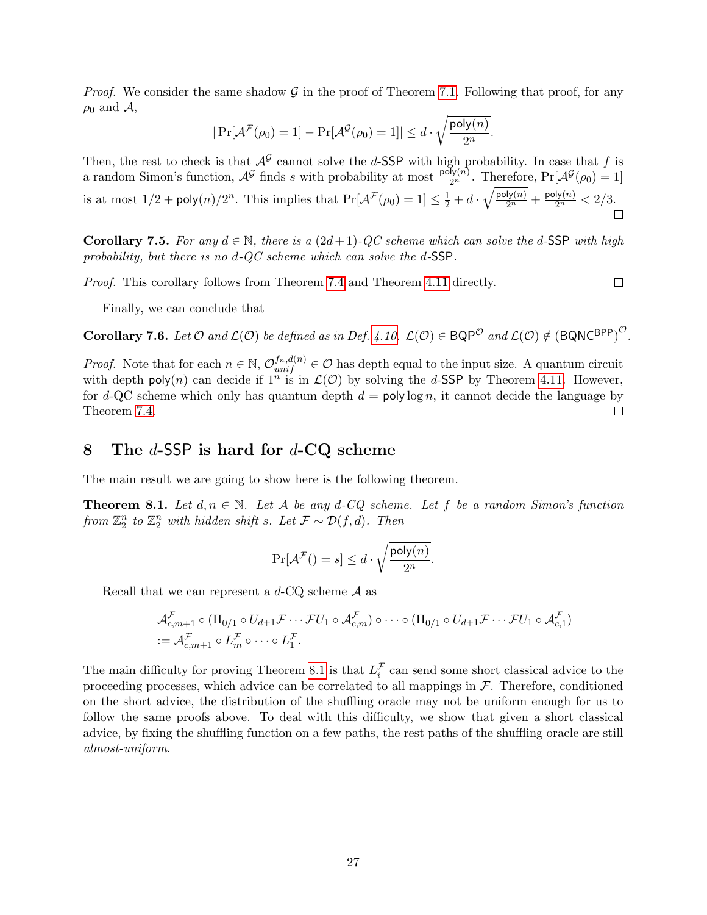*Proof.* We consider the same shadow  $\mathcal{G}$  in the proof of Theorem [7.1.](#page-22-0) Following that proof, for any  $\rho_0$  and  $\mathcal{A}$ ,

$$
|\Pr[\mathcal{A}^{\mathcal{F}}(\rho_0) = 1] - \Pr[\mathcal{A}^{\mathcal{G}}(\rho_0) = 1]| \leq d \cdot \sqrt{\frac{\text{poly}(n)}{2^n}}
$$

.

Then, the rest to check is that  $\mathcal{A}^{\mathcal{G}}$  cannot solve the d-SSP with high probability. In case that f is a random Simon's function,  $\mathcal{A}^{\mathcal{G}}$  finds s with probability at most  $\frac{\text{poly}(n)}{2^n}$ . Therefore,  $\Pr[\mathcal{A}^{\mathcal{G}}(\rho_0) = 1]$ is at most  $1/2 + \text{poly}(n)/2^n$ . This implies that  $\Pr[\mathcal{A}^{\mathcal{F}}(\rho_0) = 1] \leq \frac{1}{2} + d \cdot \sqrt{\frac{\text{poly}(n)}{2^n}} + \frac{\text{poly}(n)}{2^n} \leq 2/3$ .

**Corollary 7.5.** For any  $d \in \mathbb{N}$ , there is a  $(2d+1)$ -QC scheme which can solve the d-SSP with high probability, but there is no d-QC scheme which can solve the d-SSP.

Proof. This corollary follows from Theorem [7.4](#page-25-1) and Theorem [4.11](#page-14-0) directly.

 $\Box$ 

Finally, we can conclude that

**Corollary 7.6.** Let  $\mathcal{O}$  and  $\mathcal{L}(\mathcal{O})$  be defined as in Def. [4.10.](#page-14-1)  $\mathcal{L}(\mathcal{O}) \in \mathsf{BQP}^{\mathcal{O}}$  and  $\mathcal{L}(\mathcal{O}) \notin (\mathsf{BQNC}^{\mathsf{BPP}})^{\mathcal{O}}$ .

*Proof.* Note that for each  $n \in \mathbb{N}$ ,  $\mathcal{O}_{unif}^{f_n,d(n)} \in \mathcal{O}$  has depth equal to the input size. A quantum circuit with depth poly(n) can decide if  $1^n$  is in  $\mathcal{L}(\mathcal{O})$  by solving the d-SSP by Theorem [4.11.](#page-14-0) However, for d-QC scheme which only has quantum depth  $d = \text{poly}\log n$ , it cannot decide the language by Theorem [7.4.](#page-25-1)  $\Box$ 

## 8 The  $d$ -SSP is hard for  $d$ -CQ scheme

The main result we are going to show here is the following theorem.

<span id="page-26-0"></span>**Theorem 8.1.** Let  $d, n \in \mathbb{N}$ . Let A be any d-CQ scheme. Let f be a random Simon's function from  $\mathbb{Z}_2^n$  to  $\mathbb{Z}_2^n$  with hidden shift s. Let  $\mathcal{F} \sim \mathcal{D}(f,d)$ . Then

$$
\Pr[\mathcal{A}^{\mathcal{F}}( ) = s] \leq d \cdot \sqrt{\frac{\text{poly}(n)}{2^n}}.
$$

Recall that we can represent a  $d$ -CQ scheme  $A$  as

$$
\mathcal{A}_{c,m+1}^{\mathcal{F}} \circ (\Pi_{0/1} \circ U_{d+1} \mathcal{F} \cdots \mathcal{F} U_1 \circ \mathcal{A}_{c,m}^{\mathcal{F}}) \circ \cdots \circ (\Pi_{0/1} \circ U_{d+1} \mathcal{F} \cdots \mathcal{F} U_1 \circ \mathcal{A}_{c,1}^{\mathcal{F}})
$$
  
:=  $\mathcal{A}_{c,m+1}^{\mathcal{F}} \circ L_m^{\mathcal{F}} \circ \cdots \circ L_1^{\mathcal{F}}.$ 

The main difficulty for proving Theorem [8.1](#page-26-0) is that  $L_i^{\mathcal{F}}$  can send some short classical advice to the proceeding processes, which advice can be correlated to all mappings in  $F$ . Therefore, conditioned on the short advice, the distribution of the shuffling oracle may not be uniform enough for us to follow the same proofs above. To deal with this difficulty, we show that given a short classical advice, by fixing the shuffling function on a few paths, the rest paths of the shuffling oracle are still almost-uniform.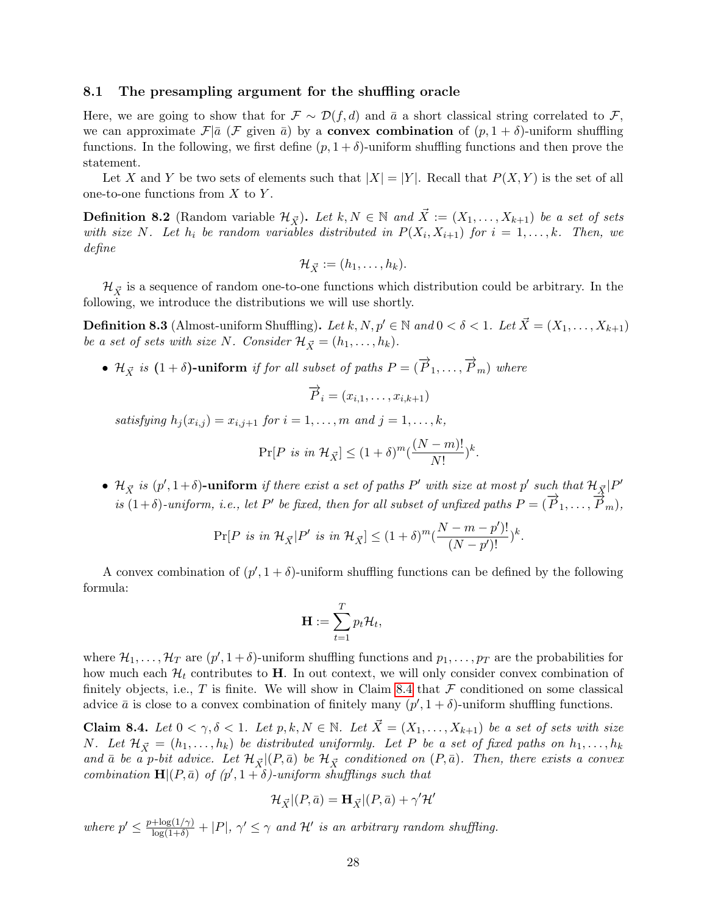#### 8.1 The presampling argument for the shuffling oracle

Here, we are going to show that for  $\mathcal{F} \sim \mathcal{D}(f, d)$  and  $\bar{a}$  a short classical string correlated to  $\mathcal{F}$ , we can approximate  $\mathcal{F}|\bar{a}$  ( $\mathcal{F}$  given  $\bar{a}$ ) by a **convex combination** of  $(p, 1 + \delta)$ -uniform shuffling functions. In the following, we first define  $(p, 1 + \delta)$ -uniform shuffling functions and then prove the statement.

Let X and Y be two sets of elements such that  $|X| = |Y|$ . Recall that  $P(X, Y)$  is the set of all one-to-one functions from  $X$  to  $Y$ .

**Definition 8.2** (Random variable  $\mathcal{H}_{\vec{Y}}$ ). Let  $k, N \in \mathbb{N}$  and  $\vec{X} := (X_1, \ldots, X_{k+1})$  be a set of sets with size N. Let  $h_i$  be random variables distributed in  $P(X_i, X_{i+1})$  for  $i = 1, ..., k$ . Then, we define

$$
\mathcal{H}_{\vec{X}} := (h_1, \ldots, h_k).
$$

 $\mathcal{H}_{\vec{X}}$  is a sequence of random one-to-one functions which distribution could be arbitrary. In the following, we introduce the distributions we will use shortly.

<span id="page-27-1"></span>**Definition 8.3** (Almost-uniform Shuffling). Let k, N,  $p' \in \mathbb{N}$  and  $0 < \delta < 1$ . Let  $\vec{X} = (X_1, \ldots, X_{k+1})$ be a set of sets with size N. Consider  $\mathcal{H}_{\vec{X}} = (h_1, \ldots, h_k)$ .

•  $\mathcal{H}_{\vec{X}}$  is  $(1 + \delta)$ -uniform if for all subset of paths  $P = (\overrightarrow{P}_1, \ldots, \overrightarrow{P}_m)$  where

$$
\overrightarrow{P}_i = (x_{i,1}, \ldots, x_{i,k+1})
$$

satisfying  $h_i(x_{i,j}) = x_{i,j+1}$  for  $i = 1, \ldots, m$  and  $j = 1, \ldots, k$ ,

$$
\Pr[P \text{ is in } \mathcal{H}_{\vec{X}}] \le (1+\delta)^m (\frac{(N-m)!}{N!})^k.
$$

•  $\mathcal{H}_{\vec{X}}$  is  $(p', 1+\delta)$ -uniform if there exist a set of paths P' with size at most p' such that  $\mathcal{H}_{\vec{X}}|P'$  $\overrightarrow{a}$  is  $(1+\delta)$ -uniform, i.e., let P' be fixed, then for all subset of unfixed paths  $P = (\overrightarrow{P}_1, \ldots, \overrightarrow{P}_m)$ ,

$$
\Pr[P \text{ is in } \mathcal{H}_{\vec{X}} | P' \text{ is in } \mathcal{H}_{\vec{X}}] \le (1+\delta)^m (\frac{N-m-p')!}{(N-p')!} )^k.
$$

A convex combination of  $(p', 1 + \delta)$ -uniform shuffling functions can be defined by the following formula:

$$
\mathbf{H} := \sum_{t=1}^T p_t \mathcal{H}_t,
$$

where  $\mathcal{H}_1,\ldots,\mathcal{H}_T$  are  $(p',1+\delta)$ -uniform shuffling functions and  $p_1,\ldots,p_T$  are the probabilities for how much each  $\mathcal{H}_t$  contributes to **H**. In out context, we will only consider convex combination of finitely objects, i.e.,  $T$  is finite. We will show in Claim [8.4](#page-27-0) that  $\mathcal F$  conditioned on some classical advice  $\bar{a}$  is close to a convex combination of finitely many  $(p', 1 + \delta)$ -uniform shuffling functions.

<span id="page-27-0"></span>**Claim 8.4.** Let  $0 < \gamma, \delta < 1$ . Let  $p, k, N \in \mathbb{N}$ . Let  $\vec{X} = (X_1, \ldots, X_{k+1})$  be a set of sets with size N. Let  $\mathcal{H}_{\vec{X}} = (h_1, \ldots, h_k)$  be distributed uniformly. Let P be a set of fixed paths on  $h_1, \ldots, h_k$ and  $\bar{a}$  be a p-bit advice. Let  $\mathcal{H}_{\vec{X}} | (P, \bar{a})$  be  $\mathcal{H}_{\vec{X}}$  conditioned on  $(P, \bar{a})$ . Then, there exists a convex combination  $\mathbf{H}|(P,\bar{a})$  of  $(p',1+\delta)$ -uniform shufflings such that

$$
\mathcal{H}_{\vec{X}}|(P,\bar{a}) = \mathbf{H}_{\vec{X}}|(P,\bar{a}) + \gamma'\mathcal{H}'
$$

where  $p' \n\t\leq \frac{p + \log(1/\gamma)}{\log(1+\delta)} + |P|, \gamma' \leq \gamma$  and  $\mathcal{H}'$  is an arbitrary random shuffling.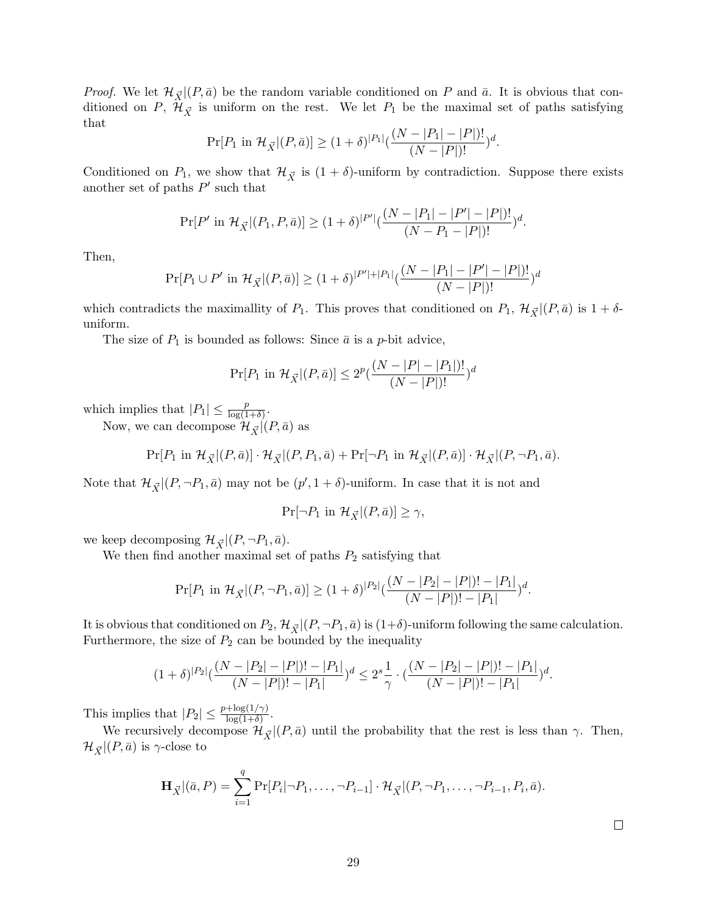*Proof.* We let  $\mathcal{H}_{\vec{X}}|(P,\bar{a})$  be the random variable conditioned on P and  $\bar{a}$ . It is obvious that conditioned on P,  $\mathcal{H}_{\vec{X}}$  is uniform on the rest. We let P<sub>1</sub> be the maximal set of paths satisfying that

$$
\Pr[P_1 \text{ in } \mathcal{H}_{\vec{X}}|(P,\bar{a})] \ge (1+\delta)^{|P_1|} \left(\frac{(N-|P_1|-|P|)!}{(N-|P|)!}\right)^d.
$$

Conditioned on  $P_1$ , we show that  $\mathcal{H}_{\vec{X}}$  is  $(1 + \delta)$ -uniform by contradiction. Suppose there exists another set of paths  $P'$  such that

$$
\Pr[P' \text{ in } \mathcal{H}_{\vec{X}}|(P_1, P, \bar{a})] \ge (1+\delta)^{|P'|} \left(\frac{(N-|P_1|-|P'|-|P|)!}{(N-P_1-|P|)!}\right)^d.
$$

Then,

$$
\Pr[P_1 \cup P' \text{ in } \mathcal{H}_{\vec{X}}|(P,\bar{a})] \ge (1+\delta)^{|P'|+|P_1|} \left(\frac{(N-|P_1|-|P'|-|P|)!}{(N-|P|)!}\right)^d
$$

which contradicts the maximallity of  $P_1$ . This proves that conditioned on  $P_1$ ,  $\mathcal{H}_{\vec{X}}|(P,\bar{a})$  is  $1+\delta$ uniform.

The size of  $P_1$  is bounded as follows: Since  $\bar{a}$  is a p-bit advice,

$$
\Pr[P_1 \text{ in } \mathcal{H}_{\vec{X}} | (P, \bar{a})] \le 2^p \left( \frac{(N - |P| - |P_1|)!}{(N - |P|)!} \right)^d
$$

which implies that  $|P_1| \leq \frac{p}{\log(1+\delta)}$ .

Now, we can decompose  $\mathcal{H}_{\vec{X}}|(P,\bar{a})$  as

$$
\Pr[P_1 \text{ in } \mathcal{H}_{\vec{X}}|(P,\bar{a})] \cdot \mathcal{H}_{\vec{X}}|(P,P_1,\bar{a}) + \Pr[\neg P_1 \text{ in } \mathcal{H}_{\vec{X}}|(P,\bar{a})] \cdot \mathcal{H}_{\vec{X}}|(P,\neg P_1,\bar{a}).
$$

Note that  $\mathcal{H}_{\vec{X}} | (P, \neg P_1, \bar{a})$  may not be  $(p', 1 + \delta)$ -uniform. In case that it is not and

$$
\Pr[\neg P_1 \text{ in } \mathcal{H}_{\vec{X}} | (P, \bar{a})] \ge \gamma,
$$

we keep decomposing  $\mathcal{H}_{\vec{X}} | (P, \neg P_1, \bar{a}).$ 

We then find another maximal set of paths  $P_2$  satisfying that

$$
\Pr[P_1 \text{ in } \mathcal{H}_{\vec{X}}|(P, \neg P_1, \bar{a})] \ge (1+\delta)^{|P_2|} \left(\frac{(N-|P_2|-|P|)!-|P_1|}{(N-|P|)!-|P_1|}\right)^d.
$$

It is obvious that conditioned on  $P_2$ ,  $\mathcal{H}_{\vec{X}}|(P, \neg P_1, \bar{a})$  is  $(1+\delta)$ -uniform following the same calculation. Furthermore, the size of  $P_2$  can be bounded by the inequality

$$
(1+\delta)^{|P_2|}(\frac{(N-|P_2|-|P|)!-|P_1|}{(N-|P|)!-|P_1|})^d \leq 2^s \frac{1}{\gamma} \cdot (\frac{(N-|P_2|-|P|)!-|P_1|}{(N-|P|)!-|P_1|})^d.
$$

This implies that  $|P_2| \leq \frac{p + \log(1/\gamma)}{\log(1+\delta)}$ .

We recursively decompose  $\mathcal{H}_{\vec{X}} | (P, \bar{a})$  until the probability that the rest is less than  $\gamma$ . Then,  $\mathcal{H}_{\vec{X}} |(P,\bar{a})$  is  $\gamma$ -close to

$$
\mathbf{H}_{\vec{X}} | (\bar{a}, P) = \sum_{i=1}^{q} \Pr[P_i | \neg P_1, \dots, \neg P_{i-1}] \cdot \mathcal{H}_{\vec{X}} | (P, \neg P_1, \dots, \neg P_{i-1}, P_i, \bar{a}).
$$

 $\Box$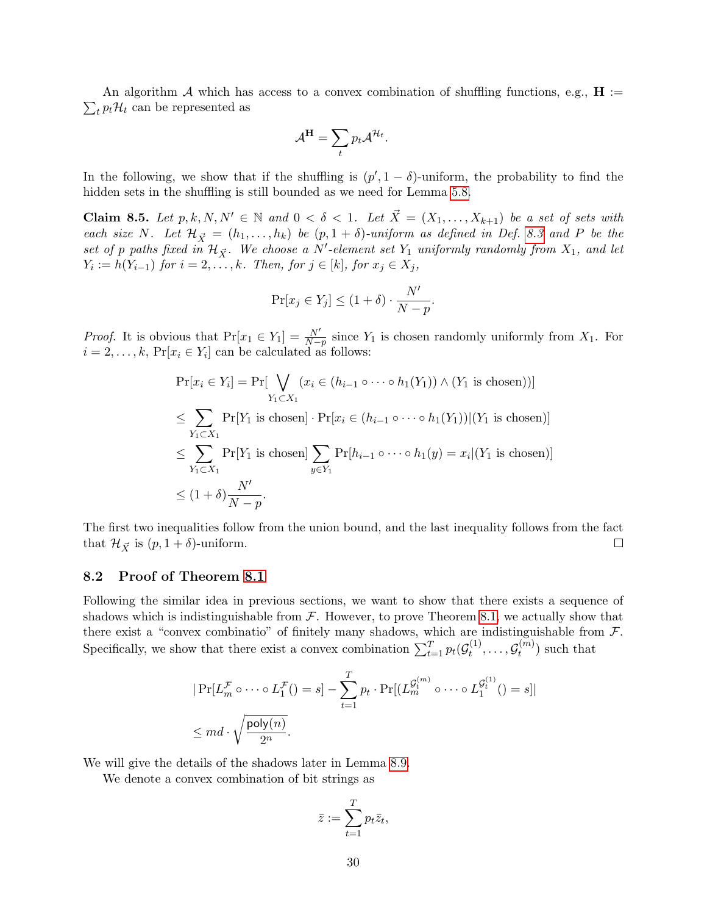$\sum_t p_t \mathcal{H}_t$  can be represented as An algorithm A which has access to a convex combination of shuffling functions, e.g.,  $\mathbf{H} :=$ 

$$
\mathcal{A}^{\mathbf{H}} = \sum_{t} p_t \mathcal{A}^{\mathcal{H}_t}.
$$

In the following, we show that if the shuffling is  $(p', 1 - \delta)$ -uniform, the probability to find the hidden sets in the shuffling is still bounded as we need for Lemma [5.8.](#page-19-1)

<span id="page-29-0"></span>Claim 8.5. Let  $p, k, N, N' \in \mathbb{N}$  and  $0 < \delta < 1$ . Let  $\vec{X} = (X_1, \ldots, X_{k+1})$  be a set of sets with each size N. Let  $\mathcal{H}_{\vec{X}} = (h_1, \ldots, h_k)$  be  $(p, 1 + \delta)$ -uniform as defined in Def. [8.3](#page-27-1) and P be the set of p paths fixed in  $\mathcal{H}_{\vec{X}}$ . We choose a N'-element set  $Y_1$  uniformly randomly from  $X_1$ , and let  $Y_i := h(Y_{i-1})$  for  $i = 2, \ldots, k$ . Then, for  $j \in [k]$ , for  $x_j \in X_j$ ,

$$
\Pr[x_j \in Y_j] \le (1+\delta) \cdot \frac{N'}{N-p}.
$$

*Proof.* It is obvious that  $Pr[x_1 \in Y_1] = \frac{N'}{N-p}$  since  $Y_1$  is chosen randomly uniformly from  $X_1$ . For  $i = 2, \ldots, k$ ,  $Pr[x_i \in Y_i]$  can be calculated as follows:

$$
\Pr[x_i \in Y_i] = \Pr[\bigvee_{Y_1 \subset X_1} (x_i \in (h_{i-1} \circ \cdots \circ h_1(Y_1)) \land (Y_1 \text{ is chosen}))]
$$
\n
$$
\leq \sum_{Y_1 \subset X_1} \Pr[Y_1 \text{ is chosen}] \cdot \Pr[x_i \in (h_{i-1} \circ \cdots \circ h_1(Y_1)) | (Y_1 \text{ is chosen})]
$$
\n
$$
\leq \sum_{Y_1 \subset X_1} \Pr[Y_1 \text{ is chosen}] \sum_{y \in Y_1} \Pr[h_{i-1} \circ \cdots \circ h_1(y) = x_i | (Y_1 \text{ is chosen})]
$$
\n
$$
\leq (1+\delta) \frac{N'}{N-p}.
$$

The first two inequalities follow from the union bound, and the last inequality follows from the fact that  $\mathcal{H}_{\vec{X}}$  is  $(p, 1 + \delta)$ -uniform.  $\Box$ 

#### 8.2 Proof of Theorem [8.1](#page-26-0)

Following the similar idea in previous sections, we want to show that there exists a sequence of shadows which is indistinguishable from  $\mathcal F$ . However, to prove Theorem [8.1,](#page-26-0) we actually show that there exist a "convex combinatio" of finitely many shadows, which are indistinguishable from  $\mathcal{F}$ . Specifically, we show that there exist a convex combination  $\sum_{t=1}^{T} p_t(\mathcal{G}_t^{(1)})$  $\mathcal{G}_t^{(1)}, \ldots, \mathcal{G}_t^{(m)}$  $t^{(m)}$ ) such that

$$
|\Pr[L_m^{\mathcal{F}} \circ \cdots \circ L_1^{\mathcal{F}}(r)] = s] - \sum_{t=1}^T p_t \cdot \Pr[(L_m^{g_t^{(m)}} \circ \cdots \circ L_1^{g_t^{(1)}}(r)] = s]|
$$
  

$$
\leq md \cdot \sqrt{\frac{\text{poly}(n)}{2^n}}.
$$

We will give the details of the shadows later in Lemma [8.9.](#page-30-0)

We denote a convex combination of bit strings as

$$
\bar{z} := \sum_{t=1}^T p_t \bar{z}_t,
$$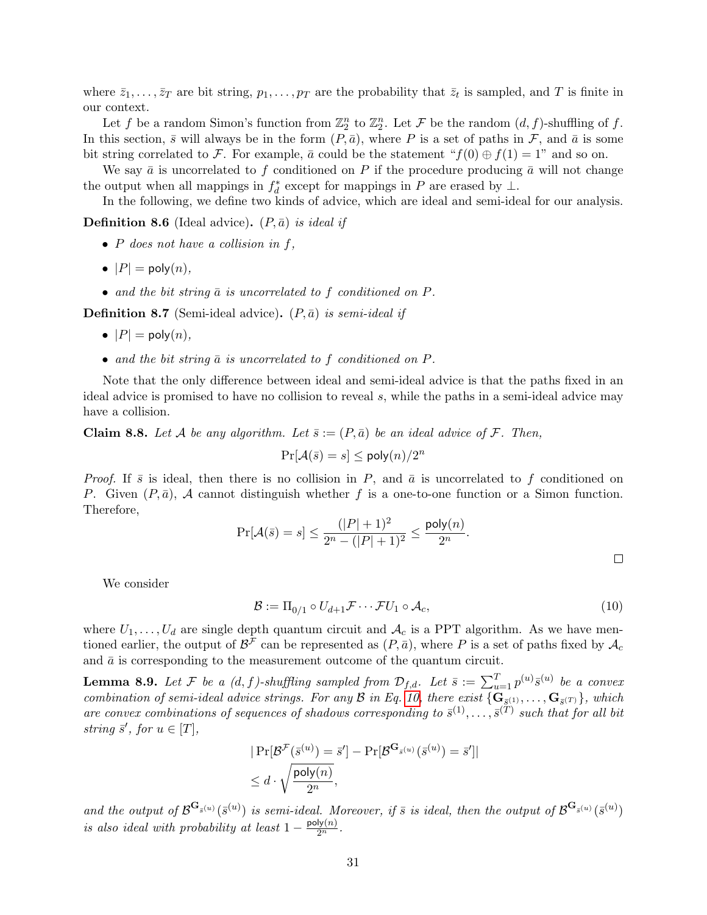where  $\bar{z}_1, \ldots, \bar{z}_T$  are bit string,  $p_1, \ldots, p_T$  are the probability that  $\bar{z}_t$  is sampled, and T is finite in our context.

Let f be a random Simon's function from  $\mathbb{Z}_2^n$  to  $\mathbb{Z}_2^n$ . Let F be the random  $(d, f)$ -shuffling of f. In this section,  $\bar{s}$  will always be in the form  $(P, \bar{a})$ , where P is a set of paths in F, and  $\bar{a}$  is some bit string correlated to F. For example,  $\bar{a}$  could be the statement " $f(0) \oplus f(1) = 1$ " and so on.

We say  $\bar{a}$  is uncorrelated to f conditioned on P if the procedure producing  $\bar{a}$  will not change the output when all mappings in  $f_d^*$  except for mappings in P are erased by  $\perp$ .

In the following, we define two kinds of advice, which are ideal and semi-ideal for our analysis.

**Definition 8.6** (Ideal advice).  $(P, \bar{a})$  is ideal if

- $\bullet$  P does not have a collision in f,
- $|P| = \text{poly}(n)$ ,
- and the bit string  $\bar{a}$  is uncorrelated to f conditioned on  $P$ .

**Definition 8.7** (Semi-ideal advice).  $(P,\bar{a})$  is semi-ideal if

- $|P| = \text{poly}(n)$ ,
- and the bit string  $\bar{a}$  is uncorrelated to f conditioned on P.

Note that the only difference between ideal and semi-ideal advice is that the paths fixed in an ideal advice is promised to have no collision to reveal s, while the paths in a semi-ideal advice may have a collision.

<span id="page-30-2"></span>**Claim 8.8.** Let A be any algorithm. Let  $\bar{s}:=(P,\bar{a})$  be an ideal advice of F. Then,

$$
\Pr[\mathcal{A}(\bar{s}) = s] \le \mathsf{poly}(n)/2^n
$$

*Proof.* If  $\bar{s}$  is ideal, then there is no collision in P, and  $\bar{a}$  is uncorrelated to f conditioned on P. Given  $(P, \bar{a})$ , A cannot distinguish whether f is a one-to-one function or a Simon function. Therefore,

$$
\Pr[\mathcal{A}(\bar{s}) = s] \le \frac{(|P|+1)^2}{2^n - (|P|+1)^2} \le \frac{\text{poly}(n)}{2^n}.
$$

We consider

<span id="page-30-1"></span> $\mathcal{B} := \Pi_{0/1} \circ U_{d+1} \mathcal{F} \cdots \mathcal{F} U_1 \circ \mathcal{A}_c,$ (10)

where  $U_1, \ldots, U_d$  are single depth quantum circuit and  $\mathcal{A}_c$  is a PPT algorithm. As we have mentioned earlier, the output of  $\mathcal{B}^{\mathcal{F}}$  can be represented as  $(P,\bar{a})$ , where P is a set of paths fixed by  $\mathcal{A}_c$ and  $\bar{a}$  is corresponding to the measurement outcome of the quantum circuit.

<span id="page-30-0"></span>**Lemma 8.9.** Let F be a  $(d, f)$ -shuffling sampled from  $\mathcal{D}_{f,d}$ . Let  $\bar{s} := \sum_{u=1}^T p^{(u)} \bar{s}^{(u)}$  be a convex combination of semi-ideal advice strings. For any  $\mathcal B$  in Eq. [10,](#page-30-1) there exist  $\{ \mathbf{G}_{\bar{\mathcal{S}}^{(1)}}, \ldots, \mathbf{G}_{\bar{\mathcal{S}}^{(T)}} \}$ , which are convex combinations of sequences of shadows corresponding to  $\bar{s}^{(1)}, \ldots, \bar{s}^{(T)}$  such that for all bit string  $\bar{s}'$ , for  $u \in [T]$ ,

$$
|\Pr[\mathcal{B}^{\mathcal{F}}(\bar{s}^{(u)}) = \bar{s}'] - \Pr[\mathcal{B}^{\mathbf{G}_{\bar{s}^{(u)}}}(\bar{s}^{(u)}) = \bar{s}']|
$$
  

$$
\leq d \cdot \sqrt{\frac{\text{poly}(n)}{2^n}},
$$

and the output of  $\mathcal{B}^{\mathbf{G}_{\bar{s}}(u)}(\bar{s}^{(u)})$  is semi-ideal. Moreover, if  $\bar{s}$  is ideal, then the output of  $\mathcal{B}^{\mathbf{G}_{\bar{s}}(u)}(\bar{s}^{(u)})$ is also ideal with probability at least  $1 - \frac{\text{poly}(n)}{2^n}$ .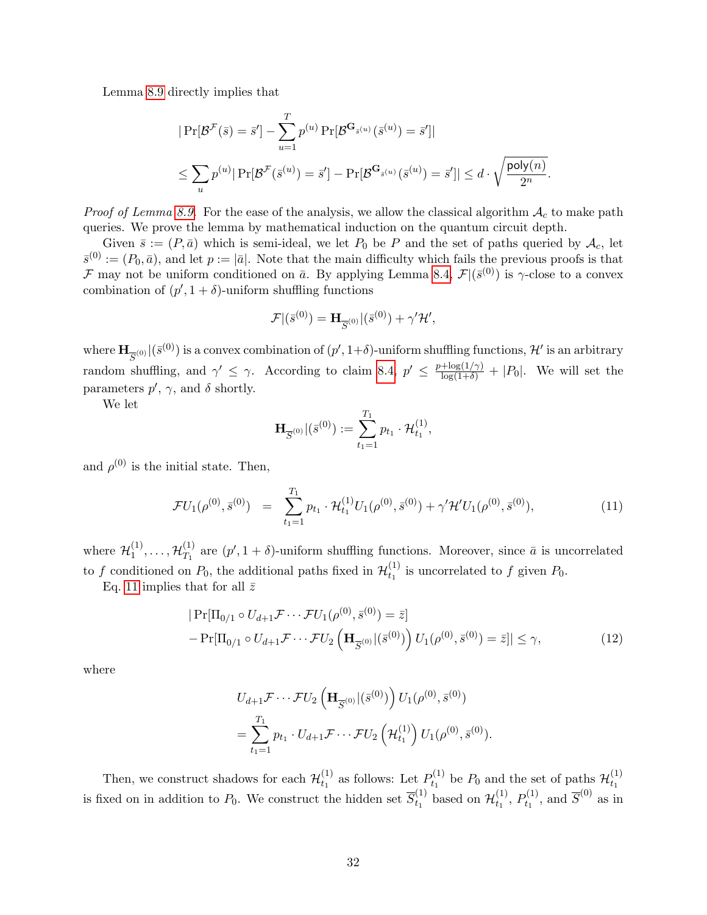Lemma [8.9](#page-30-0) directly implies that

$$
|\Pr[\mathcal{B}^{\mathcal{F}}(\bar{s}) = \bar{s}'] - \sum_{u=1}^{T} p^{(u)} \Pr[\mathcal{B}^{\mathbf{G}_{\bar{s}}(u)}(\bar{s}^{(u)}) = \bar{s}']|
$$
  

$$
\leq \sum_{u} p^{(u)} |\Pr[\mathcal{B}^{\mathcal{F}}(\bar{s}^{(u)}) = \bar{s}'] - \Pr[\mathcal{B}^{\mathbf{G}_{\bar{s}}(u)}(\bar{s}^{(u)}) = \bar{s}']| \leq d \cdot \sqrt{\frac{\text{poly}(n)}{2^n}}.
$$

*Proof of Lemma [8.9.](#page-30-0)* For the ease of the analysis, we allow the classical algorithm  $A_c$  to make path queries. We prove the lemma by mathematical induction on the quantum circuit depth.

Given  $\bar{s} := (P, \bar{a})$  which is semi-ideal, we let  $P_0$  be P and the set of paths queried by  $\mathcal{A}_c$ , let  $\bar{s}^{(0)} := (P_0, \bar{a})$ , and let  $p := |\bar{a}|$ . Note that the main difficulty which fails the previous proofs is that F may not be uniform conditioned on  $\bar{a}$ . By applying Lemma [8.4,](#page-27-0)  $\mathcal{F} |(\bar{s}^{(0)})$  is  $\gamma$ -close to a convex combination of  $(p', 1 + \delta)$ -uniform shuffling functions

$$
\mathcal{F}|(\bar{s}^{(0)}) = \mathbf{H}_{\overline{S}^{(0)}}|(\bar{s}^{(0)}) + \gamma' \mathcal{H}',
$$

where  $\mathbf{H}_{\overline{S}^{(0)}}|(\bar{s}^{(0)})$  is a convex combination of  $(p',1+\delta)$ -uniform shuffling functions,  $\mathcal{H}'$  is an arbitrary random shuffling, and  $\gamma' \leq \gamma$ . According to claim [8.4,](#page-27-0)  $p' \leq \frac{p + \log(1/\gamma)}{\log(1+\delta)} + |P_0|$ . We will set the parameters  $p', \gamma$ , and  $\delta$  shortly.

We let

$$
\mathbf{H}_{\overline{S}^{(0)}} | (\overline{s}^{(0)}) := \sum_{t_1=1}^{T_1} p_{t_1} \cdot \mathcal{H}_{t_1}^{(1)},
$$

and  $\rho^{(0)}$  is the initial state. Then,

<span id="page-31-0"></span>
$$
\mathcal{F}U_1(\rho^{(0)},\bar{s}^{(0)}) = \sum_{t_1=1}^{T_1} p_{t_1} \cdot \mathcal{H}_{t_1}^{(1)} U_1(\rho^{(0)},\bar{s}^{(0)}) + \gamma' \mathcal{H}' U_1(\rho^{(0)},\bar{s}^{(0)}), \tag{11}
$$

where  $\mathcal{H}^{(1)}_1$  ${\cal H}_{T_1}^{(1)}, \ldots, {\cal H}_{T_1}^{(1)}$  $T_1^{(1)}$  are  $(p', 1 + \delta)$ -uniform shuffling functions. Moreover, since  $\bar{a}$  is uncorrelated to f conditioned on  $P_0$ , the additional paths fixed in  $\mathcal{H}_{t_1}^{(1)}$  $t_1^{(1)}$  is uncorrelated to f given  $P_0$ .

Eq. [11](#page-31-0) implies that for all  $\bar{z}$ 

<span id="page-31-1"></span>
$$
|\Pr[\Pi_{0/1} \circ U_{d+1} \mathcal{F} \cdots \mathcal{F} U_1(\rho^{(0)}, \bar{s}^{(0)}) = \bar{z}]
$$
  
- 
$$
|\Pr[\Pi_{0/1} \circ U_{d+1} \mathcal{F} \cdots \mathcal{F} U_2 \left(\mathbf{H}_{\overline{S}^{(0)}} | (\bar{s}^{(0)})\right) U_1(\rho^{(0)}, \bar{s}^{(0)}) = \bar{z}]| \leq \gamma,
$$
 (12)

where

$$
U_{d+1}\mathcal{F}\cdots\mathcal{F}U_2\left(\mathbf{H}_{\overline{S}^{(0)}}|(\overline{s}^{(0)})\right)U_1(\rho^{(0)},\overline{s}^{(0)})
$$
  
=
$$
\sum_{t_1=1}^{T_1} p_{t_1} \cdot U_{d+1}\mathcal{F}\cdots\mathcal{F}U_2\left(\mathcal{H}_{t_1}^{(1)}\right)U_1(\rho^{(0)},\overline{s}^{(0)}).
$$

Then, we construct shadows for each  $\mathcal{H}_{t_1}^{(1)}$  $t_1^{(1)}$  as follows: Let  $P_{t_1}^{(1)}$  $t_1^{(1)}$  be  $P_0$  and the set of paths  $\mathcal{H}_{t_1}^{(1)}$  $t_1$ is fixed on in addition to  $P_0$ . We construct the hidden set  $\overline{S}_{t_1}^{(1)}$  $t_1^{(1)}$  based on  $\mathcal{H}_{t_1}^{(1)}$  $t_1^{(1)}, P_{t_1}^{(1)}$  $t_1^{(1)}$ , and  $\overline{S}^{(0)}$  as in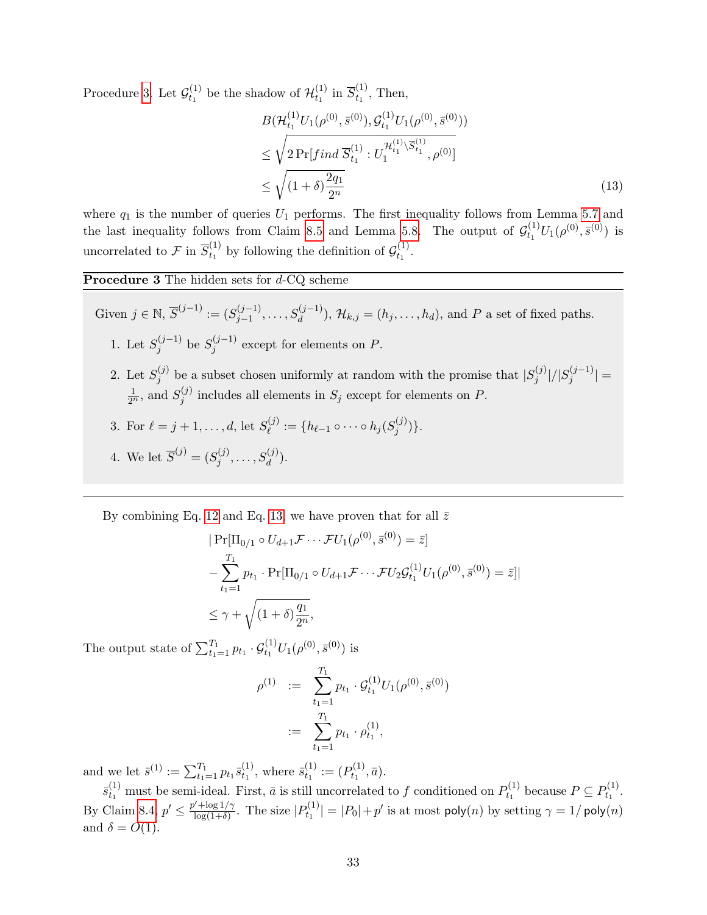Procedure [3.](#page-32-0) Let  $\mathcal{G}_{t_1}^{(1)}$  $t_1^{(1)}$  be the shadow of  $\mathcal{H}_{t_1}^{(1)}$  $t_1^{(1)}$  in  $\overline{S}_{t_1}^{(1)}$  $t_1^{(1)}$ , Then,

<span id="page-32-1"></span>
$$
B(\mathcal{H}_{t_1}^{(1)}U_1(\rho^{(0)}, \bar{s}^{(0)}), \mathcal{G}_{t_1}^{(1)}U_1(\rho^{(0)}, \bar{s}^{(0)}))
$$
  
\n
$$
\leq \sqrt{2 \Pr[ find \overline{S}_{t_1}^{(1)} : U_1^{\mathcal{H}_{t_1}^{(1)} \backslash \overline{S}_{t_1}^{(1)}}, \rho^{(0)}]}
$$
  
\n
$$
\leq \sqrt{(1+\delta) \frac{2q_1}{2^n}}
$$
\n(13)

where  $q_1$  is the number of queries  $U_1$  performs. The first inequality follows from Lemma [5.7](#page-17-1) and the last inequality follows from Claim [8.5](#page-29-0) and Lemma [5.8.](#page-19-1) The output of  $\mathcal{G}_{t_1}^{(1)}$  $t_1^{(1)}U_1(\rho^{(0)},\bar{s}^{(0)})$  is uncorrelated to  $\mathcal{F}$  in  $\overline{S}_{t_1}^{(1)}$  $t_1^{(1)}$  by following the definition of  $\mathcal{G}_{t_1}^{(1)}$  $t_1^{(1)}$ .

Procedure 3 The hidden sets for d-CQ scheme

Given 
$$
j \in \mathbb{N}
$$
,  $\overline{S}^{(j-1)} := (S_{j-1}^{(j-1)}, \ldots, S_d^{(j-1)})$ ,  $\mathcal{H}_{k,j} = (h_j, \ldots, h_d)$ , and P a set of fixed paths.

- 1. Let  $S_i^{(j-1)}$  $j^{(j-1)}$  be  $S_j^{(j-1)}$  $j^{(j-1)}$  except for elements on P.
- 2. Let  $S_i^{(j)}$  $j^{(j)}$  be a subset chosen uniformly at random with the promise that  $|S_j^{(j)}|$  $\frac{j^{(j)}}{j}$ |/ $|S_j^{(j-1)}|$  $|j^{(j-1)}|=$  $\frac{1}{2^n}$ , and  $S_j^{(j)}$  $j_j^{(j)}$  includes all elements in  $S_j$  except for elements on P.
- 3. For  $\ell = j + 1, ..., d$ , let  $S_{\ell}^{(j)}$  $\ell^{(j)}_{\ell} := \{h_{\ell-1}\circ\cdots\circ h_j(S_j^{(j)})\}$  $j^{(J)}\}$ .

<span id="page-32-0"></span>4. We let 
$$
\overline{S}^{(j)} = (S_j^{(j)}, \ldots, S_d^{(j)})
$$
.

By combining Eq. [12](#page-31-1) and Eq. [13,](#page-32-1) we have proven that for all  $\bar{z}$ 

$$
|\Pr[\Pi_{0/1} \circ U_{d+1} \mathcal{F} \cdots \mathcal{F} U_1(\rho^{(0)}, \bar{s}^{(0)}) = \bar{z}]
$$
  

$$
-\sum_{t_1=1}^{T_1} p_{t_1} \cdot \Pr[\Pi_{0/1} \circ U_{d+1} \mathcal{F} \cdots \mathcal{F} U_2 \mathcal{G}_{t_1}^{(1)} U_1(\rho^{(0)}, \bar{s}^{(0)}) = \bar{z}]|
$$
  

$$
\leq \gamma + \sqrt{(1+\delta)\frac{q_1}{2^n}},
$$

The output state of  $\sum_{t_1=1}^{T_1} p_{t_1} \cdot \mathcal{G}_{t_1}^{(1)} U_1(\rho^{(0)}, \bar{s}^{(0)})$  is

$$
\rho^{(1)} := \sum_{t_1=1}^{T_1} p_{t_1} \cdot \mathcal{G}_{t_1}^{(1)} U_1(\rho^{(0)}, \bar{s}^{(0)})
$$
  

$$
:= \sum_{t_1=1}^{T_1} p_{t_1} \cdot \rho_{t_1}^{(1)},
$$

and we let  $\bar{s}^{(1)} := \sum_{t_1=1}^{T_1} p_{t_1} \bar{s}_{t_1}^{(1)}$  $t_1^{(1)}$ , where  $\bar{s}_{t_1}^{(1)}$  $t_1^{(1)} := (P_{t_1}^{(1)}$  $t_1^{(1)}, \bar{a}$ ).

 $\bar{s}^{(1)}_{t_1}$  must be semi-ideal. First,  $\bar{a}$  is still uncorrelated to f conditioned on  $P_{t_1}^{(1)}$  $P_{t_1}^{(1)}$  because  $P \subseteq P_{t_1}^{(1)}$  $t_1^{(1)}$ . By Claim [8.4,](#page-27-0)  $p' \n\t\leq \frac{p' + \log 1/\gamma}{\log(1+\delta)}$  $\frac{\log(1/\gamma)}{\log(1+\delta)}$ . The size  $|P_{t_1}^{(1)}|$  $|t_1^{(1)}| = |P_0| + p'$  is at most  $\mathsf{poly}(n)$  by setting  $\gamma = 1/\mathsf{poly}(n)$ and  $\delta = O(1)$ .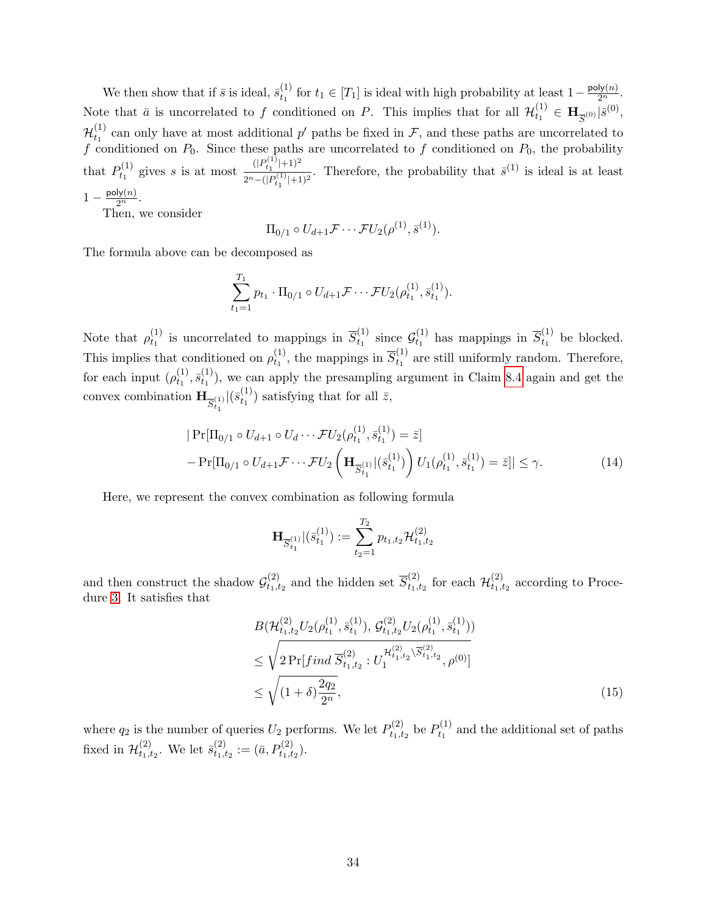We then show that if  $\bar{s}$  is ideal,  $\bar{s}_{t_1}^{(1)}$  $t_1^{(1)}$  for  $t_1$  ∈ [T<sub>1</sub>] is ideal with high probability at least  $1-\frac{\text{poly}(n)}{2^n}$ . Note that  $\bar{a}$  is uncorrelated to f conditioned on P. This implies that for all  $\mathcal{H}_{t_1}^{(1)}$  $\mathbf{H}_{\overline{S}^{(0)}}\vert\bar{s}^{(0)},$  $\mathcal{H}_{t_1}^{(1)}$  $t_1^{(1)}$  can only have at most additional p' paths be fixed in F, and these paths are uncorrelated to f conditioned on  $P_0$ . Since these paths are uncorrelated to f conditioned on  $P_0$ , the probability that  $P_{t_1}^{(1)}$  $t_1^{(1)}$  gives s is at most  $\frac{(|P_{t_1}^{(1)}|+1)^2}{2n-(|P^{(1)}|+1)^2}$  $\frac{(P_{t_1}+P_{t_1})}{2^n-(P_{t_1}^{(1)}+1)^2}$ . Therefore, the probability that  $\bar{s}^{(1)}$  is ideal is at least  $1-\frac{\text{poly}(n)}{2^n}.$ 

Then, we consider

$$
\Pi_{0/1} \circ U_{d+1} \mathcal{F} \cdots \mathcal{F} U_2(\rho^{(1)}, \bar{s}^{(1)}).
$$

The formula above can be decomposed as

$$
\sum_{t_1=1}^{T_1} p_{t_1} \cdot \Pi_{0/1} \circ U_{d+1} \mathcal{F} \cdots \mathcal{F} U_2(\rho_{t_1}^{(1)}, \bar{s}_{t_1}^{(1)})
$$

Note that  $\rho_{t_1}^{(1)}$  $t_1^{(1)}$  is uncorrelated to mappings in  $\overline{S}_{t_1}^{(1)}$  $\overset{(1)}{{t_1}}$  since  $\mathcal{G}^{(1)}_{t_1}$  $t_1^{(1)}$  has mappings in  $\overline{S}_{t_1}^{(1)}$  $t_1^{(1)}$  be blocked. This implies that conditioned on  $\rho_{t_1}^{(1)}$  $t_1^{(1)}$ , the mappings in  $\overline{S}_{t_1}^{(1)}$  $t_1^{(1)}$  are still uniformly random. Therefore, for each input  $(\rho_{t_1}^{(1)})$  $\frac{(1)}{t_1}, \overline{s}_{t_1}^{(1)}$  $t_1^{(1)}$ , we can apply the presampling argument in Claim [8.4](#page-27-0) again and get the convex combination  $\mathbf{H}_{\overline{S}_{t_1}^{(1)}}$  $|(\bar{s}_{t_1}^{(1)}$  $t_1^{(1)}$ ) satisfying that for all  $\bar{z}$ ,

<span id="page-33-0"></span>
$$
|\Pr[\Pi_{0/1} \circ U_{d+1} \circ U_d \cdots \mathcal{F} U_2(\rho_{t_1}^{(1)}, \bar{s}_{t_1}^{(1)}) = \bar{z}]
$$
  
- 
$$
\Pr[\Pi_{0/1} \circ U_{d+1} \mathcal{F} \cdots \mathcal{F} U_2 \left( \mathbf{H}_{\overline{S}_{t_1}^{(1)}} | (\bar{s}_{t_1}^{(1)}) \right) U_1(\rho_{t_1}^{(1)}, \bar{s}_{t_1}^{(1)}) = \bar{z}] | \leq \gamma.
$$
 (14)

Here, we represent the convex combination as following formula

$$
\mathbf{H}_{\overline{S}_{t_1}^{(1)}} | (\bar{s}_{t_1}^{(1)}) := \sum_{t_2=1}^{T_2} p_{t_1,t_2} \mathcal{H}_{t_1,t_2}^{(2)}
$$

and then construct the shadow  $\mathcal{G}^{(2)}_{t_1,t_2}$  $t_{1,t_2}^{(2)}$  and the hidden set  $\overline{S}_{t_1,i_2}^{(2)}$  $t_{1, t_2}^{(2)}$  for each  ${\cal H}_{t_1, t_2}^{(2)}$  $t_{1}, t_{2}$  according to Procedure [3.](#page-32-0) It satisfies that

<span id="page-33-1"></span>
$$
B(\mathcal{H}_{t_1,t_2}^{(2)} U_2(\rho_{t_1}^{(1)}, \bar{s}_{t_1}^{(1)}), \mathcal{G}_{t_1,t_2}^{(2)} U_2(\rho_{t_1}^{(1)}, \bar{s}_{t_1}^{(1)}))
$$
  
\n
$$
\leq \sqrt{2 \Pr[ find \overline{S}_{t_1,t_2}^{(2)} : U_1^{\mathcal{H}_{t_1,t_2}^{(2)} \backslash \overline{S}_{t_1,t_2}^{(2)}}, \rho^{(0)}]}
$$
  
\n
$$
\leq \sqrt{(1+\delta) \frac{2q_2}{2^n}},
$$
\n(15)

where  $q_2$  is the number of queries  $U_2$  performs. We let  $P_{t_1,t}^{(2)}$  $b_{t_1,t_2}^{(2)}$  be  $P_{t_1}^{(1)}$  $t_1^{(1)}$  and the additional set of paths fixed in  $\mathcal{H}_{t_{1},t_{2}}^{(2)}$  $t_1,t_2$ . We let  $\bar{s}^{(2)}_{t_1,i_2}$  $t_{1, t_2}^{(2)} := (\bar{a}, P_{t_1, t_2}^{(2)}).$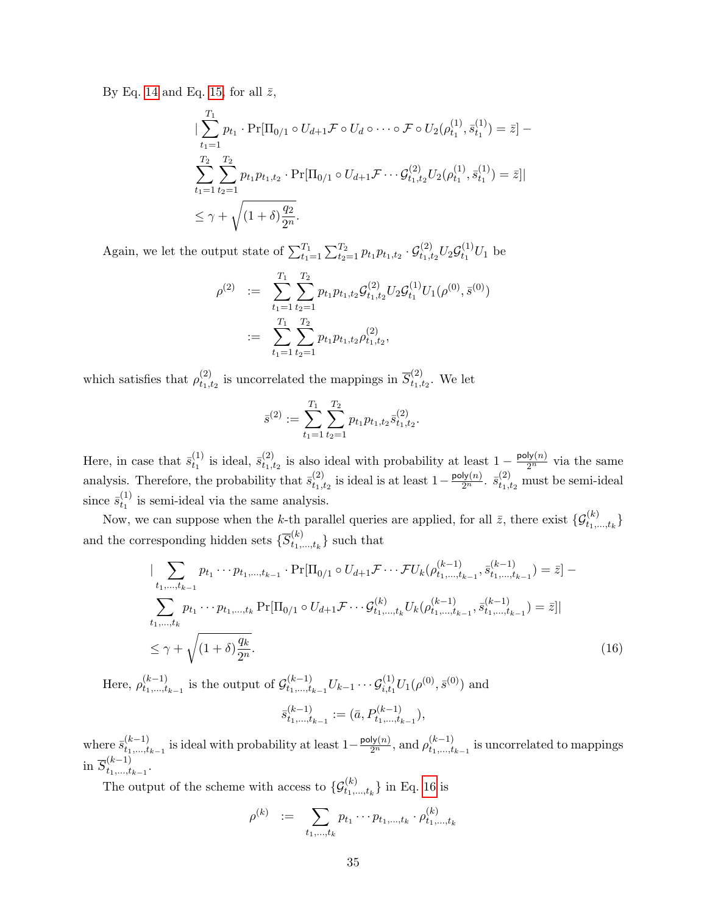By Eq. [14](#page-33-0) and Eq. [15,](#page-33-1) for all  $\bar{z}$ ,

$$
\begin{split}\n&\|\sum_{t_1=1}^{T_1} p_{t_1} \cdot \Pr[\Pi_{0/1} \circ U_{d+1} \mathcal{F} \circ U_d \circ \cdots \circ \mathcal{F} \circ U_2(\rho_{t_1}^{(1)}, \bar{s}_{t_1}^{(1)}) = \bar{z}] - \\
&\sum_{t_1=1}^{T_2} \sum_{t_2=1}^{T_2} p_{t_1} p_{t_1, t_2} \cdot \Pr[\Pi_{0/1} \circ U_{d+1} \mathcal{F} \cdots \mathcal{G}_{t_1, t_2}^{(2)} U_2(\rho_{t_1}^{(1)}, \bar{s}_{t_1}^{(1)}) = \bar{z}]\n\\
&\leq \gamma + \sqrt{(1+\delta)\frac{q_2}{2^n}}.\n\end{split}
$$

Again, we let the output state of  $\sum_{t_1=1}^{T_1} \sum_{t_2=1}^{T_2} p_{t_1} p_{t_1,t_2} \cdot \mathcal{G}_{t_1,t_2}^{(2)} U_2 \mathcal{G}_{t_1}^{(1)}$  $t_1^{(1)}U_1$  be

$$
\rho^{(2)} := \sum_{t_1=1}^{T_1} \sum_{t_2=1}^{T_2} p_{t_1} p_{t_1,t_2} \mathcal{G}_{t_1,t_2}^{(2)} U_2 \mathcal{G}_{t_1}^{(1)} U_1(\rho^{(0)}, \bar{s}^{(0)})
$$
  

$$
:= \sum_{t_1=1}^{T_1} \sum_{t_2=1}^{T_2} p_{t_1} p_{t_1,t_2} \rho_{t_1,t_2}^{(2)},
$$

which satisfies that  $\rho_{t_1,j}^{(2)}$  $t_1,t_2$  is uncorrelated the mappings in  $\overline{S}_{t_1,t_2}^{(2)}$  $t_1, t_2$ . We let

$$
\bar{s}^{(2)} := \sum_{t_1=1}^{T_1} \sum_{t_2=1}^{T_2} p_{t_1} p_{t_1,t_2} \bar{s}^{(2)}_{t_1,t_2}.
$$

Here, in case that  $\bar{s}_{t_1}^{(1)}$  $t_1^{(1)}$  is ideal,  $\bar{s}_{t_1,i}^{(2)}$  $t_{1,t_2}^{(2)}$  is also ideal with probability at least  $1 - \frac{\text{poly}(n)}{2^n}$  via the same analysis. Therefore, the probability that  $\bar{s}^{(2)}_{t_{1},t}$  $t_{1,t_2}^{(2)}$  is ideal is at least 1 −  $\frac{\text{poly}(n)}{2^n}$ .  $\bar{s}_{t_1,t_2}^{(2)}$  must be semi-ideal since  $\bar{s}_{t_1}^{(1)}$  $t_1^{(1)}$  is semi-ideal via the same analysis.

Now, we can suppose when the k-th parallel queries are applied, for all  $\bar{z}$ , there exist  $\{\mathcal{G}_{t_1,...,t_k}^{(k)}\}$ and the corresponding hidden sets  $\{S_{t_1}^{(k)}\}$  $\{t_1,\ldots,t_k\}$  such that

<span id="page-34-0"></span>
$$
\left| \sum_{t_1,\dots,t_{k-1}} p_{t_1} \cdots p_{t_1,\dots,t_{k-1}} \cdot \Pr[\Pi_{0/1} \circ U_{d+1} \mathcal{F} \cdots \mathcal{F} U_k(\rho_{t_1,\dots,t_{k-1}}^{(k-1)}, \bar{s}_{t_1,\dots,t_{k-1}}^{(k-1)}) = \bar{z} \right] - \sum_{t_1,\dots,t_k} p_{t_1} \cdots p_{t_1,\dots,t_k} \Pr[\Pi_{0/1} \circ U_{d+1} \mathcal{F} \cdots \mathcal{G}_{t_1,\dots,t_k}^{(k)} U_k(\rho_{t_1,\dots,t_{k-1}}^{(k-1)}, \bar{s}_{t_1,\dots,t_{k-1}}^{(k-1)}) = \bar{z}]|
$$
  

$$
\leq \gamma + \sqrt{(1+\delta)\frac{q_k}{2^n}}.
$$
 (16)

Here,  $\rho_{t_1,\dots,t}^{(k-1)}$  $\binom{(k-1)}{t_1,\dots,t_{k-1}}$  is the output of  $\mathcal{G}^{(k-1)}_{t_1,\dots,t_k}$  $t_{t_1,...,t_{k-1}}^{(k-1)} U_{k-1} \cdots \mathcal{G}_{i,t_1}^{(1)} U_1(\rho^{(0)}, \bar{s}^{(0)})$  and  $\bar{s}_{t_1}^{(k-1)}$  $\binom{(k-1)}{t_1,\ldots,t_{k-1}} := (\bar{a}, P_{t_1,\ldots,t_{k-1}}^{(k-1)}),$ 

where  $\bar{s}_{t_1,\dots,t}^{(k-1)}$  $\mu_{t_1,\ldots,t_{k-1}}^{(k-1)}$  is ideal with probability at least  $1-\frac{\text{poly}(n)}{2^n}$ , and  $\rho_{t_1,\ldots,t_{k-1}}^{(k-1)}$  $\binom{(k-1)}{t_1,\ldots,t_{k-1}}$  is uncorrelated to mappings in  $\overline{S}_{t_1,\dots,t}^{(k-1)}$  $\sum_{t_1,...,t_{k-1}}^{(k-1)}$ 

The output of the scheme with access to  $\{\mathcal{G}_{t_1,\ldots,t_k}^{(k)}\}$  in Eq. [16](#page-34-0) is

$$
\rho^{(k)} \quad := \quad \sum_{t_1, \dots, t_k} p_{t_1} \cdots p_{t_1, \dots, t_k} \cdot \rho^{(k)}_{t_1, \dots, t_k}
$$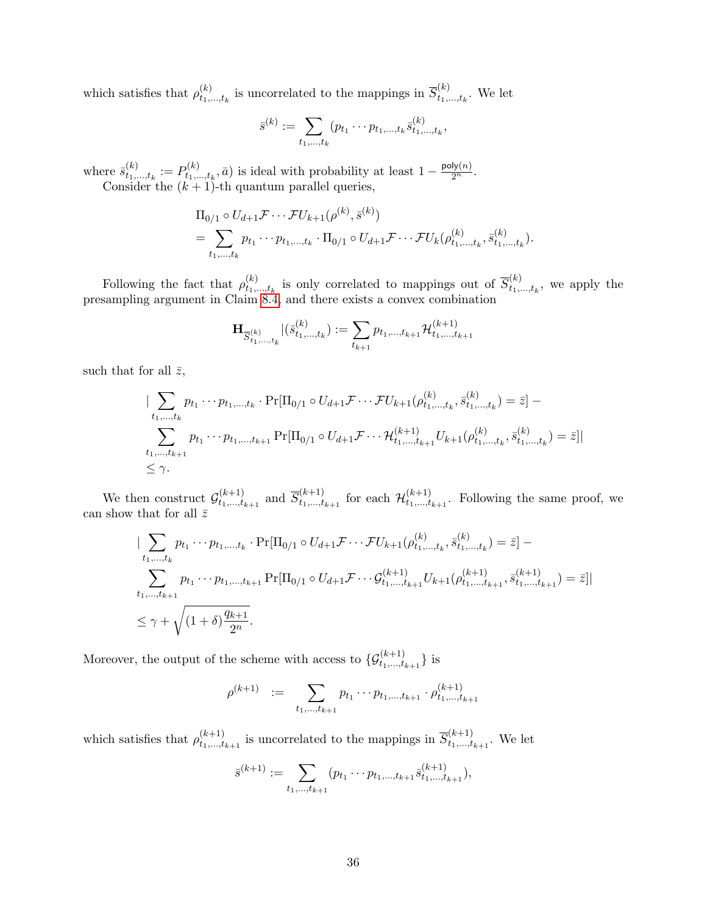which satisfies that  $\rho_{t_k}^{(k)}$  $t_{t_1,\ldots,t_k}^{(k)}$  is uncorrelated to the mappings in  $\overline{S}_{t_1,\ldots,t_k}^{(k)}$  $t_1, \ldots, t_k$ . We let

$$
\bar{s}^{(k)} := \sum_{t_1,\dots,t_k} (p_{t_1} \cdots p_{t_1,\dots,t_k} \bar{s}_{t_1,\dots,t_k}^{(k)},
$$

where  $\bar{s}_{t_1}^{(k)}$  $t_1,...,t_k := P_{t_1,+}^{(k)}$  $t_{1},...,t_{k},\bar{a}$  is ideal with probability at least  $1-\frac{\text{poly}(n)}{2^{n}}$ . Consider the  $(k + 1)$ -th quantum parallel queries,

$$
\Pi_{0/1} \circ U_{d+1} \mathcal{F} \cdots \mathcal{F} U_{k+1}(\rho^{(k)}, \bar{s}^{(k)}) \n= \sum_{t_1, ..., t_k} p_{t_1} \cdots p_{t_1, ..., t_k} \cdot \Pi_{0/1} \circ U_{d+1} \mathcal{F} \cdots \mathcal{F} U_k(\rho^{(k)}_{t_1, ..., t_k}, \bar{s}^{(k)}_{t_1, ..., t_k}).
$$

Following the fact that  $\rho_{t_1}^{(k)}$  $t_{t_1,\ldots,t_k}^{(k)}$  is only correlated to mappings out of  $\overline{S}_{t_1,\ldots,t_k}^{(k)}$  $t_1^{(k)}$ , we apply the presampling argument in Claim [8.4,](#page-27-0) and there exists a convex combination

$$
\mathbf{H}_{\overline{S}_{t_1,\ldots,t_k}^{(k)}} | (\overline{s}_{t_1,\ldots,t_k}^{(k)}) := \sum_{t_{k+1}} p_{t_1,\ldots,t_{k+1}} \mathcal{H}_{t_1,\ldots,t_{k+1}}^{(k+1)}
$$

such that for all  $\bar{z}$ ,

$$
\left| \sum_{t_1,\dots,t_k} p_{t_1} \cdots p_{t_1,\dots,t_k} \cdot \Pr[\Pi_{0/1} \circ U_{d+1} \mathcal{F} \cdots \mathcal{F} U_{k+1}(\rho_{t_1,\dots,t_k}^{(k)}, \bar{s}_{t_1,\dots,t_k}^{(k)}) = \bar{z} \right] - \sum_{t_1,\dots,t_{k+1}} p_{t_1} \cdots p_{t_1,\dots,t_{k+1}} \Pr[\Pi_{0/1} \circ U_{d+1} \mathcal{F} \cdots \mathcal{H}_{t_1,\dots,t_{k+1}}^{(k+1)} U_{k+1}(\rho_{t_1,\dots,t_k}^{(k)}, \bar{s}_{t_1,\dots,t_k}^{(k)}) = \bar{z}] \right|
$$
  
\$\leq \gamma\$.

We then construct  $\mathcal{G}^{(k+1)}_{t_1,\dots,t_n}$  $t_{t_1,...,t_{k+1}}^{(k+1)}$  and  $\overline{S}_{t_1,...,t}^{(k+1)}$  $t_{t_1,...,t_{k+1}}^{(k+1)}$  for each  $\mathcal{H}_{t_1,...,t_{k+1}}^{(k+1)}$  $t_{1,\ldots,t_{k+1}}^{(k+1)}$ . Following the same proof, we can show that for all  $\bar{z}$ 

$$
\left| \sum_{t_1,\dots,t_k} p_{t_1} \cdots p_{t_1,\dots,t_k} \cdot \Pr[\Pi_{0/1} \circ U_{d+1} \mathcal{F} \cdots \mathcal{F} U_{k+1}(\rho_{t_1,\dots,t_k}^{(k)}, \bar{s}_{t_1,\dots,t_k}^{(k)}) = \bar{z} \right] - \sum_{t_1,\dots,t_{k+1}} p_{t_1} \cdots p_{t_1,\dots,t_{k+1}} \Pr[\Pi_{0/1} \circ U_{d+1} \mathcal{F} \cdots \mathcal{G}_{t_1,\dots,t_{k+1}}^{(k+1)} U_{k+1}(\rho_{t_1,\dots,t_{k+1}}^{(k+1)}, \bar{s}_{t_1,\dots,t_{k+1}}^{(k+1)}) = \bar{z}] \right|
$$
  

$$
\leq \gamma + \sqrt{(1+\delta) \frac{q_{k+1}}{2^n}}.
$$

Moreover, the output of the scheme with access to  $\{G_{t_1,\ldots,t_{k+1}}^{(k+1)}\}$  is

$$
\rho^{(k+1)} \quad := \quad \sum_{t_1,\dots,t_{k+1}} p_{t_1} \cdots p_{t_1,\dots,t_{k+1}} \cdot \rho^{(k+1)}_{t_1,\dots,t_{k+1}}
$$

which satisfies that  $\rho_{t_1,\ldots,t_n}^{(k+1)}$  $\overline{t}_{t_1,\ldots,t_{k+1}}^{(k+1)}$  is uncorrelated to the mappings in  $\overline{S}_{t_1,\ldots,t_{k+1}}^{(k+1)}$  $t_1,...,t_{k+1}$ . We let

$$
\bar{s}^{(k+1)} := \sum_{t_1,\ldots,t_{k+1}} (p_{t_1} \cdots p_{t_1,\ldots,t_{k+1}} \bar{s}^{(k+1)}_{t_1,\ldots,t_{k+1}}),
$$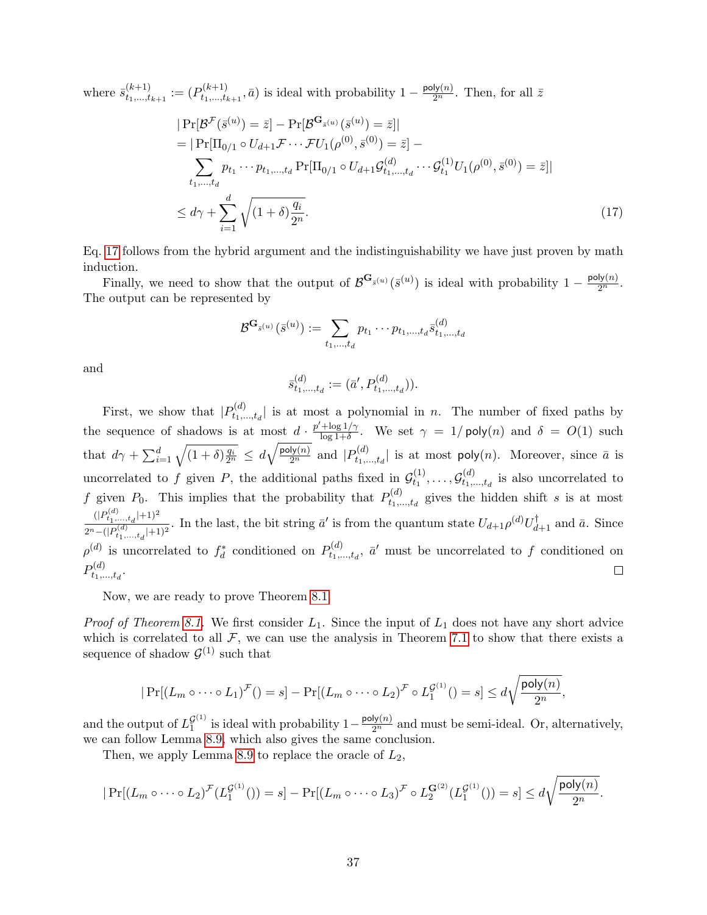where  $\bar{s}_{t_1,\dots,t}^{(k+1)}$  $t^{(k+1)}_{t_1,\dots,t_{k+1}} := (P_{t_1,\dots,t_k}^{(k+1)}$  $t_{1},...,t_{k+1},\bar{a})$  is ideal with probability  $1-\frac{\text{poly}(n)}{2^{n}}$ . Then, for all  $\bar{z}$ 

<span id="page-36-0"></span>
$$
|\Pr[\mathcal{B}^{\mathcal{F}}(\bar{s}^{(u)}) = \bar{z}] - \Pr[\mathcal{B}^{\mathbf{G}_{\bar{s}^{(u)}}}(\bar{s}^{(u)}) = \bar{z}]|
$$
  
\n
$$
= |\Pr[\Pi_{0/1} \circ U_{d+1} \mathcal{F} \cdots \mathcal{F}U_{1}(\rho^{(0)}, \bar{s}^{(0)}) = \bar{z}] -
$$
  
\n
$$
\sum_{t_{1},...,t_{d}} p_{t_{1}} \cdots p_{t_{1},...,t_{d}} \Pr[\Pi_{0/1} \circ U_{d+1} \mathcal{G}_{t_{1},...,t_{d}}^{(d)} \cdots \mathcal{G}_{t_{1}}^{(1)} U_{1}(\rho^{(0)}, \bar{s}^{(0)}) = \bar{z}]|
$$
  
\n
$$
\leq d\gamma + \sum_{i=1}^{d} \sqrt{(1+\delta)\frac{q_{i}}{2^{n}}}.
$$
\n(17)

Eq. [17](#page-36-0) follows from the hybrid argument and the indistinguishability we have just proven by math induction.

Finally, we need to show that the output of  $\mathcal{B}^{\mathbf{G}_{\bar{s}}(u)}(\bar{s}^{(u)})$  is ideal with probability  $1-\frac{\text{poly}(n)}{2^n}$ . The output can be represented by

$$
\mathcal{B}^{\mathbf{G}_{\bar{s}^{(u)}}}(\bar{s}^{(u)}):=\sum_{t_1,\ldots,t_d}p_{t_1}\cdots p_{t_1,\ldots,t_d}\bar{s}^{(d)}_{t_1,\ldots,t_d}
$$

and

$$
\bar{s}^{(d)}_{t_1,\ldots,t_d} := (\bar{a}', P^{(d)}_{t_1,\ldots,t_d})).
$$

First, we show that  $|P_{t_1}^{(d)}|$  $t_1^{(a)}$ , is at most a polynomial in *n*. The number of fixed paths by the sequence of shadows is at most  $d \cdot \frac{p' + \log 1/\gamma}{\log 1 + \delta}$  $\frac{\log 1/\gamma}{\log 1+\delta}$ . We set  $\gamma = 1/\text{poly}(n)$  and  $\delta = O(1)$  such that  $d\gamma + \sum_{i=1}^d \sqrt{(1+\delta)\frac{q_i}{2^n}} \le d\sqrt{\frac{\text{poly}(n)}{2^n}}$  and  $|P_{t_1}^{(d)}|$  $t_1^{(a)}$ ,  $t_2^{(a)}$  is at most poly $(n)$ . Moreover, since  $\bar{a}$  is uncorrelated to f given P, the additional paths fixed in  $\mathcal{G}_{t_1}^{(1)}$  $t_1^{(1)},\ldots,\mathcal{G}_{t_1,\lambda}^{(d)}$  $t_1^{(u)}$  is also uncorrelated to f given  $P_0$ . This implies that the probability that  $P_{t_1}^{(d)}$ .  $t_1^{(a)}$ , gives the hidden shift s is at most  $(|P_{t_1,...,t_d}^{(d)}|+1)^2$  $\frac{(|P_{t_1,\ldots,t_d}|+1)^2}{2^n-(|P_{t_1,\ldots,t_d}(|+1)|^2}$ . In the last, the bit string  $\bar{a}'$  is from the quantum state  $U_{d+1}\rho^{(d)}U_{d+1}^{\dagger}$  and  $\bar{a}$ . Since  $\rho^{(d)}$  is uncorrelated to  $f_d^*$  conditioned on  $P_{t_1, t_2}^{(d)}$  $t_1^{(d)}$ ,  $\bar{a}'$  must be uncorrelated to f conditioned on  $P_{t_1}^{(d)}$  $t_1,...,t_d$ .  $\Box$ 

Now, we are ready to prove Theorem [8.1.](#page-26-0)

*Proof of Theorem [8.1.](#page-26-0)* We first consider  $L_1$ . Since the input of  $L_1$  does not have any short advice which is correlated to all  $\mathcal{F}$ , we can use the analysis in Theorem [7.1](#page-22-0) to show that there exists a sequence of shadow  $\mathcal{G}^{(1)}$  such that

$$
|\Pr[(L_m \circ \cdots \circ L_1)^{\mathcal{F}}()=s] - \Pr[(L_m \circ \cdots \circ L_2)^{\mathcal{F}} \circ L_1^{\mathcal{G}^{(1)}}()=s] \leq d \sqrt{\frac{\text{poly}(n)}{2^n}},
$$

and the output of  $L_1^{\mathcal{G}^{(1)}}$  $\mathcal{G}^{(1)}_1$  is ideal with probability  $1-\frac{\text{poly}(n)}{2^n}$  and must be semi-ideal. Or, alternatively, we can follow Lemma [8.9,](#page-30-0) which also gives the same conclusion.

Then, we apply Lemma [8.9](#page-30-0) to replace the oracle of  $L_2$ ,

$$
|\Pr[(L_m \circ \cdots \circ L_2)^{\mathcal{F}}(L_1^{\mathcal{G}^{(1)}})) = s] - \Pr[(L_m \circ \cdots \circ L_3)^{\mathcal{F}} \circ L_2^{\mathbf{G}^{(2)}}(L_1^{\mathcal{G}^{(1)}})) = s] \leq d \sqrt{\frac{\text{poly}(n)}{2^n}}.
$$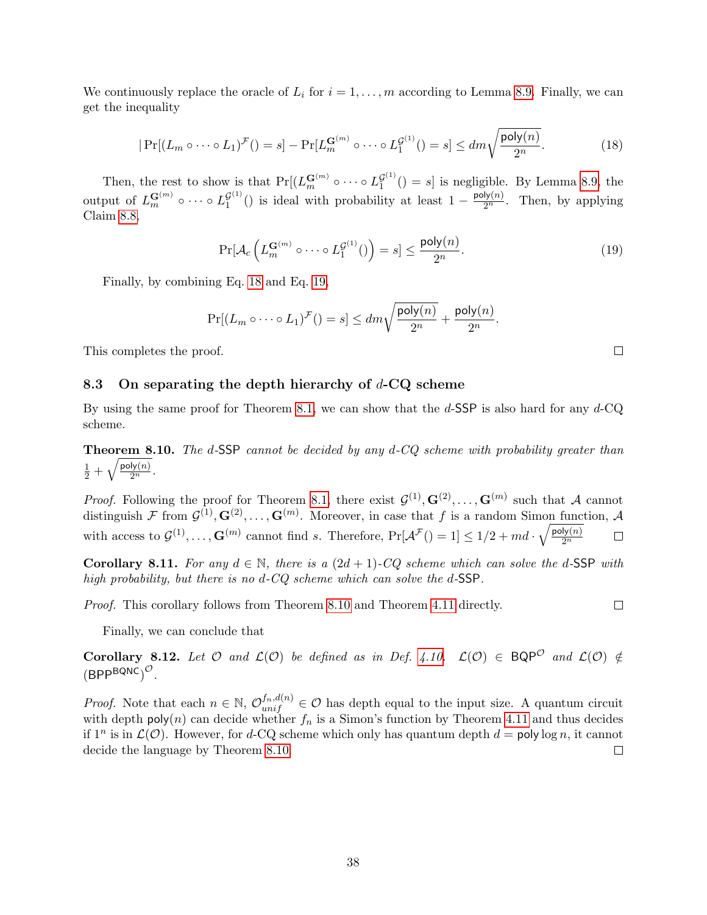We continuously replace the oracle of  $L_i$  for  $i = 1, \ldots, m$  according to Lemma [8.9.](#page-30-0) Finally, we can get the inequality

<span id="page-37-0"></span>
$$
|\Pr[(L_m \circ \cdots \circ L_1)^{\mathcal{F}}(t)] = s] - \Pr[L_m^{\mathbf{G}^{(m)}} \circ \cdots \circ L_1^{\mathcal{G}^{(1)}}(t)] = s] \le dm \sqrt{\frac{\text{poly}(n)}{2^n}}.
$$
\n(18)

Then, the rest to show is that  $Pr[(L_m^{\mathbf{G}^{(m)}} \circ \cdots \circ L_1^{\mathcal{G}^{(1)}})]$  $\binom{G^{(1)}}{1}$  () = s] is negligible. By Lemma [8.9,](#page-30-0) the output of  $L_m^{\mathbf{G}^{(m)}}$   $\circ \cdots \circ L_1^{\mathcal{G}^{(1)}}$  $\mathcal{G}^{(1)}($ ) is ideal with probability at least  $1 - \frac{\text{poly}(n)}{2^n}$ . Then, by applying Claim [8.8,](#page-30-2)

<span id="page-37-1"></span>
$$
\Pr[\mathcal{A}_c\left(L_m^{\mathbf{G}^{(m)}} \circ \cdots \circ L_1^{\mathcal{G}^{(1)}})\right) = s] \le \frac{\text{poly}(n)}{2^n}.\tag{19}
$$

Finally, by combining Eq. [18](#page-37-0) and Eq. [19,](#page-37-1)

$$
\Pr[(L_m \circ \cdots \circ L_1)^{\mathcal{F}}(r = s] \le dm\sqrt{\frac{\text{poly}(n)}{2^n}} + \frac{\text{poly}(n)}{2^n}.
$$

This completes the proof.

#### 8.3 On separating the depth hierarchy of  $d$ -CQ scheme

By using the same proof for Theorem [8.1,](#page-26-0) we can show that the  $d$ -SSP is also hard for any  $d$ -CQ scheme.

<span id="page-37-2"></span>**Theorem 8.10.** The d-SSP cannot be decided by any  $d$ -CQ scheme with probability greater than  $\frac{1}{2}+\sqrt{\frac{\mathsf{poly}(n)}{2^n}}.$ 

*Proof.* Following the proof for Theorem [8.1,](#page-26-0) there exist  $\mathcal{G}^{(1)}, \mathbf{G}^{(2)}, \ldots, \mathbf{G}^{(m)}$  such that A cannot distinguish F from  $\mathcal{G}^{(1)}, \mathbf{G}^{(2)}, \ldots, \mathbf{G}^{(m)}$ . Moreover, in case that f is a random Simon function, A with access to  $\mathcal{G}^{(1)}, \ldots, \mathbf{G}^{(m)}$  cannot find s. Therefore,  $Pr[\mathcal{A}^{\mathcal{F}}()=1] \leq 1/2 + md \cdot \sqrt{\frac{poly(n)}{2^n}}$  $\Box$  $\overline{2^n}$ 

**Corollary 8.11.** For any  $d \in \mathbb{N}$ , there is a  $(2d+1)$ -CQ scheme which can solve the d-SSP with high probability, but there is no d-CQ scheme which can solve the d-SSP.

Proof. This corollary follows from Theorem [8.10](#page-37-2) and Theorem [4.11](#page-14-0) directly.

 $\Box$ 

 $\Box$ 

Finally, we can conclude that

Corollary 8.12. Let  $O$  and  $\mathcal{L}(\mathcal{O})$  be defined as in Def. [4.10.](#page-14-1)  $\mathcal{L}(\mathcal{O}) \in \mathsf{BQP}^O$  and  $\mathcal{L}(\mathcal{O}) \notin$  $(BPP^{BQNC})^{\mathcal{O}}$ .

*Proof.* Note that each  $n \in \mathbb{N}$ ,  $\mathcal{O}_{unif}^{f_n,d(n)} \in \mathcal{O}$  has depth equal to the input size. A quantum circuit with depth poly $(n)$  can decide whether  $f_n$  is a Simon's function by Theorem [4.11](#page-14-0) and thus decides if  $1^n$  is in  $\mathcal{L}(\mathcal{O})$ . However, for d-CQ scheme which only has quantum depth  $d =$  poly log n, it cannot decide the language by Theorem [8.10.](#page-37-2)  $\Box$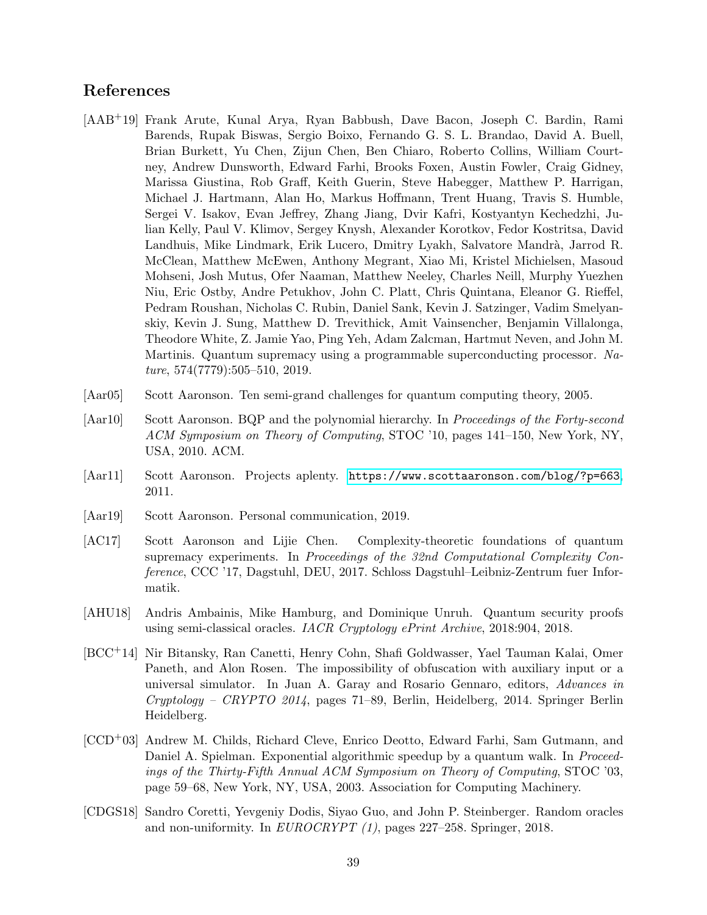## References

- <span id="page-38-0"></span>[AAB+19] Frank Arute, Kunal Arya, Ryan Babbush, Dave Bacon, Joseph C. Bardin, Rami Barends, Rupak Biswas, Sergio Boixo, Fernando G. S. L. Brandao, David A. Buell, Brian Burkett, Yu Chen, Zijun Chen, Ben Chiaro, Roberto Collins, William Courtney, Andrew Dunsworth, Edward Farhi, Brooks Foxen, Austin Fowler, Craig Gidney, Marissa Giustina, Rob Graff, Keith Guerin, Steve Habegger, Matthew P. Harrigan, Michael J. Hartmann, Alan Ho, Markus Hoffmann, Trent Huang, Travis S. Humble, Sergei V. Isakov, Evan Jeffrey, Zhang Jiang, Dvir Kafri, Kostyantyn Kechedzhi, Julian Kelly, Paul V. Klimov, Sergey Knysh, Alexander Korotkov, Fedor Kostritsa, David Landhuis, Mike Lindmark, Erik Lucero, Dmitry Lyakh, Salvatore Mandrà, Jarrod R. McClean, Matthew McEwen, Anthony Megrant, Xiao Mi, Kristel Michielsen, Masoud Mohseni, Josh Mutus, Ofer Naaman, Matthew Neeley, Charles Neill, Murphy Yuezhen Niu, Eric Ostby, Andre Petukhov, John C. Platt, Chris Quintana, Eleanor G. Rieffel, Pedram Roushan, Nicholas C. Rubin, Daniel Sank, Kevin J. Satzinger, Vadim Smelyanskiy, Kevin J. Sung, Matthew D. Trevithick, Amit Vainsencher, Benjamin Villalonga, Theodore White, Z. Jamie Yao, Ping Yeh, Adam Zalcman, Hartmut Neven, and John M. Martinis. Quantum supremacy using a programmable superconducting processor. Na $ture, 574(7779):505-510, 2019.$
- <span id="page-38-2"></span>[Aar05] Scott Aaronson. Ten semi-grand challenges for quantum computing theory, 2005.
- <span id="page-38-3"></span>[Aar10] Scott Aaronson. BQP and the polynomial hierarchy. In Proceedings of the Forty-second ACM Symposium on Theory of Computing, STOC '10, pages 141–150, New York, NY, USA, 2010. ACM.
- <span id="page-38-4"></span>[Aar11] Scott Aaronson. Projects aplenty. <https://www.scottaaronson.com/blog/?p=663>, 2011.
- <span id="page-38-5"></span>[Aar19] Scott Aaronson. Personal communication, 2019.
- <span id="page-38-1"></span>[AC17] Scott Aaronson and Lijie Chen. Complexity-theoretic foundations of quantum supremacy experiments. In Proceedings of the 32nd Computational Complexity Conference, CCC '17, Dagstuhl, DEU, 2017. Schloss Dagstuhl–Leibniz-Zentrum fuer Informatik.
- <span id="page-38-8"></span>[AHU18] Andris Ambainis, Mike Hamburg, and Dominique Unruh. Quantum security proofs using semi-classical oracles. IACR Cryptology ePrint Archive, 2018:904, 2018.
- <span id="page-38-6"></span>[BCC+14] Nir Bitansky, Ran Canetti, Henry Cohn, Shafi Goldwasser, Yael Tauman Kalai, Omer Paneth, and Alon Rosen. The impossibility of obfuscation with auxiliary input or a universal simulator. In Juan A. Garay and Rosario Gennaro, editors, Advances in Cryptology – CRYPTO 2014, pages 71–89, Berlin, Heidelberg, 2014. Springer Berlin Heidelberg.
- <span id="page-38-7"></span>[CCD+03] Andrew M. Childs, Richard Cleve, Enrico Deotto, Edward Farhi, Sam Gutmann, and Daniel A. Spielman. Exponential algorithmic speedup by a quantum walk. In Proceedings of the Thirty-Fifth Annual ACM Symposium on Theory of Computing, STOC '03, page 59–68, New York, NY, USA, 2003. Association for Computing Machinery.
- <span id="page-38-9"></span>[CDGS18] Sandro Coretti, Yevgeniy Dodis, Siyao Guo, and John P. Steinberger. Random oracles and non-uniformity. In EUROCRYPT (1), pages 227–258. Springer, 2018.